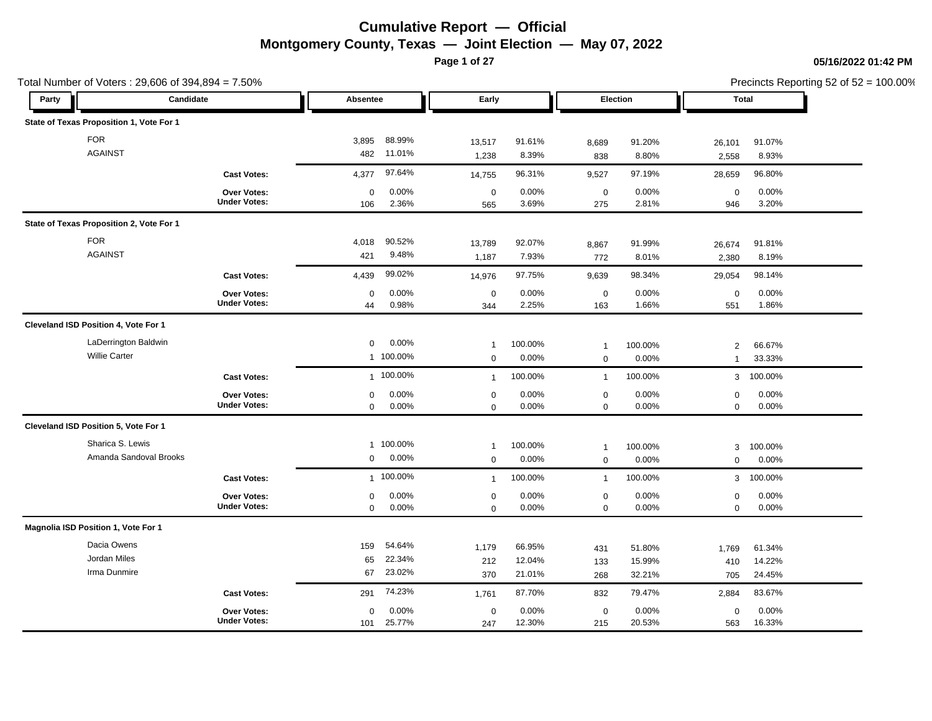**Page 1 of 27**

|                                          | Total Number of Voters: 29,606 of 394,894 = 7.50% |                   |                 |                            |                 |                            |                 |                            |                 | Precincts Reporting 52 of 52 = 100.00% |
|------------------------------------------|---------------------------------------------------|-------------------|-----------------|----------------------------|-----------------|----------------------------|-----------------|----------------------------|-----------------|----------------------------------------|
| Party                                    | Candidate                                         | Absentee          |                 | Early                      |                 |                            | Election        | Total                      |                 |                                        |
| State of Texas Proposition 1, Vote For 1 |                                                   |                   |                 |                            |                 |                            |                 |                            |                 |                                        |
| <b>FOR</b>                               |                                                   | 3,895             | 88.99%          | 13,517                     | 91.61%          | 8,689                      | 91.20%          | 26,101                     | 91.07%          |                                        |
| <b>AGAINST</b>                           |                                                   | 482               | 11.01%          | 1,238                      | 8.39%           | 838                        | 8.80%           | 2,558                      | 8.93%           |                                        |
|                                          | <b>Cast Votes:</b>                                | 4,377             | 97.64%          | 14,755                     | 96.31%          | 9,527                      | 97.19%          | 28,659                     | 96.80%          |                                        |
|                                          | Over Votes:<br><b>Under Votes:</b>                | 0<br>106          | 0.00%<br>2.36%  | $\mathbf 0$<br>565         | 0.00%<br>3.69%  | $\mathbf 0$<br>275         | 0.00%<br>2.81%  | 0<br>946                   | 0.00%<br>3.20%  |                                        |
| State of Texas Proposition 2, Vote For 1 |                                                   |                   |                 |                            |                 |                            |                 |                            |                 |                                        |
| <b>FOR</b>                               |                                                   | 4,018             | 90.52%          | 13,789                     | 92.07%          | 8,867                      | 91.99%          | 26,674                     | 91.81%          |                                        |
| <b>AGAINST</b>                           |                                                   | 421               | 9.48%           | 1,187                      | 7.93%           | 772                        | 8.01%           | 2,380                      | 8.19%           |                                        |
|                                          | <b>Cast Votes:</b>                                | 4,439             | 99.02%          | 14,976                     | 97.75%          | 9,639                      | 98.34%          | 29,054                     | 98.14%          |                                        |
|                                          | Over Votes:<br><b>Under Votes:</b>                | $\mathbf 0$<br>44 | 0.00%<br>0.98%  | $\mathbf 0$<br>344         | 0.00%<br>2.25%  | $\mathbf 0$<br>163         | 0.00%<br>1.66%  | $\mathbf 0$<br>551         | 0.00%<br>1.86%  |                                        |
| Cleveland ISD Position 4, Vote For 1     |                                                   |                   |                 |                            |                 |                            |                 |                            |                 |                                        |
|                                          | LaDerrington Baldwin                              | $\mathbf 0$       | 0.00%           | $\overline{1}$             | 100.00%         | $\mathbf{1}$               | 100.00%         | $\overline{2}$             | 66.67%          |                                        |
| <b>Willie Carter</b>                     |                                                   |                   | 1 100.00%       | $\mathbf 0$                | 0.00%           | $\mathbf 0$                | 0.00%           | $\overline{1}$             | 33.33%          |                                        |
|                                          | <b>Cast Votes:</b>                                |                   | 1 100.00%       | $\mathbf{1}$               | 100.00%         | $\mathbf{1}$               | 100.00%         | 3                          | 100.00%         |                                        |
|                                          | Over Votes:<br><b>Under Votes:</b>                | 0<br>$\mathbf 0$  | 0.00%<br>0.00%  | $\mathbf 0$<br>$\mathbf 0$ | 0.00%<br>0.00%  | $\mathbf 0$<br>$\mathbf 0$ | 0.00%<br>0.00%  | $\mathsf 0$<br>$\mathbf 0$ | 0.00%<br>0.00%  |                                        |
| Cleveland ISD Position 5, Vote For 1     |                                                   |                   |                 |                            |                 |                            |                 |                            |                 |                                        |
| Sharica S. Lewis                         |                                                   |                   | 1 100.00%       | $\mathbf{1}$               | 100.00%         | $\mathbf{1}$               | 100.00%         | 3                          | 100.00%         |                                        |
|                                          | Amanda Sandoval Brooks                            | $\mathbf 0$       | 0.00%           | $\mathbf 0$                | 0.00%           | $\mathbf 0$                | 0.00%           | $\mathbf 0$                | 0.00%           |                                        |
|                                          | <b>Cast Votes:</b>                                |                   | 1 100.00%       | $\overline{1}$             | 100.00%         | $\mathbf{1}$               | 100.00%         | 3                          | 100.00%         |                                        |
|                                          | Over Votes:<br><b>Under Votes:</b>                | 0<br>$\mathbf 0$  | 0.00%<br>0.00%  | $\mathbf 0$<br>$\mathbf 0$ | 0.00%<br>0.00%  | $\mathbf 0$<br>$\mathbf 0$ | 0.00%<br>0.00%  | $\mathbf 0$<br>$\mathbf 0$ | 0.00%<br>0.00%  |                                        |
| Magnolia ISD Position 1, Vote For 1      |                                                   |                   |                 |                            |                 |                            |                 |                            |                 |                                        |
| Dacia Owens                              |                                                   | 159               | 54.64%          | 1,179                      | 66.95%          | 431                        | 51.80%          | 1,769                      | 61.34%          |                                        |
| Jordan Miles                             |                                                   | 65                | 22.34%          | 212                        | 12.04%          | 133                        | 15.99%          | 410                        | 14.22%          |                                        |
| Irma Dunmire                             |                                                   | 67                | 23.02%          | 370                        | 21.01%          | 268                        | 32.21%          | 705                        | 24.45%          |                                        |
|                                          | <b>Cast Votes:</b>                                | 291               | 74.23%          | 1,761                      | 87.70%          | 832                        | 79.47%          | 2,884                      | 83.67%          |                                        |
|                                          | Over Votes:<br><b>Under Votes:</b>                | 0<br>101          | 0.00%<br>25.77% | $\mathbf 0$<br>247         | 0.00%<br>12.30% | $\mathbf 0$<br>215         | 0.00%<br>20.53% | $\mathbf 0$<br>563         | 0.00%<br>16.33% |                                        |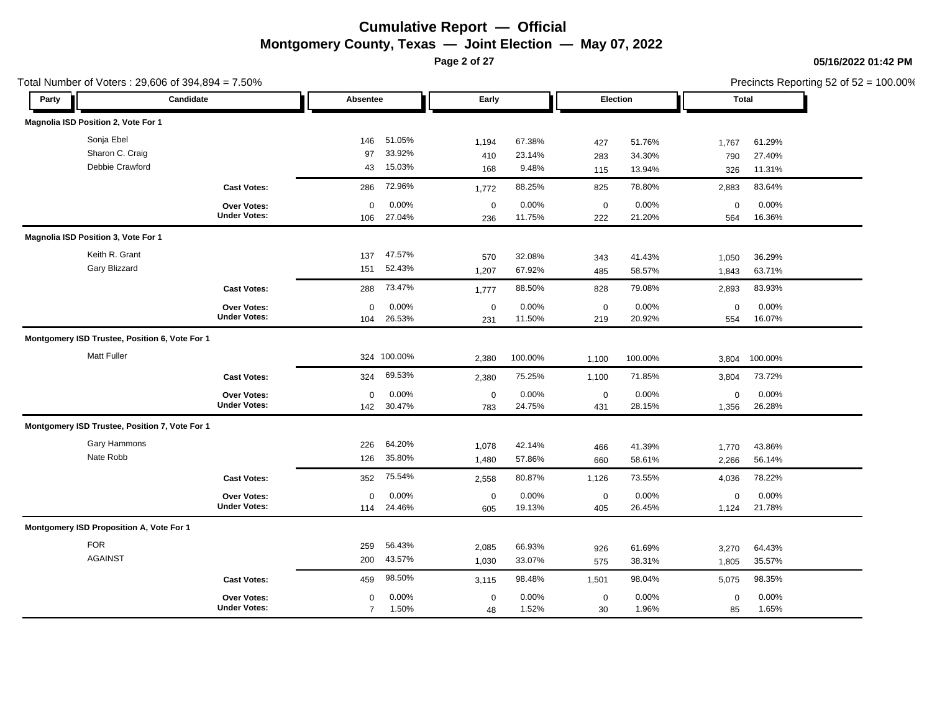**Page 2 of 27**

Total Number of Voters : 29,606 of 394,894 = 7.50%

### **05/16/2022 01:42 PM**

| Party |                                                | Candidate                          | Absentee       |                 | Early               |                 |                    | Election        | <b>Total</b> |                 |
|-------|------------------------------------------------|------------------------------------|----------------|-----------------|---------------------|-----------------|--------------------|-----------------|--------------|-----------------|
|       | Magnolia ISD Position 2, Vote For 1            |                                    |                |                 |                     |                 |                    |                 |              |                 |
|       | Sonja Ebel                                     |                                    | 146            | 51.05%          | 1,194               | 67.38%          | 427                | 51.76%          | 1,767        | 61.29%          |
|       | Sharon C. Craig                                |                                    | 97             | 33.92%          | 410                 | 23.14%          | 283                | 34.30%          | 790          | 27.40%          |
|       | Debbie Crawford                                |                                    | 43             | 15.03%          | 168                 | 9.48%           | 115                | 13.94%          | 326          | 11.31%          |
|       |                                                | <b>Cast Votes:</b>                 | 286            | 72.96%          | 1,772               | 88.25%          | 825                | 78.80%          | 2,883        | 83.64%          |
|       |                                                | Over Votes:<br><b>Under Votes:</b> | 0<br>106       | 0.00%<br>27.04% | $\mathbf 0$<br>236  | 0.00%<br>11.75% | $\mathbf 0$<br>222 | 0.00%<br>21.20% | 0<br>564     | 0.00%<br>16.36% |
|       | Magnolia ISD Position 3, Vote For 1            |                                    |                |                 |                     |                 |                    |                 |              |                 |
|       | Keith R. Grant                                 |                                    | 137            | 47.57%          | 570                 | 32.08%          | 343                | 41.43%          | 1,050        | 36.29%          |
|       | Gary Blizzard                                  |                                    | 151            | 52.43%          | 1,207               | 67.92%          | 485                | 58.57%          | 1,843        | 63.71%          |
|       |                                                | <b>Cast Votes:</b>                 | 288            | 73.47%          | 1,777               | 88.50%          | 828                | 79.08%          | 2,893        | 83.93%          |
|       |                                                | Over Votes:                        | $\Omega$       | 0.00%           | $\mathbf 0$         | 0.00%           | $\mathbf 0$        | 0.00%           | $\mathbf 0$  | 0.00%           |
|       |                                                | <b>Under Votes:</b>                | 104            | 26.53%          | 231                 | 11.50%          | 219                | 20.92%          | 554          | 16.07%          |
|       | Montgomery ISD Trustee, Position 6, Vote For 1 |                                    |                |                 |                     |                 |                    |                 |              |                 |
|       | <b>Matt Fuller</b>                             |                                    |                | 324 100.00%     | 2,380               | 100.00%         | 1,100              | 100.00%         | 3,804        | 100.00%         |
|       |                                                | <b>Cast Votes:</b>                 | 324            | 69.53%          | 2,380               | 75.25%          | 1,100              | 71.85%          | 3,804        | 73.72%          |
|       |                                                | Over Votes:                        | $\mathbf 0$    | 0.00%           | $\mathsf{O}\xspace$ | 0.00%           | $\mathbf 0$        | 0.00%           | $\mathbf 0$  | 0.00%           |
|       |                                                | <b>Under Votes:</b>                | 142            | 30.47%          | 783                 | 24.75%          | 431                | 28.15%          | 1,356        | 26.28%          |
|       | Montgomery ISD Trustee, Position 7, Vote For 1 |                                    |                |                 |                     |                 |                    |                 |              |                 |
|       | Gary Hammons                                   |                                    | 226            | 64.20%          | 1,078               | 42.14%          | 466                | 41.39%          | 1,770        | 43.86%          |
|       | Nate Robb                                      |                                    | 126            | 35.80%          | 1,480               | 57.86%          | 660                | 58.61%          | 2,266        | 56.14%          |
|       |                                                | <b>Cast Votes:</b>                 | 352            | 75.54%          | 2,558               | 80.87%          | 1,126              | 73.55%          | 4,036        | 78.22%          |
|       |                                                | Over Votes:                        | 0              | 0.00%           | $\mathbf 0$         | 0.00%           | $\mathbf 0$        | 0.00%           | 0            | 0.00%           |
|       |                                                | <b>Under Votes:</b>                | 114            | 24.46%          | 605                 | 19.13%          | 405                | 26.45%          | 1,124        | 21.78%          |
|       | Montgomery ISD Proposition A, Vote For 1       |                                    |                |                 |                     |                 |                    |                 |              |                 |
|       | <b>FOR</b>                                     |                                    | 259            | 56.43%          | 2,085               | 66.93%          | 926                | 61.69%          | 3,270        | 64.43%          |
|       | <b>AGAINST</b>                                 |                                    | 200            | 43.57%          | 1,030               | 33.07%          | 575                | 38.31%          | 1,805        | 35.57%          |
|       |                                                | <b>Cast Votes:</b>                 | 459            | 98.50%          | 3,115               | 98.48%          | 1,501              | 98.04%          | 5,075        | 98.35%          |
|       |                                                | Over Votes:                        | $\Omega$       | 0.00%           | $\mathbf 0$         | 0.00%           | $\mathbf 0$        | 0.00%           | $\mathbf 0$  | 0.00%           |
|       |                                                | <b>Under Votes:</b>                | $\overline{7}$ | 1.50%           | 48                  | 1.52%           | 30                 | 1.96%           | 85           | 1.65%           |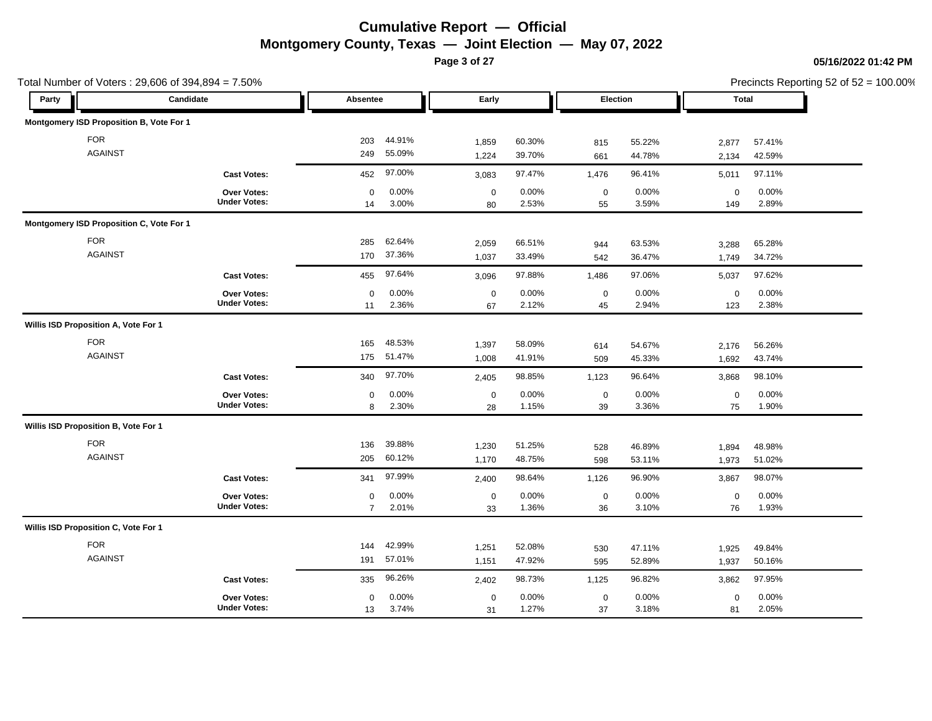**Page 3 of 27**

|                                      | Total Number of Voters: 29,606 of 394,894 = 7.50% |                                    |                     |                  |                   |                  |                   |                  |                    |                  | Precincts Reporting 52 of 52 = 100.00% |
|--------------------------------------|---------------------------------------------------|------------------------------------|---------------------|------------------|-------------------|------------------|-------------------|------------------|--------------------|------------------|----------------------------------------|
| Party                                | Candidate                                         |                                    | Absentee            |                  | Early             |                  | Election          |                  | Total              |                  |                                        |
|                                      | Montgomery ISD Proposition B, Vote For 1          |                                    |                     |                  |                   |                  |                   |                  |                    |                  |                                        |
| <b>FOR</b>                           |                                                   |                                    | 203                 | 44.91%           | 1,859             | 60.30%           | 815               | 55.22%           | 2,877              | 57.41%           |                                        |
|                                      | <b>AGAINST</b>                                    |                                    | 249                 | 55.09%           | 1,224             | 39.70%           | 661               | 44.78%           | 2,134              | 42.59%           |                                        |
|                                      |                                                   | <b>Cast Votes:</b>                 | 452                 | 97.00%           | 3,083             | 97.47%           | 1,476             | 96.41%           | 5,011              | 97.11%           |                                        |
|                                      |                                                   | Over Votes:<br><b>Under Votes:</b> | 0<br>14             | 0.00%<br>3.00%   | $\mathbf 0$<br>80 | 0.00%<br>2.53%   | $\mathbf 0$<br>55 | 0.00%<br>3.59%   | $\mathbf 0$<br>149 | 0.00%<br>2.89%   |                                        |
|                                      | Montgomery ISD Proposition C, Vote For 1          |                                    |                     |                  |                   |                  |                   |                  |                    |                  |                                        |
|                                      | <b>FOR</b><br><b>AGAINST</b>                      |                                    | 285<br>170          | 62.64%<br>37.36% | 2,059<br>1,037    | 66.51%<br>33.49% | 944<br>542        | 63.53%<br>36.47% | 3,288<br>1,749     | 65.28%<br>34.72% |                                        |
|                                      |                                                   | <b>Cast Votes:</b>                 | 455                 | 97.64%           | 3,096             | 97.88%           | 1,486             | 97.06%           | 5,037              | 97.62%           |                                        |
|                                      |                                                   | Over Votes:<br><b>Under Votes:</b> | $\mathbf 0$<br>11   | 0.00%<br>2.36%   | $\mathbf 0$<br>67 | 0.00%<br>2.12%   | $\mathbf 0$<br>45 | 0.00%<br>2.94%   | $\mathbf 0$<br>123 | 0.00%<br>2.38%   |                                        |
| Willis ISD Proposition A, Vote For 1 |                                                   |                                    |                     |                  |                   |                  |                   |                  |                    |                  |                                        |
| <b>FOR</b>                           | <b>AGAINST</b>                                    |                                    | 165<br>175          | 48.53%<br>51.47% | 1,397<br>1,008    | 58.09%<br>41.91% | 614<br>509        | 54.67%<br>45.33% | 2,176<br>1,692     | 56.26%<br>43.74% |                                        |
|                                      |                                                   | <b>Cast Votes:</b>                 | 340                 | 97.70%           | 2,405             | 98.85%           | 1,123             | 96.64%           | 3,868              | 98.10%           |                                        |
|                                      |                                                   | Over Votes:<br><b>Under Votes:</b> | $\mathbf 0$<br>8    | 0.00%<br>2.30%   | $\mathbf 0$<br>28 | 0.00%<br>1.15%   | $\mathbf 0$<br>39 | 0.00%<br>3.36%   | $\mathsf 0$<br>75  | 0.00%<br>1.90%   |                                        |
| Willis ISD Proposition B, Vote For 1 |                                                   |                                    |                     |                  |                   |                  |                   |                  |                    |                  |                                        |
| <b>FOR</b>                           | <b>AGAINST</b>                                    |                                    | 136<br>205          | 39.88%<br>60.12% | 1,230<br>1,170    | 51.25%<br>48.75% | 528<br>598        | 46.89%<br>53.11% | 1,894<br>1,973     | 48.98%<br>51.02% |                                        |
|                                      |                                                   | <b>Cast Votes:</b>                 | 341                 | 97.99%           | 2,400             | 98.64%           | 1,126             | 96.90%           | 3,867              | 98.07%           |                                        |
|                                      |                                                   | Over Votes:<br><b>Under Votes:</b> | 0<br>$\overline{7}$ | 0.00%<br>2.01%   | $\mathbf 0$<br>33 | 0.00%<br>1.36%   | $\mathbf 0$<br>36 | 0.00%<br>3.10%   | $\mathbf 0$<br>76  | 0.00%<br>1.93%   |                                        |
| Willis ISD Proposition C, Vote For 1 |                                                   |                                    |                     |                  |                   |                  |                   |                  |                    |                  |                                        |
| <b>FOR</b>                           | <b>AGAINST</b>                                    |                                    | 144<br>191          | 42.99%<br>57.01% | 1,251<br>1,151    | 52.08%<br>47.92% | 530<br>595        | 47.11%<br>52.89% | 1,925<br>1,937     | 49.84%<br>50.16% |                                        |
|                                      |                                                   | <b>Cast Votes:</b>                 | 335                 | 96.26%           | 2,402             | 98.73%           | 1,125             | 96.82%           | 3,862              | 97.95%           |                                        |
|                                      |                                                   | Over Votes:<br><b>Under Votes:</b> | 0<br>13             | 0.00%<br>3.74%   | $\mathbf 0$<br>31 | 0.00%<br>1.27%   | $\mathbf 0$<br>37 | 0.00%<br>3.18%   | $\mathbf 0$<br>81  | 0.00%<br>2.05%   |                                        |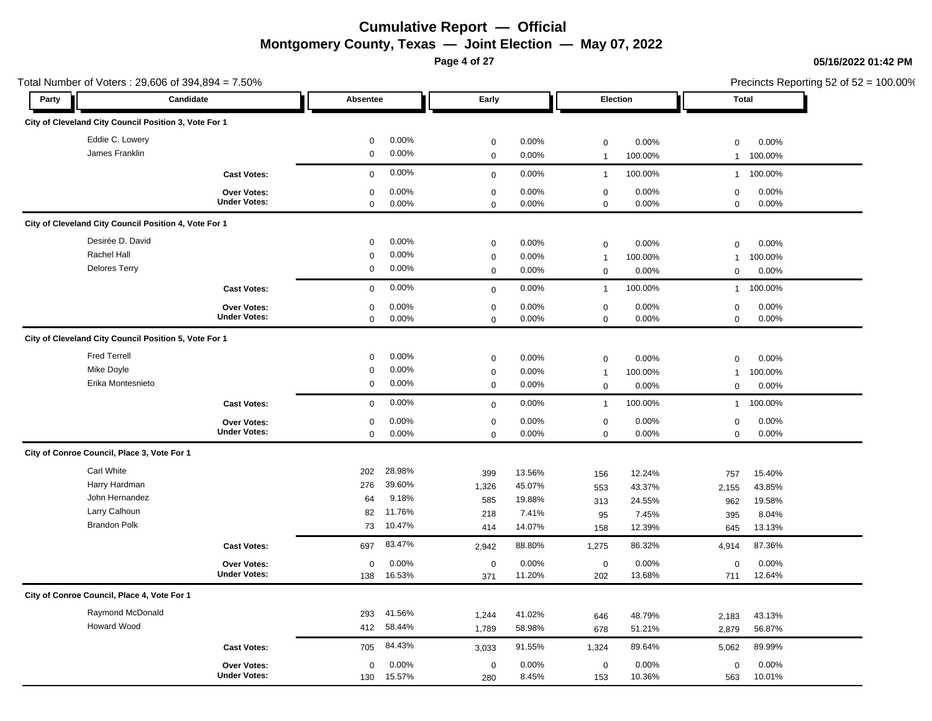**Page 4 of 27**

| Total Number of Voters: 29,606 of 394,894 = 7.50%     |                     |             |        |             |        | Precincts Reporting 52 of 52 = 100.00% |         |              |         |
|-------------------------------------------------------|---------------------|-------------|--------|-------------|--------|----------------------------------------|---------|--------------|---------|
| Party                                                 | Candidate           | Absentee    |        | Early       |        | Election                               |         | Total        |         |
| City of Cleveland City Council Position 3, Vote For 1 |                     |             |        |             |        |                                        |         |              |         |
| Eddie C. Lowery                                       |                     | 0           | 0.00%  | $\mathbf 0$ | 0.00%  | $\mathbf 0$                            | 0.00%   | $\mathbf 0$  | 0.00%   |
| James Franklin                                        |                     | $\mathbf 0$ | 0.00%  | $\mathbf 0$ | 0.00%  | $\mathbf{1}$                           | 100.00% | $\mathbf{1}$ | 100.00% |
|                                                       | <b>Cast Votes:</b>  | $\mathbf 0$ | 0.00%  | $\mathsf 0$ | 0.00%  | $\overline{1}$                         | 100.00% | $\mathbf{1}$ | 100.00% |
|                                                       | Over Votes:         | $\mathbf 0$ | 0.00%  | $\mathbf 0$ | 0.00%  | $\mathsf{O}\xspace$                    | 0.00%   | $\mathbf 0$  | 0.00%   |
|                                                       | <b>Under Votes:</b> | 0           | 0.00%  | $\mathbf 0$ | 0.00%  | $\mathbf 0$                            | 0.00%   | $\mathbf 0$  | 0.00%   |
| City of Cleveland City Council Position 4, Vote For 1 |                     |             |        |             |        |                                        |         |              |         |
| Desirée D. David                                      |                     | $\mathbf 0$ | 0.00%  | $\mathbf 0$ | 0.00%  | $\mathbf 0$                            | 0.00%   | $\mathbf 0$  | 0.00%   |
| Rachel Hall                                           |                     | $\Omega$    | 0.00%  | $\mathbf 0$ | 0.00%  | $\mathbf{1}$                           | 100.00% | $\mathbf{1}$ | 100.00% |
| <b>Delores Terry</b>                                  |                     | 0           | 0.00%  | 0           | 0.00%  | $\mathbf 0$                            | 0.00%   | $\mathbf 0$  | 0.00%   |
|                                                       | <b>Cast Votes:</b>  | $\mathbf 0$ | 0.00%  | $\mathbf 0$ | 0.00%  | $\mathbf{1}$                           | 100.00% | $\mathbf{1}$ | 100.00% |
|                                                       | Over Votes:         | 0           | 0.00%  | $\mathbf 0$ | 0.00%  | $\mathsf{O}\xspace$                    | 0.00%   | $\mathbf 0$  | 0.00%   |
|                                                       | <b>Under Votes:</b> | 0           | 0.00%  | $\mathbf 0$ | 0.00%  | $\mathbf 0$                            | 0.00%   | $\mathbf 0$  | 0.00%   |
| City of Cleveland City Council Position 5, Vote For 1 |                     |             |        |             |        |                                        |         |              |         |
| <b>Fred Terrell</b>                                   |                     | $\mathbf 0$ | 0.00%  | $\mathbf 0$ | 0.00%  | $\mathbf 0$                            | 0.00%   | $\mathbf 0$  | 0.00%   |
| Mike Doyle                                            |                     | 0           | 0.00%  | $\mathbf 0$ | 0.00%  | $\mathbf{1}$                           | 100.00% | $\mathbf{1}$ | 100.00% |
| Erika Montesnieto                                     |                     | 0           | 0.00%  | $\mathbf 0$ | 0.00%  | $\mathbf 0$                            | 0.00%   | $\mathsf 0$  | 0.00%   |
|                                                       | <b>Cast Votes:</b>  | $\mathbf 0$ | 0.00%  | $\mathbf 0$ | 0.00%  | $\mathbf{1}$                           | 100.00% | $\mathbf{1}$ | 100.00% |
|                                                       | Over Votes:         | $\Omega$    | 0.00%  | $\mathbf 0$ | 0.00%  | $\mathsf{O}\xspace$                    | 0.00%   | $\mathsf 0$  | 0.00%   |
|                                                       | <b>Under Votes:</b> | $\mathbf 0$ | 0.00%  | $\mathbf 0$ | 0.00%  | $\mathbf 0$                            | 0.00%   | $\mathbf 0$  | 0.00%   |
| City of Conroe Council, Place 3, Vote For 1           |                     |             |        |             |        |                                        |         |              |         |
| <b>Carl White</b>                                     |                     | 202         | 28.98% | 399         | 13.56% | 156                                    | 12.24%  | 757          | 15.40%  |
| Harry Hardman                                         |                     | 276         | 39.60% | 1,326       | 45.07% | 553                                    | 43.37%  | 2,155        | 43.85%  |
| John Hernandez                                        |                     | 64          | 9.18%  | 585         | 19.88% | 313                                    | 24.55%  | 962          | 19.58%  |
| Larry Calhoun                                         |                     | 82          | 11.76% | 218         | 7.41%  | 95                                     | 7.45%   | 395          | 8.04%   |
| <b>Brandon Polk</b>                                   |                     | 73          | 10.47% | 414         | 14.07% | 158                                    | 12.39%  | 645          | 13.13%  |
|                                                       | <b>Cast Votes:</b>  | 697         | 83.47% | 2,942       | 88.80% | 1,275                                  | 86.32%  | 4,914        | 87.36%  |
|                                                       | Over Votes:         | 0           | 0.00%  | $\mathbf 0$ | 0.00%  | $\mathsf{O}\xspace$                    | 0.00%   | $\mathbf 0$  | 0.00%   |
|                                                       | <b>Under Votes:</b> | 138         | 16.53% | 371         | 11.20% | 202                                    | 13.68%  | 711          | 12.64%  |
| City of Conroe Council, Place 4, Vote For 1           |                     |             |        |             |        |                                        |         |              |         |
| Raymond McDonald                                      |                     | 293         | 41.56% | 1,244       | 41.02% | 646                                    | 48.79%  | 2,183        | 43.13%  |
| <b>Howard Wood</b>                                    |                     | 412         | 58.44% | 1,789       | 58.98% | 678                                    | 51.21%  | 2,879        | 56.87%  |
|                                                       | <b>Cast Votes:</b>  | 705         | 84.43% | 3,033       | 91.55% | 1,324                                  | 89.64%  | 5,062        | 89.99%  |
|                                                       | Over Votes:         | $\mathbf 0$ | 0.00%  | $\mathbf 0$ | 0.00%  | $\mathsf{O}\xspace$                    | 0.00%   | $\mathbf 0$  | 0.00%   |
|                                                       | <b>Under Votes:</b> | 130         | 15.57% | 280         | 8.45%  | 153                                    | 10.36%  | 563          | 10.01%  |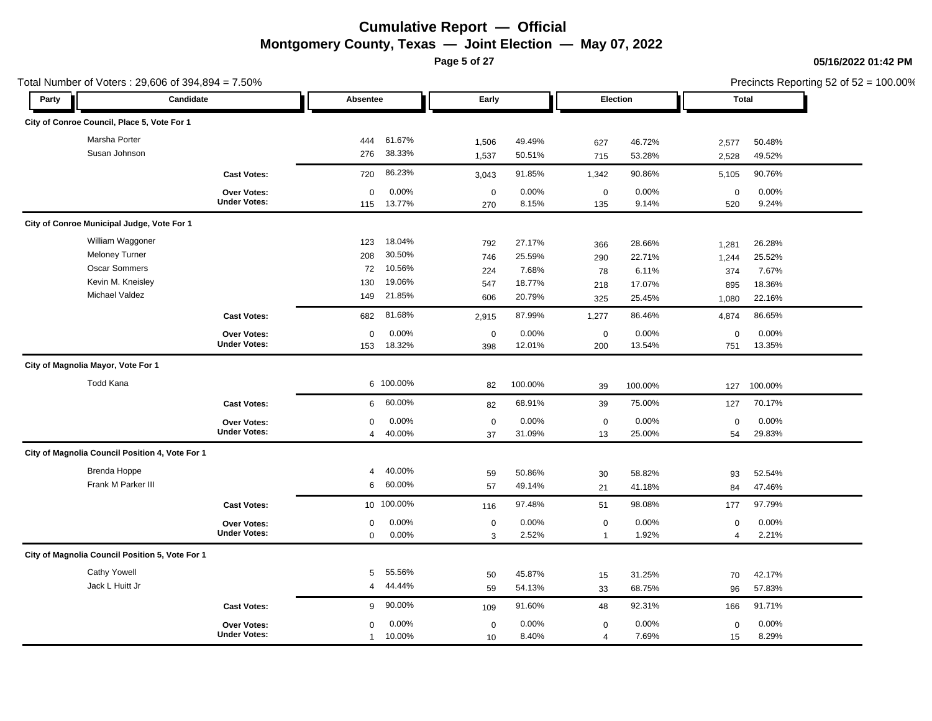**Page 5 of 27**

|       | Total Number of Voters: 29,606 of 394,894 = 7.50% |                                    |                 |                 |                    |                |                         |                |                    |                | Precincts Reporting 52 of 52 = 100.00% |
|-------|---------------------------------------------------|------------------------------------|-----------------|-----------------|--------------------|----------------|-------------------------|----------------|--------------------|----------------|----------------------------------------|
| Party |                                                   | Candidate                          | Absentee        |                 | Early              |                |                         | Election       |                    | Total          |                                        |
|       | City of Conroe Council, Place 5, Vote For 1       |                                    |                 |                 |                    |                |                         |                |                    |                |                                        |
|       | Marsha Porter                                     |                                    | 444             | 61.67%          | 1,506              | 49.49%         | 627                     | 46.72%         | 2,577              | 50.48%         |                                        |
|       | Susan Johnson                                     |                                    | 276             | 38.33%          | 1,537              | 50.51%         | 715                     | 53.28%         | 2,528              | 49.52%         |                                        |
|       |                                                   | <b>Cast Votes:</b>                 | 720             | 86.23%          | 3,043              | 91.85%         | 1,342                   | 90.86%         | 5,105              | 90.76%         |                                        |
|       |                                                   | Over Votes:<br><b>Under Votes:</b> | $\Omega$<br>115 | 0.00%<br>13.77% | $\mathbf 0$<br>270 | 0.00%<br>8.15% | $\boldsymbol{0}$<br>135 | 0.00%<br>9.14% | $\mathbf 0$<br>520 | 0.00%<br>9.24% |                                        |
|       | City of Conroe Municipal Judge, Vote For 1        |                                    |                 |                 |                    |                |                         |                |                    |                |                                        |
|       | William Waggoner                                  |                                    | 123             | 18.04%          | 792                | 27.17%         | 366                     | 28.66%         | 1,281              | 26.28%         |                                        |
|       | <b>Meloney Turner</b>                             |                                    | 208             | 30.50%          | 746                | 25.59%         | 290                     | 22.71%         | 1,244              | 25.52%         |                                        |
|       | Oscar Sommers                                     |                                    | 72              | 10.56%          | 224                | 7.68%          | 78                      | 6.11%          | 374                | 7.67%          |                                        |
|       | Kevin M. Kneisley                                 |                                    | 130             | 19.06%          | 547                | 18.77%         | 218                     | 17.07%         | 895                | 18.36%         |                                        |
|       | Michael Valdez                                    |                                    | 149             | 21.85%          | 606                | 20.79%         | 325                     | 25.45%         | 1,080              | 22.16%         |                                        |
|       |                                                   | <b>Cast Votes:</b>                 | 682             | 81.68%          | 2,915              | 87.99%         | 1,277                   | 86.46%         | 4,874              | 86.65%         |                                        |
|       |                                                   | Over Votes:                        | $\Omega$        | 0.00%           | $\mathbf 0$        | 0.00%          | $\mathbf 0$             | 0.00%          | $\Omega$           | 0.00%          |                                        |
|       |                                                   | <b>Under Votes:</b>                | 153             | 18.32%          | 398                | 12.01%         | 200                     | 13.54%         | 751                | 13.35%         |                                        |
|       | City of Magnolia Mayor, Vote For 1                |                                    |                 |                 |                    |                |                         |                |                    |                |                                        |
|       | <b>Todd Kana</b>                                  |                                    |                 | 6 100.00%       | 82                 | 100.00%        | 39                      | 100.00%        | 127                | 100.00%        |                                        |
|       |                                                   | <b>Cast Votes:</b>                 | 6               | 60.00%          | 82                 | 68.91%         | 39                      | 75.00%         | 127                | 70.17%         |                                        |
|       |                                                   | Over Votes:                        | 0               | 0.00%           | $\mathbf 0$        | 0.00%          | $\boldsymbol{0}$        | 0.00%          | $\mathsf 0$        | 0.00%          |                                        |
|       |                                                   | <b>Under Votes:</b>                | $\overline{4}$  | 40.00%          | 37                 | 31.09%         | 13                      | 25.00%         | 54                 | 29.83%         |                                        |
|       | City of Magnolia Council Position 4, Vote For 1   |                                    |                 |                 |                    |                |                         |                |                    |                |                                        |
|       | <b>Brenda Hoppe</b>                               |                                    | 4               | 40.00%          | 59                 | 50.86%         | 30                      | 58.82%         | 93                 | 52.54%         |                                        |
|       | Frank M Parker III                                |                                    | 6               | 60.00%          | 57                 | 49.14%         | 21                      | 41.18%         | 84                 | 47.46%         |                                        |
|       |                                                   | <b>Cast Votes:</b>                 |                 | 10 100.00%      | 116                | 97.48%         | 51                      | 98.08%         | 177                | 97.79%         |                                        |
|       |                                                   | Over Votes:                        | 0               | 0.00%           | $\mathbf 0$        | 0.00%          | $\boldsymbol{0}$        | 0.00%          | $\mathbf 0$        | 0.00%          |                                        |
|       |                                                   | <b>Under Votes:</b>                | $\mathbf 0$     | 0.00%           | 3                  | 2.52%          | $\mathbf{1}$            | 1.92%          | 4                  | 2.21%          |                                        |
|       | City of Magnolia Council Position 5, Vote For 1   |                                    |                 |                 |                    |                |                         |                |                    |                |                                        |
|       | <b>Cathy Yowell</b>                               |                                    | 5               | 55.56%          | 50                 | 45.87%         | 15                      | 31.25%         | 70                 | 42.17%         |                                        |
|       | Jack L Huitt Jr                                   |                                    | 4               | 44.44%          | 59                 | 54.13%         | 33                      | 68.75%         | 96                 | 57.83%         |                                        |
|       |                                                   | <b>Cast Votes:</b>                 | 9               | 90.00%          | 109                | 91.60%         | 48                      | 92.31%         | 166                | 91.71%         |                                        |
|       |                                                   | Over Votes:                        | 0               | 0.00%           | $\mathbf 0$        | 0.00%          | $\boldsymbol{0}$        | 0.00%          | $\mathbf 0$        | 0.00%          |                                        |
|       |                                                   | <b>Under Votes:</b>                | $\mathbf{1}$    | 10.00%          | 10                 | 8.40%          | $\overline{4}$          | 7.69%          | 15                 | 8.29%          |                                        |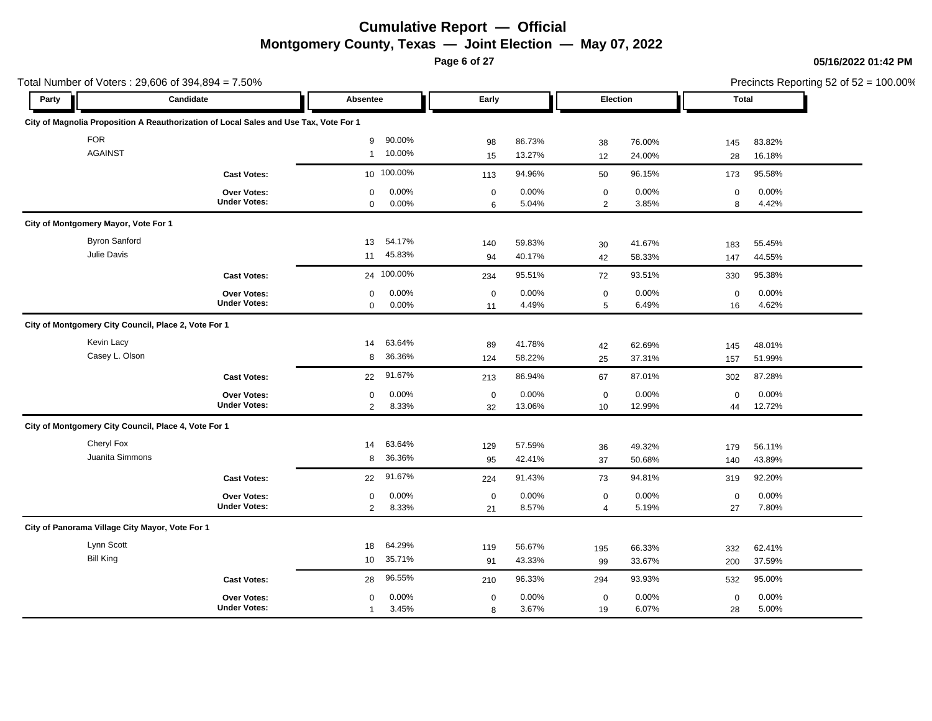**Page 6 of 27**

**05/16/2022 01:42 PM**

|                                                 | Total Number of Voters: 29,606 of 394,894 = 7.50%                                     |                                                 |                   |                  |                               |                  |                   | Precincts Reporting 52 of 52 = 100.00% |  |
|-------------------------------------------------|---------------------------------------------------------------------------------------|-------------------------------------------------|-------------------|------------------|-------------------------------|------------------|-------------------|----------------------------------------|--|
| Party                                           | Candidate                                                                             | Absentee                                        | Early             |                  | Election                      |                  | Total             |                                        |  |
|                                                 | City of Magnolia Proposition A Reauthorization of Local Sales and Use Tax, Vote For 1 |                                                 |                   |                  |                               |                  |                   |                                        |  |
| <b>FOR</b><br><b>AGAINST</b>                    |                                                                                       | 90.00%<br>9<br>10.00%<br>$\mathbf{1}$           | 98<br>15          | 86.73%<br>13.27% | 38<br>12                      | 76.00%<br>24.00% | 145<br>28         | 83.82%<br>16.18%                       |  |
|                                                 | <b>Cast Votes:</b>                                                                    | 10 100.00%                                      | 113               | 94.96%           | 50                            | 96.15%           | 173               | 95.58%                                 |  |
|                                                 | Over Votes:<br><b>Under Votes:</b>                                                    | 0.00%<br>$\mathbf 0$<br>0.00%<br>$\mathbf 0$    | $\mathbf 0$<br>6  | 0.00%<br>5.04%   | $\mathbf 0$<br>2              | 0.00%<br>3.85%   | $\pmb{0}$<br>8    | 0.00%<br>4.42%                         |  |
| City of Montgomery Mayor, Vote For 1            |                                                                                       |                                                 |                   |                  |                               |                  |                   |                                        |  |
| <b>Byron Sanford</b><br>Julie Davis             |                                                                                       | 54.17%<br>13<br>45.83%<br>11                    | 140<br>94         | 59.83%<br>40.17% | 30<br>42                      | 41.67%<br>58.33% | 183<br>147        | 55.45%<br>44.55%                       |  |
|                                                 | <b>Cast Votes:</b>                                                                    | 24 100.00%                                      | 234               | 95.51%           | 72                            | 93.51%           | 330               | 95.38%                                 |  |
|                                                 | <b>Over Votes:</b><br><b>Under Votes:</b>                                             | 0.00%<br>$\mathbf 0$<br>0.00%<br>$\mathbf 0$    | $\mathbf 0$<br>11 | 0.00%<br>4.49%   | $\mathbf 0$<br>5              | 0.00%<br>6.49%   | $\pmb{0}$<br>16   | 0.00%<br>4.62%                         |  |
|                                                 | City of Montgomery City Council, Place 2, Vote For 1                                  |                                                 |                   |                  |                               |                  |                   |                                        |  |
| Kevin Lacy<br>Casey L. Olson                    |                                                                                       | 63.64%<br>14<br>36.36%<br>8                     | 89<br>124         | 41.78%<br>58.22% | 42<br>25                      | 62.69%<br>37.31% | 145<br>157        | 48.01%<br>51.99%                       |  |
|                                                 | <b>Cast Votes:</b>                                                                    | 91.67%<br>22                                    | 213               | 86.94%           | 67                            | 87.01%           | 302               | 87.28%                                 |  |
|                                                 | <b>Over Votes:</b><br><b>Under Votes:</b>                                             | 0.00%<br>$\mathbf 0$<br>8.33%<br>$\overline{2}$ | $\mathbf 0$<br>32 | 0.00%<br>13.06%  | $\mathbf 0$<br>10             | 0.00%<br>12.99%  | $\mathbf 0$<br>44 | 0.00%<br>12.72%                        |  |
|                                                 | City of Montgomery City Council, Place 4, Vote For 1                                  |                                                 |                   |                  |                               |                  |                   |                                        |  |
| Cheryl Fox                                      | Juanita Simmons                                                                       | 63.64%<br>14<br>36.36%<br>8                     | 129<br>95         | 57.59%<br>42.41% | 36<br>37                      | 49.32%<br>50.68% | 179<br>140        | 56.11%<br>43.89%                       |  |
|                                                 | <b>Cast Votes:</b>                                                                    | 91.67%<br>22                                    | 224               | 91.43%           | 73                            | 94.81%           | 319               | 92.20%                                 |  |
|                                                 | <b>Over Votes:</b><br><b>Under Votes:</b>                                             | 0.00%<br>$\mathbf 0$<br>$\overline{2}$<br>8.33% | $\mathbf 0$<br>21 | 0.00%<br>8.57%   | $\mathbf 0$<br>$\overline{4}$ | 0.00%<br>5.19%   | $\mathbf 0$<br>27 | 0.00%<br>7.80%                         |  |
| City of Panorama Village City Mayor, Vote For 1 |                                                                                       |                                                 |                   |                  |                               |                  |                   |                                        |  |
| Lynn Scott<br><b>Bill King</b>                  |                                                                                       | 64.29%<br>18<br>35.71%<br>10 <sup>1</sup>       | 119<br>91         | 56.67%<br>43.33% | 195<br>99                     | 66.33%<br>33.67% | 332<br>200        | 62.41%<br>37.59%                       |  |
|                                                 | <b>Cast Votes:</b>                                                                    | 96.55%<br>28                                    | 210               | 96.33%           | 294                           | 93.93%           | 532               | 95.00%                                 |  |
|                                                 | <b>Over Votes:</b><br><b>Under Votes:</b>                                             | 0.00%<br>$\mathbf 0$<br>3.45%<br>$\mathbf{1}$   | $\mathbf 0$<br>8  | 0.00%<br>3.67%   | $\mathbf 0$<br>19             | 0.00%<br>6.07%   | $\mathbf 0$<br>28 | 0.00%<br>5.00%                         |  |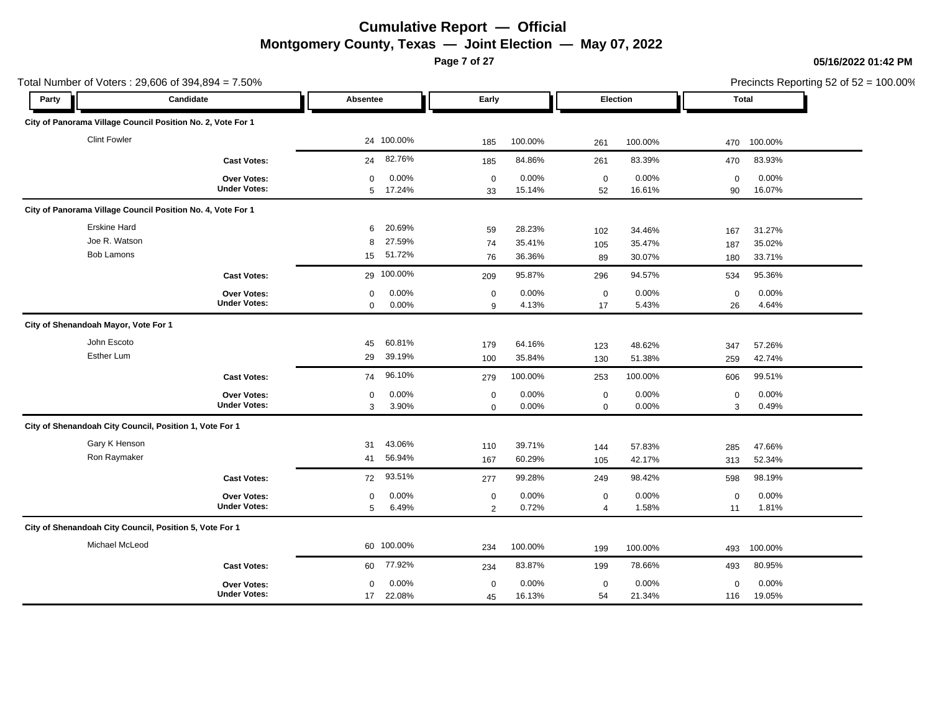**Page 7 of 27**

### **05/16/2022 01:42 PM**

|                                      | Total Number of Voters: 29,606 of 394,894 = 7.50%           |                                              |                            |                  |                               |                  |                   | Precincts Reporting 52 of 52 = 100.00% |  |
|--------------------------------------|-------------------------------------------------------------|----------------------------------------------|----------------------------|------------------|-------------------------------|------------------|-------------------|----------------------------------------|--|
| Party                                | Candidate                                                   | Absentee                                     | Early                      |                  | Election                      |                  | Total             |                                        |  |
|                                      | City of Panorama Village Council Position No. 2, Vote For 1 |                                              |                            |                  |                               |                  |                   |                                        |  |
| <b>Clint Fowler</b>                  |                                                             | 24 100.00%                                   | 185                        | 100.00%          | 261                           | 100.00%          | 470               | 100.00%                                |  |
|                                      | <b>Cast Votes:</b>                                          | 82.76%<br>24                                 | 185                        | 84.86%           | 261                           | 83.39%           | 470               | 83.93%                                 |  |
|                                      | Over Votes:<br><b>Under Votes:</b>                          | 0.00%<br>$\mathbf 0$<br>17.24%<br>5          | $\mathbf 0$<br>33          | 0.00%<br>15.14%  | $\mathbf 0$<br>52             | 0.00%<br>16.61%  | $\mathbf 0$<br>90 | 0.00%<br>16.07%                        |  |
|                                      | City of Panorama Village Council Position No. 4, Vote For 1 |                                              |                            |                  |                               |                  |                   |                                        |  |
| Erskine Hard<br>Joe R. Watson        |                                                             | 20.69%<br>6<br>27.59%<br>8                   | 59<br>74                   | 28.23%<br>35.41% | 102<br>105                    | 34.46%<br>35.47% | 167<br>187        | 31.27%<br>35.02%                       |  |
| <b>Bob Lamons</b>                    |                                                             | 51.72%<br>15                                 | 76                         | 36.36%           | 89                            | 30.07%           | 180               | 33.71%                                 |  |
|                                      | <b>Cast Votes:</b>                                          | 29 100.00%                                   | 209                        | 95.87%           | 296                           | 94.57%           | 534               | 95.36%                                 |  |
|                                      | Over Votes:<br><b>Under Votes:</b>                          | 0.00%<br>$\mathbf 0$<br>$\mathbf 0$<br>0.00% | $\mathbf 0$<br>9           | 0.00%<br>4.13%   | $\mathbf 0$<br>17             | 0.00%<br>5.43%   | $\mathbf 0$<br>26 | 0.00%<br>4.64%                         |  |
| City of Shenandoah Mayor, Vote For 1 |                                                             |                                              |                            |                  |                               |                  |                   |                                        |  |
| John Escoto<br>Esther Lum            |                                                             | 60.81%<br>45<br>39.19%<br>29                 | 179<br>100                 | 64.16%<br>35.84% | 123<br>130                    | 48.62%<br>51.38% | 347<br>259        | 57.26%<br>42.74%                       |  |
|                                      | <b>Cast Votes:</b>                                          | 96.10%<br>74                                 | 279                        | 100.00%          | 253                           | 100.00%          | 606               | 99.51%                                 |  |
|                                      | Over Votes:<br><b>Under Votes:</b>                          | 0.00%<br>$\mathbf 0$<br>3.90%<br>3           | $\mathbf 0$<br>$\mathbf 0$ | 0.00%<br>0.00%   | $\mathbf 0$<br>$\mathbf 0$    | 0.00%<br>0.00%   | $\pmb{0}$<br>3    | 0.00%<br>0.49%                         |  |
|                                      | City of Shenandoah City Council, Position 1, Vote For 1     |                                              |                            |                  |                               |                  |                   |                                        |  |
| Gary K Henson<br>Ron Raymaker        |                                                             | 43.06%<br>31<br>56.94%<br>41                 | 110<br>167                 | 39.71%<br>60.29% | 144<br>105                    | 57.83%<br>42.17% | 285<br>313        | 47.66%<br>52.34%                       |  |
|                                      | <b>Cast Votes:</b>                                          | 93.51%<br>72                                 | 277                        | 99.28%           | 249                           | 98.42%           | 598               | 98.19%                                 |  |
|                                      | <b>Over Votes:</b><br><b>Under Votes:</b>                   | 0.00%<br>0<br>5<br>6.49%                     | $\mathbf 0$<br>2           | 0.00%<br>0.72%   | $\mathbf 0$<br>$\overline{4}$ | 0.00%<br>1.58%   | $\mathbf 0$<br>11 | 0.00%<br>1.81%                         |  |
|                                      | City of Shenandoah City Council, Position 5, Vote For 1     |                                              |                            |                  |                               |                  |                   |                                        |  |
| Michael McLeod                       |                                                             | 60 100.00%                                   | 234                        | 100.00%          | 199                           | 100.00%          | 493               | 100.00%                                |  |
|                                      | <b>Cast Votes:</b>                                          | 77.92%<br>60                                 | 234                        | 83.87%           | 199                           | 78.66%           | 493               | 80.95%                                 |  |
|                                      | <b>Over Votes:</b><br><b>Under Votes:</b>                   | 0.00%<br>0<br>22.08%<br>17                   | 0<br>45                    | 0.00%<br>16.13%  | 0<br>54                       | 0.00%<br>21.34%  | 0<br>116          | 0.00%<br>19.05%                        |  |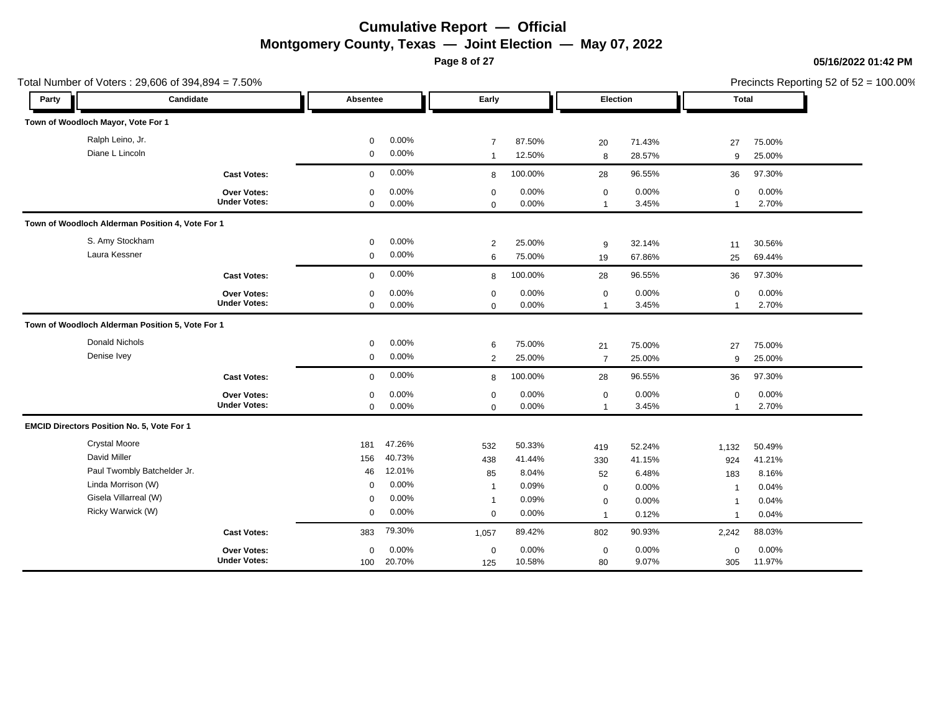**Page 8 of 27**

### **05/16/2022 01:42 PM**

|       | Total Number of Voters: 29,606 of 394,894 = 7.50% |                     |             |        |                |          |                 |          |                         | Precincts Reporting 52 of 52 = 100.00% |
|-------|---------------------------------------------------|---------------------|-------------|--------|----------------|----------|-----------------|----------|-------------------------|----------------------------------------|
| Party | Candidate                                         |                     | Absentee    |        | Early          |          | <b>Election</b> |          | Total                   |                                        |
|       | Town of Woodloch Mayor, Vote For 1                |                     |             |        |                |          |                 |          |                         |                                        |
|       | Ralph Leino, Jr.                                  |                     | $\mathbf 0$ | 0.00%  | $\overline{7}$ | 87.50%   | 20              | 71.43%   | 27                      | 75.00%                                 |
|       | Diane L Lincoln                                   |                     | $\mathbf 0$ | 0.00%  | $\overline{1}$ | 12.50%   | 8               | 28.57%   | 9                       | 25.00%                                 |
|       |                                                   | <b>Cast Votes:</b>  | $\mathbf 0$ | 0.00%  | 8              | 100.00%  | 28              | 96.55%   | 36                      | 97.30%                                 |
|       |                                                   | Over Votes:         | $\mathbf 0$ | 0.00%  | $\mathbf 0$    | $0.00\%$ | $\mathbf 0$     | $0.00\%$ | $\mathbf 0$             | 0.00%                                  |
|       |                                                   | <b>Under Votes:</b> | $\mathbf 0$ | 0.00%  | $\Omega$       | 0.00%    | $\overline{1}$  | 3.45%    | $\overline{1}$          | 2.70%                                  |
|       | Town of Woodloch Alderman Position 4, Vote For 1  |                     |             |        |                |          |                 |          |                         |                                        |
|       | S. Amy Stockham                                   |                     | $\mathbf 0$ | 0.00%  | $\overline{2}$ | 25.00%   | 9               | 32.14%   | 11                      | 30.56%                                 |
|       | Laura Kessner                                     |                     | $\mathbf 0$ | 0.00%  | 6              | 75.00%   | 19              | 67.86%   | 25                      | 69.44%                                 |
|       |                                                   | <b>Cast Votes:</b>  | $\mathbf 0$ | 0.00%  | 8              | 100.00%  | 28              | 96.55%   | 36                      | 97.30%                                 |
|       |                                                   | <b>Over Votes:</b>  | $\mathbf 0$ | 0.00%  | $\mathbf 0$    | 0.00%    | $\mathbf 0$     | 0.00%    | 0                       | 0.00%                                  |
|       |                                                   | <b>Under Votes:</b> | $\mathbf 0$ | 0.00%  | $\Omega$       | $0.00\%$ | $\mathbf{1}$    | 3.45%    | -1                      | 2.70%                                  |
|       | Town of Woodloch Alderman Position 5, Vote For 1  |                     |             |        |                |          |                 |          |                         |                                        |
|       | Donald Nichols                                    |                     | $\mathbf 0$ | 0.00%  | 6              | 75.00%   | 21              | 75.00%   | 27                      | 75.00%                                 |
|       | Denise Ivey                                       |                     | $\mathbf 0$ | 0.00%  | 2              | 25.00%   | $\overline{7}$  | 25.00%   | 9                       | 25.00%                                 |
|       |                                                   | <b>Cast Votes:</b>  | $\mathbf 0$ | 0.00%  | 8              | 100.00%  | 28              | 96.55%   | 36                      | 97.30%                                 |
|       |                                                   | Over Votes:         | $\mathbf 0$ | 0.00%  | $\mathbf 0$    | 0.00%    | $\mathbf 0$     | 0.00%    | $\mathbf 0$             | 0.00%                                  |
|       |                                                   | <b>Under Votes:</b> | $\mathbf 0$ | 0.00%  | $\mathbf 0$    | 0.00%    | $\mathbf{1}$    | 3.45%    | -1                      | 2.70%                                  |
|       | EMCID Directors Position No. 5, Vote For 1        |                     |             |        |                |          |                 |          |                         |                                        |
|       | <b>Crystal Moore</b>                              |                     | 181         | 47.26% | 532            | 50.33%   | 419             | 52.24%   | 1,132                   | 50.49%                                 |
|       | David Miller                                      |                     | 156         | 40.73% | 438            | 41.44%   | 330             | 41.15%   | 924                     | 41.21%                                 |
|       | Paul Twombly Batchelder Jr.                       |                     | 46          | 12.01% | 85             | 8.04%    | 52              | 6.48%    | 183                     | 8.16%                                  |
|       | Linda Morrison (W)                                |                     | 0           | 0.00%  | $\overline{1}$ | 0.09%    | $\mathbf 0$     | 0.00%    | $\overline{1}$          | 0.04%                                  |
|       | Gisela Villarreal (W)                             |                     | $\Omega$    | 0.00%  | $\overline{1}$ | 0.09%    | $\mathbf 0$     | 0.00%    | -1                      | 0.04%                                  |
|       | Ricky Warwick (W)                                 |                     | $\mathbf 0$ | 0.00%  | $\mathbf 0$    | 0.00%    | $\overline{1}$  | 0.12%    | $\overline{\mathbf{1}}$ | 0.04%                                  |
|       |                                                   | <b>Cast Votes:</b>  | 383         | 79.30% | 1,057          | 89.42%   | 802             | 90.93%   | 2,242                   | 88.03%                                 |
|       |                                                   | <b>Over Votes:</b>  | $\mathbf 0$ | 0.00%  | $\mathbf 0$    | 0.00%    | $\mathbf 0$     | 0.00%    | $\mathbf 0$             | 0.00%                                  |
|       |                                                   | <b>Under Votes:</b> | 100         | 20.70% | 125            | 10.58%   | 80              | 9.07%    | 305                     | 11.97%                                 |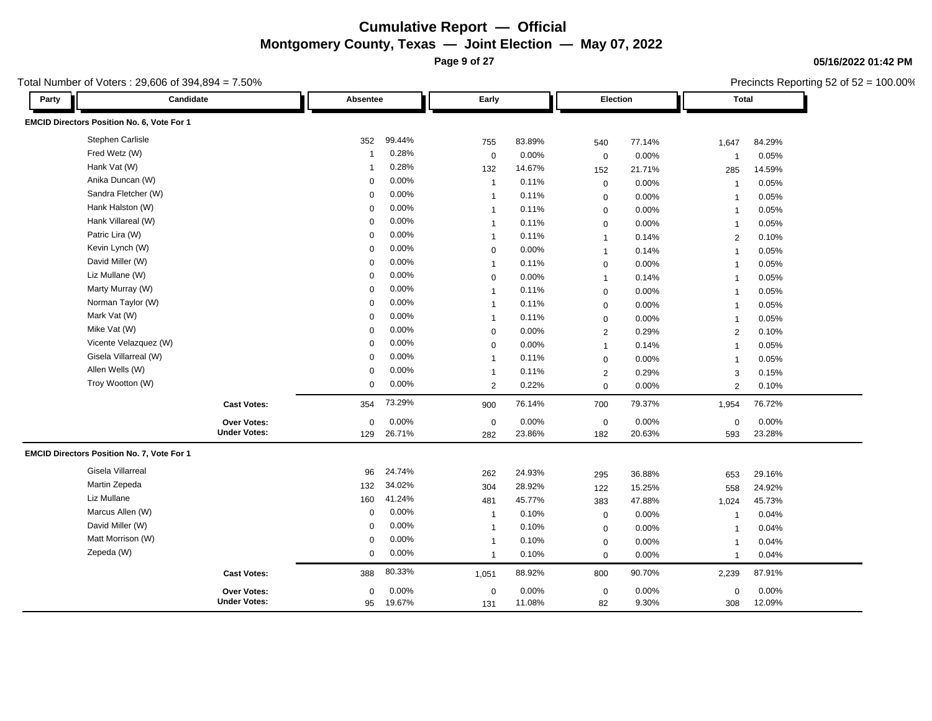**Page 9 of 27**

Precincts Reporting 52 of 52 = 100.00%

#### Total Number of Voters : 29,606 of 394,894 = 7.50%

| Party | Candidate                                  |                     | Absentee     |        | Early          |        |                  | Election |                | <b>Total</b> |  |
|-------|--------------------------------------------|---------------------|--------------|--------|----------------|--------|------------------|----------|----------------|--------------|--|
|       | EMCID Directors Position No. 6, Vote For 1 |                     |              |        |                |        |                  |          |                |              |  |
|       | Stephen Carlisle                           |                     | 352          | 99.44% | 755            | 83.89% | 540              | 77.14%   | 1,647          | 84.29%       |  |
|       | Fred Wetz (W)                              |                     | $\mathbf{1}$ | 0.28%  | $\mathbf 0$    | 0.00%  | $\mathbf 0$      | 0.00%    | $\mathbf 1$    | 0.05%        |  |
|       | Hank Vat (W)                               |                     |              | 0.28%  | 132            | 14.67% | 152              | 21.71%   | 285            | 14.59%       |  |
|       | Anika Duncan (W)                           |                     | $\Omega$     | 0.00%  | $\overline{1}$ | 0.11%  | $\mathbf 0$      | 0.00%    | $\mathbf{1}$   | 0.05%        |  |
|       | Sandra Fletcher (W)                        |                     | $\Omega$     | 0.00%  | $\overline{1}$ | 0.11%  | $\mathbf 0$      | 0.00%    | $\mathbf 1$    | 0.05%        |  |
|       | Hank Halston (W)                           |                     | $\Omega$     | 0.00%  | $\overline{1}$ | 0.11%  | $\mathbf 0$      | 0.00%    | $\mathbf{1}$   | 0.05%        |  |
|       | Hank Villareal (W)                         |                     | $\mathbf 0$  | 0.00%  | $\overline{1}$ | 0.11%  | $\mathbf 0$      | 0.00%    | $\mathbf{1}$   | 0.05%        |  |
|       | Patric Lira (W)                            |                     | $\mathbf 0$  | 0.00%  | $\mathbf{1}$   | 0.11%  | $\overline{1}$   | 0.14%    | $\overline{2}$ | 0.10%        |  |
|       | Kevin Lynch (W)                            |                     | $\mathbf 0$  | 0.00%  | $\mathbf 0$    | 0.00%  | $\overline{1}$   | 0.14%    | $\mathbf{1}$   | 0.05%        |  |
|       | David Miller (W)                           |                     | $\mathbf 0$  | 0.00%  | $\mathbf{1}$   | 0.11%  | $\mathbf 0$      | 0.00%    | $\mathbf{1}$   | 0.05%        |  |
|       | Liz Mullane (W)                            |                     | 0            | 0.00%  | $\mathbf 0$    | 0.00%  | $\overline{1}$   | 0.14%    | $\mathbf{1}$   | 0.05%        |  |
|       | Marty Murray (W)                           |                     | $\Omega$     | 0.00%  | $\overline{1}$ | 0.11%  | $\mathbf 0$      | 0.00%    | $\mathbf{1}$   | 0.05%        |  |
|       | Norman Taylor (W)                          |                     | 0            | 0.00%  | $\overline{1}$ | 0.11%  | $\mathbf 0$      | 0.00%    | $\mathbf{1}$   | 0.05%        |  |
|       | Mark Vat (W)                               |                     | $\mathbf 0$  | 0.00%  | $\overline{1}$ | 0.11%  | $\mathbf 0$      | 0.00%    | $\mathbf{1}$   | 0.05%        |  |
|       | Mike Vat (W)                               |                     | $\mathbf 0$  | 0.00%  | $\mathbf 0$    | 0.00%  | 2                | 0.29%    | $\overline{2}$ | 0.10%        |  |
|       | Vicente Velazquez (W)                      |                     | $\Omega$     | 0.00%  | $\mathbf 0$    | 0.00%  | $\overline{1}$   | 0.14%    | $\mathbf{1}$   | 0.05%        |  |
|       | Gisela Villarreal (W)                      |                     | $\mathbf 0$  | 0.00%  | $\overline{1}$ | 0.11%  | $\mathbf 0$      | 0.00%    | $\mathbf{1}$   | 0.05%        |  |
|       | Allen Wells (W)                            |                     | $\Omega$     | 0.00%  | $\overline{1}$ | 0.11%  | $\overline{2}$   | 0.29%    | 3              | 0.15%        |  |
|       | Troy Wootton (W)                           |                     | 0            | 0.00%  | $\overline{2}$ | 0.22%  | $\Omega$         | 0.00%    | 2              | 0.10%        |  |
|       |                                            | <b>Cast Votes:</b>  | 354          | 73.29% | 900            | 76.14% | 700              | 79.37%   | 1,954          | 76.72%       |  |
|       |                                            | Over Votes:         | $\mathbf 0$  | 0.00%  | $\mathbf 0$    | 0.00%  | $\mathbf 0$      | 0.00%    | $\mathbf 0$    | 0.00%        |  |
|       |                                            | <b>Under Votes:</b> | 129          | 26.71% | 282            | 23.86% | 182              | 20.63%   | 593            | 23.28%       |  |
|       | EMCID Directors Position No. 7, Vote For 1 |                     |              |        |                |        |                  |          |                |              |  |
|       | Gisela Villarreal                          |                     | 96           | 24.74% | 262            | 24.93% | 295              | 36.88%   | 653            | 29.16%       |  |
|       | Martin Zepeda                              |                     | 132          | 34.02% | 304            | 28.92% | 122              | 15.25%   | 558            | 24.92%       |  |
|       | Liz Mullane                                |                     | 160          | 41.24% | 481            | 45.77% | 383              | 47.88%   | 1,024          | 45.73%       |  |
|       | Marcus Allen (W)                           |                     | $\mathbf 0$  | 0.00%  | $\overline{1}$ | 0.10%  | $\boldsymbol{0}$ | 0.00%    | $\mathbf 1$    | 0.04%        |  |
|       | David Miller (W)                           |                     | $\mathbf 0$  | 0.00%  | $\mathbf{1}$   | 0.10%  | $\mathbf 0$      | 0.00%    | $\mathbf{1}$   | 0.04%        |  |
|       | Matt Morrison (W)                          |                     | $\mathbf 0$  | 0.00%  | $\overline{1}$ | 0.10%  | $\mathbf 0$      | 0.00%    | $\mathbf{1}$   | 0.04%        |  |
|       | Zepeda (W)                                 |                     | $\mathbf 0$  | 0.00%  | $\overline{1}$ | 0.10%  | $\mathbf 0$      | 0.00%    | $\mathbf{1}$   | 0.04%        |  |
|       |                                            | <b>Cast Votes:</b>  | 388          | 80.33% | 1,051          | 88.92% | 800              | 90.70%   | 2,239          | 87.91%       |  |
|       |                                            | Over Votes:         | $\Omega$     | 0.00%  | $\mathbf 0$    | 0.00%  | $\mathbf 0$      | 0.00%    | $\mathsf 0$    | 0.00%        |  |
|       |                                            | <b>Under Votes:</b> | 95           | 19.67% | 131            | 11.08% | 82               | 9.30%    | 308            | 12.09%       |  |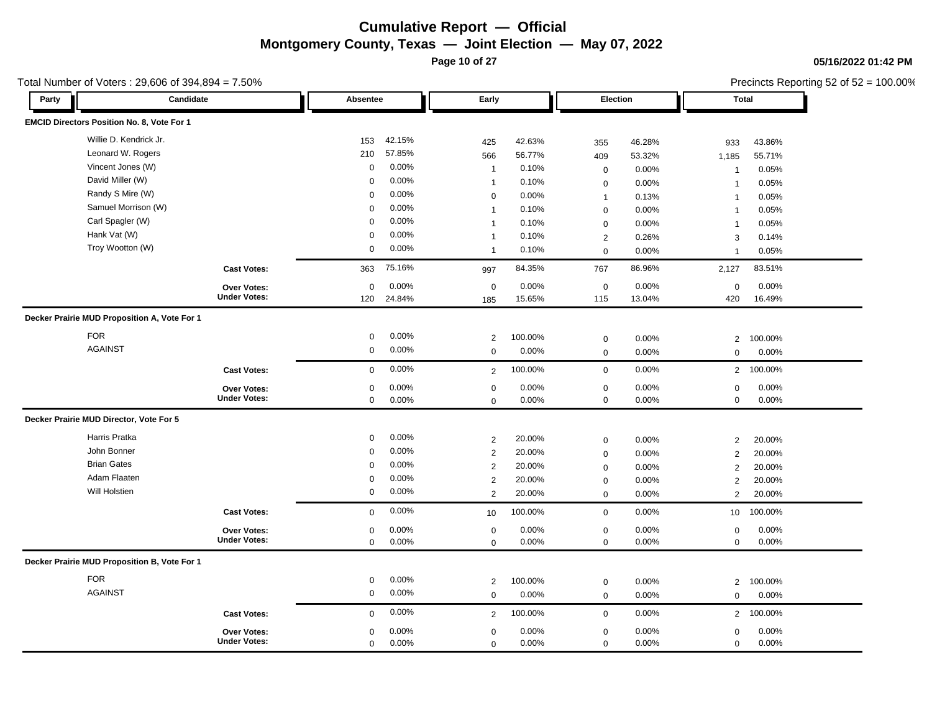**Page 10 of 27**

### **05/16/2022 01:42 PM**

Precincts Reporting 52 of 52 = 100.00%

| Party | Candidate                                    |                     | Absentee    |        | Early          |         |                  | Election |                | <b>Total</b> |  |
|-------|----------------------------------------------|---------------------|-------------|--------|----------------|---------|------------------|----------|----------------|--------------|--|
|       | EMCID Directors Position No. 8, Vote For 1   |                     |             |        |                |         |                  |          |                |              |  |
|       | Willie D. Kendrick Jr.                       |                     | 153         | 42.15% | 425            | 42.63%  | 355              | 46.28%   | 933            | 43.86%       |  |
|       | Leonard W. Rogers                            |                     | 210         | 57.85% | 566            | 56.77%  | 409              | 53.32%   | 1,185          | 55.71%       |  |
|       | Vincent Jones (W)                            |                     | $\mathbf 0$ | 0.00%  | $\overline{1}$ | 0.10%   | $\mathbf 0$      | 0.00%    | $\overline{1}$ | 0.05%        |  |
|       | David Miller (W)                             |                     | $\mathbf 0$ | 0.00%  | $\mathbf{1}$   | 0.10%   | $\mathbf 0$      | 0.00%    | $\overline{1}$ | 0.05%        |  |
|       | Randy S Mire (W)                             |                     | $\mathbf 0$ | 0.00%  | $\mathsf 0$    | 0.00%   | $\mathbf{1}$     | 0.13%    | $\mathbf{1}$   | 0.05%        |  |
|       | Samuel Morrison (W)                          |                     | $\mathbf 0$ | 0.00%  | $\mathbf{1}$   | 0.10%   | $\mathbf 0$      | 0.00%    | $\mathbf{1}$   | 0.05%        |  |
|       | Carl Spagler (W)                             |                     | $\mathbf 0$ | 0.00%  | $\mathbf{1}$   | 0.10%   | $\mathbf 0$      | 0.00%    | $\overline{1}$ | 0.05%        |  |
|       | Hank Vat (W)                                 |                     | $\mathbf 0$ | 0.00%  | $\mathbf{1}$   | 0.10%   | $\overline{2}$   | 0.26%    | 3              | 0.14%        |  |
|       | Troy Wootton (W)                             |                     | $\mathbf 0$ | 0.00%  | $\mathbf{1}$   | 0.10%   | $\mathbf 0$      | 0.00%    | $\overline{1}$ | 0.05%        |  |
|       |                                              | <b>Cast Votes:</b>  | 363         | 75.16% | 997            | 84.35%  | 767              | 86.96%   | 2,127          | 83.51%       |  |
|       |                                              | Over Votes:         | $\mathbf 0$ | 0.00%  | $\mathsf 0$    | 0.00%   | $\mathbf 0$      | 0.00%    | $\mathbf 0$    | 0.00%        |  |
|       |                                              | <b>Under Votes:</b> | 120         | 24.84% | 185            | 15.65%  | 115              | 13.04%   | 420            | 16.49%       |  |
|       | Decker Prairie MUD Proposition A, Vote For 1 |                     |             |        |                |         |                  |          |                |              |  |
|       | <b>FOR</b>                                   |                     | $\mathbf 0$ | 0.00%  | $\overline{2}$ | 100.00% | $\mathbf 0$      | 0.00%    | $\overline{2}$ | 100.00%      |  |
|       | <b>AGAINST</b>                               |                     | $\mathbf 0$ | 0.00%  | $\mathbf 0$    | 0.00%   | $\mathbf 0$      | 0.00%    | $\mathbf 0$    | 0.00%        |  |
|       |                                              |                     |             |        |                |         |                  |          |                |              |  |
|       |                                              | <b>Cast Votes:</b>  | $\mathbf 0$ | 0.00%  | $\overline{2}$ | 100.00% | $\mathbf 0$      | 0.00%    | $\overline{2}$ | 100.00%      |  |
|       |                                              | Over Votes:         | $\mathbf 0$ | 0.00%  | $\mathbf 0$    | 0.00%   | $\mathbf 0$      | 0.00%    | 0              | 0.00%        |  |
|       |                                              | <b>Under Votes:</b> | $\mathbf 0$ | 0.00%  | $\mathbf 0$    | 0.00%   | $\mathsf 0$      | 0.00%    | $\mathbf 0$    | 0.00%        |  |
|       | Decker Prairie MUD Director, Vote For 5      |                     |             |        |                |         |                  |          |                |              |  |
|       | Harris Pratka                                |                     | $\mathbf 0$ | 0.00%  | $\overline{2}$ | 20.00%  | $\mathbf 0$      | 0.00%    | $\overline{2}$ | 20.00%       |  |
|       | John Bonner                                  |                     | $\mathbf 0$ | 0.00%  | $\sqrt{2}$     | 20.00%  | $\mathbf 0$      | 0.00%    | $\overline{2}$ | 20.00%       |  |
|       | <b>Brian Gates</b>                           |                     | $\mathbf 0$ | 0.00%  | $\overline{2}$ | 20.00%  | $\mathbf 0$      | 0.00%    | $\overline{2}$ | 20.00%       |  |
|       | Adam Flaaten                                 |                     | $\mathbf 0$ | 0.00%  | $\overline{2}$ | 20.00%  | $\mathbf 0$      | 0.00%    | $\overline{2}$ | 20.00%       |  |
|       | Will Holstien                                |                     | $\mathbf 0$ | 0.00%  | 2              | 20.00%  | $\mathbf 0$      | 0.00%    | $\overline{2}$ | 20.00%       |  |
|       |                                              | <b>Cast Votes:</b>  | $\mathbf 0$ | 0.00%  | 10             | 100.00% | $\mathbf 0$      | 0.00%    | 10             | 100.00%      |  |
|       |                                              | Over Votes:         | $\mathbf 0$ | 0.00%  | $\mathsf 0$    | 0.00%   | $\mathbf 0$      | 0.00%    | $\mathbf 0$    | 0.00%        |  |
|       |                                              | <b>Under Votes:</b> | $\mathbf 0$ | 0.00%  | $\mathbf 0$    | 0.00%   | $\mathbf 0$      | 0.00%    | $\mathbf 0$    | 0.00%        |  |
|       | Decker Prairie MUD Proposition B, Vote For 1 |                     |             |        |                |         |                  |          |                |              |  |
|       | <b>FOR</b>                                   |                     | 0           | 0.00%  | $\overline{2}$ | 100.00% | $\mathbf 0$      | 0.00%    | $\overline{2}$ | 100.00%      |  |
|       | <b>AGAINST</b>                               |                     | $\mathbf 0$ | 0.00%  | $\mathbf 0$    | 0.00%   | $\mathbf 0$      | 0.00%    | $\Omega$       | 0.00%        |  |
|       |                                              | <b>Cast Votes:</b>  | $\mathbf 0$ | 0.00%  | 2              | 100.00% | $\boldsymbol{0}$ | 0.00%    | $\overline{2}$ | 100.00%      |  |
|       |                                              | <b>Over Votes:</b>  | $\mathbf 0$ | 0.00%  | $\mathbf 0$    | 0.00%   | $\mathbf 0$      | 0.00%    | $\mathbf 0$    | 0.00%        |  |
|       |                                              | <b>Under Votes:</b> | $\Omega$    | 0.00%  | $\Omega$       | 0.00%   | $\Omega$         | 0.00%    | $\Omega$       | 0.00%        |  |

#### Total Number of Voters : 29,606 of 394,894 = 7.50%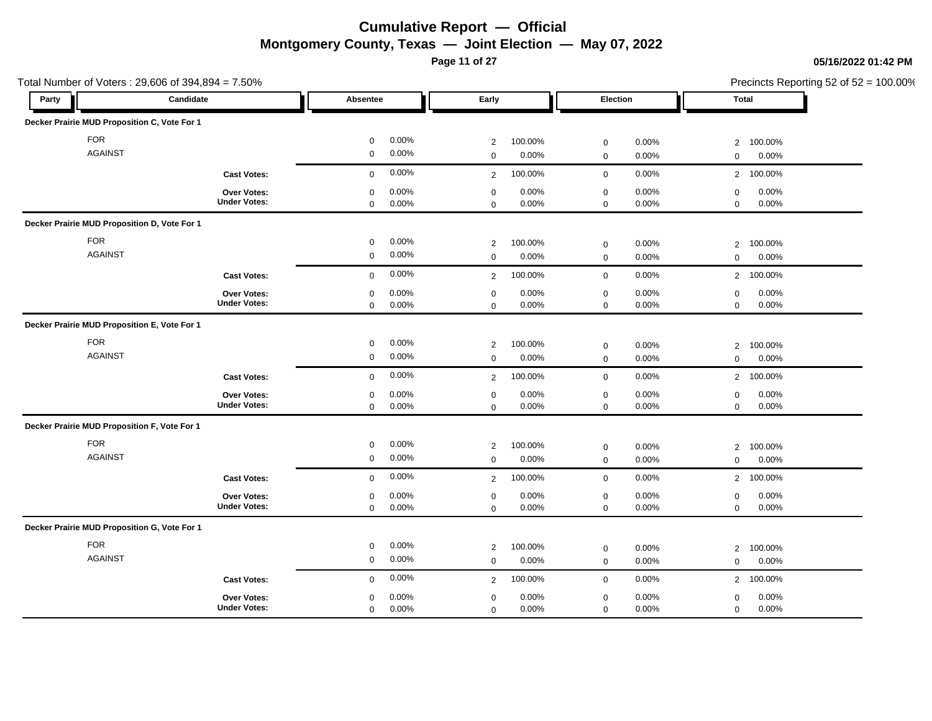**Page 11 of 27**

### **05/16/2022 01:42 PM**

| Total Number of Voters: 29,606 of 394,894 = 7.50% |                     |                      |                           |                         | Precincts Reporting 52 of 52 = 100.00% |  |
|---------------------------------------------------|---------------------|----------------------|---------------------------|-------------------------|----------------------------------------|--|
| Party                                             | Candidate           | Absentee             | Early                     | Election                | Total                                  |  |
| Decker Prairie MUD Proposition C, Vote For 1      |                     |                      |                           |                         |                                        |  |
| <b>FOR</b>                                        |                     | 0.00%<br>$\mathbf 0$ | 100.00%<br>$\overline{c}$ | 0.00%<br>$\mathbf 0$    | 100.00%<br>$\overline{2}$              |  |
| <b>AGAINST</b>                                    |                     | $\mathbf 0$<br>0.00% | 0.00%<br>$\mathbf 0$      | 0.00%<br>$\mathbf 0$    | 0.00%<br>$\mathbf 0$                   |  |
|                                                   | <b>Cast Votes:</b>  | 0.00%<br>$\mathbf 0$ | 100.00%<br>2              | 0.00%<br>$\mathbf 0$    | 2 100.00%                              |  |
|                                                   | Over Votes:         | 0.00%<br>$\mathbf 0$ | 0.00%<br>$\mathbf 0$      | 0.00%<br>$\mathbf 0$    | 0.00%<br>$\mathsf 0$                   |  |
|                                                   | <b>Under Votes:</b> | 0.00%<br>$\mathbf 0$ | 0.00%<br>$\mathbf 0$      | $\mathsf 0$<br>0.00%    | 0.00%<br>$\mathbf 0$                   |  |
| Decker Prairie MUD Proposition D, Vote For 1      |                     |                      |                           |                         |                                        |  |
| <b>FOR</b>                                        |                     | 0.00%<br>$\mathbf 0$ | $\overline{2}$<br>100.00% | $\mathbf 0$<br>0.00%    | 100.00%<br>$\overline{2}$              |  |
| <b>AGAINST</b>                                    |                     | 0.00%<br>$\mathbf 0$ | 0.00%<br>$\Omega$         | 0.00%<br>$\mathbf 0$    | 0.00%<br>$\mathbf 0$                   |  |
|                                                   | <b>Cast Votes:</b>  | 0.00%<br>$\mathbf 0$ | 100.00%<br>$\overline{2}$ | 0.00%<br>$\mathbf 0$    | 2 100.00%                              |  |
|                                                   | <b>Over Votes:</b>  | $\mathbf 0$<br>0.00% | $\mathbf 0$<br>0.00%      | $\mathbf 0$<br>$0.00\%$ | $\mathbf 0$<br>0.00%                   |  |
|                                                   | <b>Under Votes:</b> | $\mathbf 0$<br>0.00% | 0.00%<br>$\mathbf 0$      | $\mathbf 0$<br>0.00%    | $\mathsf 0$<br>0.00%                   |  |
| Decker Prairie MUD Proposition E, Vote For 1      |                     |                      |                           |                         |                                        |  |
| <b>FOR</b>                                        |                     | 0.00%<br>$\mathbf 0$ | 100.00%<br>$\overline{2}$ | 0.00%<br>$\mathbf 0$    | 100.00%<br>$\overline{2}$              |  |
| <b>AGAINST</b>                                    |                     | 0.00%<br>$\mathbf 0$ | 0.00%<br>$\Omega$         | 0.00%<br>$\mathbf 0$    | 0.00%<br>$\mathbf 0$                   |  |
|                                                   | <b>Cast Votes:</b>  | 0.00%<br>$\mathbf 0$ | 100.00%<br>$\overline{2}$ | 0.00%<br>$\mathsf 0$    | 100.00%<br>$\overline{2}$              |  |
|                                                   | <b>Over Votes:</b>  | 0.00%<br>$\mathbf 0$ | 0.00%<br>$\mathbf 0$      | 0.00%<br>$\mathbf 0$    | 0.00%<br>$\mathbf 0$                   |  |
|                                                   | <b>Under Votes:</b> | 0.00%<br>$\mathbf 0$ | 0.00%<br>$\mathbf 0$      | $\mathsf 0$<br>0.00%    | 0.00%<br>$\mathbf{0}$                  |  |
| Decker Prairie MUD Proposition F, Vote For 1      |                     |                      |                           |                         |                                        |  |
| <b>FOR</b>                                        |                     | 0.00%<br>$\mathbf 0$ | 100.00%<br>$\overline{2}$ | 0.00%<br>$\mathbf 0$    | 100.00%<br>2                           |  |
| <b>AGAINST</b>                                    |                     | 0.00%<br>$\mathbf 0$ | $\mathbf 0$<br>0.00%      | 0.00%<br>$\mathbf 0$    | 0.00%<br>$\mathbf 0$                   |  |
|                                                   | <b>Cast Votes:</b>  | 0.00%<br>$\mathbf 0$ | 100.00%<br>2              | 0.00%<br>$\mathbf 0$    | 100.00%<br>$\overline{2}$              |  |
|                                                   | Over Votes:         | 0.00%<br>$\mathbf 0$ | 0.00%<br>$\mathbf 0$      | 0.00%<br>$\mathbf 0$    | 0.00%<br>$\mathbf 0$                   |  |
|                                                   | <b>Under Votes:</b> | $\mathbf 0$<br>0.00% | 0.00%<br>$\mathbf 0$      | $\mathsf 0$<br>0.00%    | $\mathsf 0$<br>0.00%                   |  |
| Decker Prairie MUD Proposition G, Vote For 1      |                     |                      |                           |                         |                                        |  |
| <b>FOR</b>                                        |                     | 0.00%<br>$\mathbf 0$ | 100.00%<br>$\overline{2}$ | 0.00%<br>$\mathbf 0$    | 100.00%<br>$\overline{2}$              |  |
| <b>AGAINST</b>                                    |                     | 0.00%<br>$\mathbf 0$ | 0.00%<br>$\mathbf 0$      | $\mathsf 0$<br>0.00%    | 0.00%<br>$\mathbf 0$                   |  |
|                                                   | <b>Cast Votes:</b>  | 0.00%<br>$\mathbf 0$ | 100.00%<br>2              | 0.00%<br>$\mathbf 0$    | 100.00%<br>2                           |  |
|                                                   | <b>Over Votes:</b>  | 0.00%<br>$\mathbf 0$ | 0.00%<br>$\mathbf 0$      | $0.00\%$<br>$\mathbf 0$ | 0.00%<br>$\mathbf 0$                   |  |
|                                                   | <b>Under Votes:</b> | 0.00%<br>$\mathbf 0$ | 0.00%<br>$\mathbf 0$      | $\mathbf 0$<br>0.00%    | 0.00%<br>$\mathbf 0$                   |  |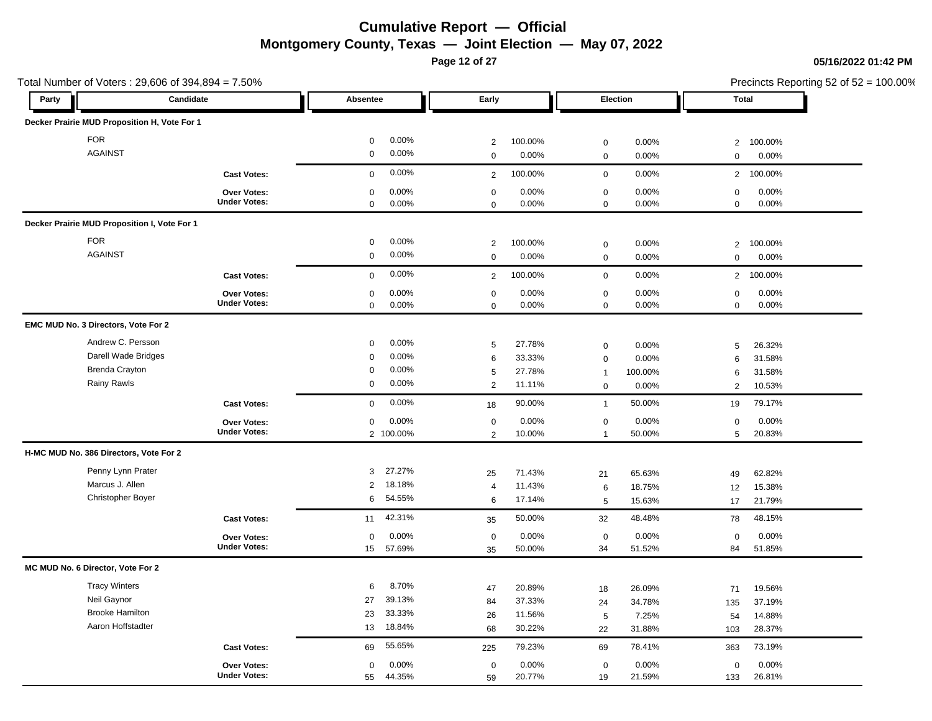**Page 12 of 27**

| Total Number of Voters: 29,606 of 394,894 = 7.50% |                     |                      |                |         |                     |         |                | Precincts Reporting 52 of 52 = 100.00% |
|---------------------------------------------------|---------------------|----------------------|----------------|---------|---------------------|---------|----------------|----------------------------------------|
| Party                                             | Candidate           | Absentee             | Early          |         | Election            |         | Total          |                                        |
| Decker Prairie MUD Proposition H, Vote For 1      |                     |                      |                |         |                     |         |                |                                        |
| <b>FOR</b>                                        |                     | 0.00%<br>$\mathbf 0$ | 2              | 100.00% | $\mathsf{O}\xspace$ | 0.00%   | $\overline{2}$ | 100.00%                                |
| <b>AGAINST</b>                                    |                     | 0.00%<br>$\mathbf 0$ | $\mathbf 0$    | 0.00%   | $\mathsf{O}\xspace$ | 0.00%   | $\mathbf 0$    | 0.00%                                  |
|                                                   | <b>Cast Votes:</b>  | 0.00%<br>$\mathbf 0$ | 2              | 100.00% | $\boldsymbol{0}$    | 0.00%   | $\overline{2}$ | 100.00%                                |
|                                                   | Over Votes:         | 0.00%<br>$\mathbf 0$ | $\mathbf 0$    | 0.00%   | $\mathbf 0$         | 0.00%   | $\mathsf 0$    | 0.00%                                  |
|                                                   | <b>Under Votes:</b> | $\mathbf 0$<br>0.00% | $\mathbf 0$    | 0.00%   | $\mathbf 0$         | 0.00%   | $\mathbf 0$    | 0.00%                                  |
| Decker Prairie MUD Proposition I, Vote For 1      |                     |                      |                |         |                     |         |                |                                        |
| <b>FOR</b>                                        |                     | 0.00%<br>$\mathbf 0$ | $\overline{c}$ | 100.00% | $\boldsymbol{0}$    | 0.00%   | $\overline{2}$ | 100.00%                                |
| <b>AGAINST</b>                                    |                     | 0.00%<br>$\mathbf 0$ | $\Omega$       | 0.00%   | $\mathbf 0$         | 0.00%   | $\mathbf 0$    | 0.00%                                  |
|                                                   | <b>Cast Votes:</b>  | 0.00%<br>$\mathbf 0$ | $\overline{2}$ | 100.00% | $\mathbf 0$         | 0.00%   | $\overline{2}$ | 100.00%                                |
|                                                   | Over Votes:         | 0.00%<br>0           | $\mathbf 0$    | 0.00%   | $\pmb{0}$           | 0.00%   | $\mathsf 0$    | 0.00%                                  |
|                                                   | <b>Under Votes:</b> | $\mathbf 0$<br>0.00% | $\mathbf 0$    | 0.00%   | $\mathbf 0$         | 0.00%   | $\mathbf 0$    | 0.00%                                  |
| EMC MUD No. 3 Directors, Vote For 2               |                     |                      |                |         |                     |         |                |                                        |
| Andrew C. Persson                                 |                     | 0.00%<br>$\mathbf 0$ | 5              | 27.78%  | $\mathbf 0$         | 0.00%   | 5              | 26.32%                                 |
| Darell Wade Bridges                               |                     | 0.00%<br>$\Omega$    | 6              | 33.33%  | $\boldsymbol{0}$    | 0.00%   | 6              | 31.58%                                 |
| <b>Brenda Crayton</b>                             |                     | 0.00%<br>$\Omega$    | 5              | 27.78%  | $\mathbf{1}$        | 100.00% | 6              | 31.58%                                 |
| Rainy Rawls                                       |                     | 0.00%<br>0           | 2              | 11.11%  | $\mathbf 0$         | 0.00%   | $\overline{2}$ | 10.53%                                 |
|                                                   | <b>Cast Votes:</b>  | 0.00%<br>$\mathbf 0$ | 18             | 90.00%  | $\mathbf{1}$        | 50.00%  | 19             | 79.17%                                 |
|                                                   | Over Votes:         | 0.00%<br>$\mathbf 0$ | $\mathbf 0$    | 0.00%   | $\mathbf 0$         | 0.00%   | $\mathbf 0$    | 0.00%                                  |
|                                                   | <b>Under Votes:</b> | 2 100.00%            | $\overline{2}$ | 10.00%  | $\mathbf{1}$        | 50.00%  | 5              | 20.83%                                 |
| H-MC MUD No. 386 Directors, Vote For 2            |                     |                      |                |         |                     |         |                |                                        |
| Penny Lynn Prater                                 |                     | 27.27%<br>3          | 25             | 71.43%  | 21                  | 65.63%  | 49             | 62.82%                                 |
| Marcus J. Allen                                   |                     | 18.18%<br>2          | $\overline{4}$ | 11.43%  | 6                   | 18.75%  | 12             | 15.38%                                 |
| Christopher Boyer                                 |                     | 54.55%<br>6          | 6              | 17.14%  | 5                   | 15.63%  | 17             | 21.79%                                 |
|                                                   | <b>Cast Votes:</b>  | 42.31%<br>11         | 35             | 50.00%  | 32                  | 48.48%  | 78             | 48.15%                                 |
|                                                   | Over Votes:         | 0.00%<br>$\mathbf 0$ | $\mathbf 0$    | 0.00%   | $\mathbf 0$         | 0.00%   | $\mathbf 0$    | 0.00%                                  |
|                                                   | <b>Under Votes:</b> | 57.69%<br>15         | 35             | 50.00%  | 34                  | 51.52%  | 84             | 51.85%                                 |
| MC MUD No. 6 Director, Vote For 2                 |                     |                      |                |         |                     |         |                |                                        |
| <b>Tracy Winters</b>                              |                     | 8.70%<br>6           | 47             | 20.89%  | 18                  | 26.09%  | 71             | 19.56%                                 |
| Neil Gaynor                                       |                     | 39.13%<br>27         | 84             | 37.33%  | 24                  | 34.78%  | 135            | 37.19%                                 |
| <b>Brooke Hamilton</b>                            |                     | 33.33%<br>23         | 26             | 11.56%  | 5                   | 7.25%   | 54             | 14.88%                                 |
| Aaron Hoffstadter                                 |                     | 18.84%<br>13         | 68             | 30.22%  | 22                  | 31.88%  | 103            | 28.37%                                 |
|                                                   | <b>Cast Votes:</b>  | 55.65%<br>69         | 225            | 79.23%  | 69                  | 78.41%  | 363            | 73.19%                                 |
|                                                   | Over Votes:         | 0.00%<br>$\mathbf 0$ | $\mathbf 0$    | 0.00%   | $\mathsf{O}\xspace$ | 0.00%   | $\mathbf 0$    | 0.00%                                  |
|                                                   | <b>Under Votes:</b> | 55<br>44.35%         | 59             | 20.77%  | 19                  | 21.59%  | 133            | 26.81%                                 |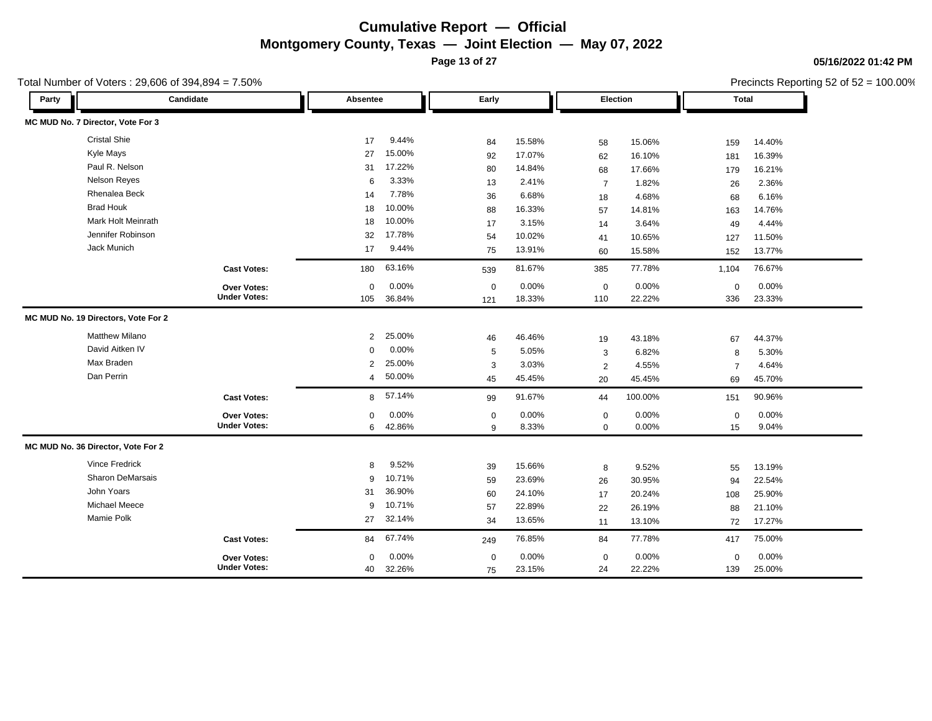**Page 13 of 27**

Total Number of Voters : 29,606 of 394,894 = 7.50%

**05/16/2022 01:42 PM**

| Party | Candidate                           |                     | Absentee       |          | Early       |        | Election       |         |                | <b>Total</b> |  |
|-------|-------------------------------------|---------------------|----------------|----------|-------------|--------|----------------|---------|----------------|--------------|--|
|       | MC MUD No. 7 Director, Vote For 3   |                     |                |          |             |        |                |         |                |              |  |
|       | <b>Cristal Shie</b>                 |                     | 17             | 9.44%    | 84          | 15.58% | 58             | 15.06%  | 159            | 14.40%       |  |
|       | Kyle Mays                           |                     | 27             | 15.00%   | 92          | 17.07% | 62             | 16.10%  | 181            | 16.39%       |  |
|       | Paul R. Nelson                      |                     | 31             | 17.22%   | 80          | 14.84% | 68             | 17.66%  | 179            | 16.21%       |  |
|       | <b>Nelson Reyes</b>                 |                     | 6              | 3.33%    | 13          | 2.41%  | $\overline{7}$ | 1.82%   | 26             | 2.36%        |  |
|       | Rhenalea Beck                       |                     | 14             | 7.78%    | 36          | 6.68%  | 18             | 4.68%   | 68             | 6.16%        |  |
|       | <b>Brad Houk</b>                    |                     | 18             | 10.00%   | 88          | 16.33% | 57             | 14.81%  | 163            | 14.76%       |  |
|       | <b>Mark Holt Meinrath</b>           |                     | 18             | 10.00%   | 17          | 3.15%  | 14             | 3.64%   | 49             | 4.44%        |  |
|       | Jennifer Robinson                   |                     | 32             | 17.78%   | 54          | 10.02% | 41             | 10.65%  | 127            | 11.50%       |  |
|       | Jack Munich                         |                     | 17             | 9.44%    | 75          | 13.91% | 60             | 15.58%  | 152            | 13.77%       |  |
|       |                                     | <b>Cast Votes:</b>  | 180            | 63.16%   | 539         | 81.67% | 385            | 77.78%  | 1,104          | 76.67%       |  |
|       |                                     | Over Votes:         | 0              | $0.00\%$ | $\mathbf 0$ | 0.00%  | $\mathsf 0$    | 0.00%   | 0              | 0.00%        |  |
|       |                                     | <b>Under Votes:</b> | 105            | 36.84%   | 121         | 18.33% | 110            | 22.22%  | 336            | 23.33%       |  |
|       | MC MUD No. 19 Directors, Vote For 2 |                     |                |          |             |        |                |         |                |              |  |
|       | <b>Matthew Milano</b>               |                     | $\overline{2}$ | 25.00%   | 46          | 46.46% | 19             | 43.18%  | 67             | 44.37%       |  |
|       | David Aitken IV                     |                     | 0              | 0.00%    | 5           | 5.05%  | 3              | 6.82%   | 8              | 5.30%        |  |
|       | Max Braden                          |                     | $\overline{2}$ | 25.00%   | 3           | 3.03%  | 2              | 4.55%   | $\overline{7}$ | 4.64%        |  |
|       | Dan Perrin                          |                     | $\overline{4}$ | 50.00%   | 45          | 45.45% | 20             | 45.45%  | 69             | 45.70%       |  |
|       |                                     | <b>Cast Votes:</b>  |                | 8 57.14% | 99          | 91.67% | 44             | 100.00% | 151            | 90.96%       |  |
|       |                                     | Over Votes:         | $\mathbf 0$    | 0.00%    | $\mathbf 0$ | 0.00%  | $\mathbf 0$    | 0.00%   | $\mathbf 0$    | 0.00%        |  |
|       |                                     | <b>Under Votes:</b> | 6              | 42.86%   | 9           | 8.33%  | $\mathbf 0$    | 0.00%   | 15             | 9.04%        |  |
|       | MC MUD No. 36 Director, Vote For 2  |                     |                |          |             |        |                |         |                |              |  |
|       | <b>Vince Fredrick</b>               |                     | 8              | 9.52%    | 39          | 15.66% | 8              | 9.52%   | 55             | 13.19%       |  |
|       | Sharon DeMarsais                    |                     | 9              | 10.71%   | 59          | 23.69% | 26             | 30.95%  | 94             | 22.54%       |  |
|       | John Yoars                          |                     | 31             | 36.90%   | 60          | 24.10% | 17             | 20.24%  | 108            | 25.90%       |  |
|       | <b>Michael Meece</b>                |                     | 9              | 10.71%   | 57          | 22.89% | 22             | 26.19%  | 88             | 21.10%       |  |
|       | Mamie Polk                          |                     | 27             | 32.14%   | 34          | 13.65% | 11             | 13.10%  | 72             | 17.27%       |  |
|       |                                     | <b>Cast Votes:</b>  | 84             | 67.74%   | 249         | 76.85% | 84             | 77.78%  | 417            | 75.00%       |  |
|       |                                     | <b>Over Votes:</b>  | 0              | 0.00%    | $\mathbf 0$ | 0.00%  | $\mathbf 0$    | 0.00%   | $\mathbf 0$    | 0.00%        |  |
|       |                                     | <b>Under Votes:</b> | 40             | 32.26%   | 75          | 23.15% | 24             | 22.22%  | 139            | 25.00%       |  |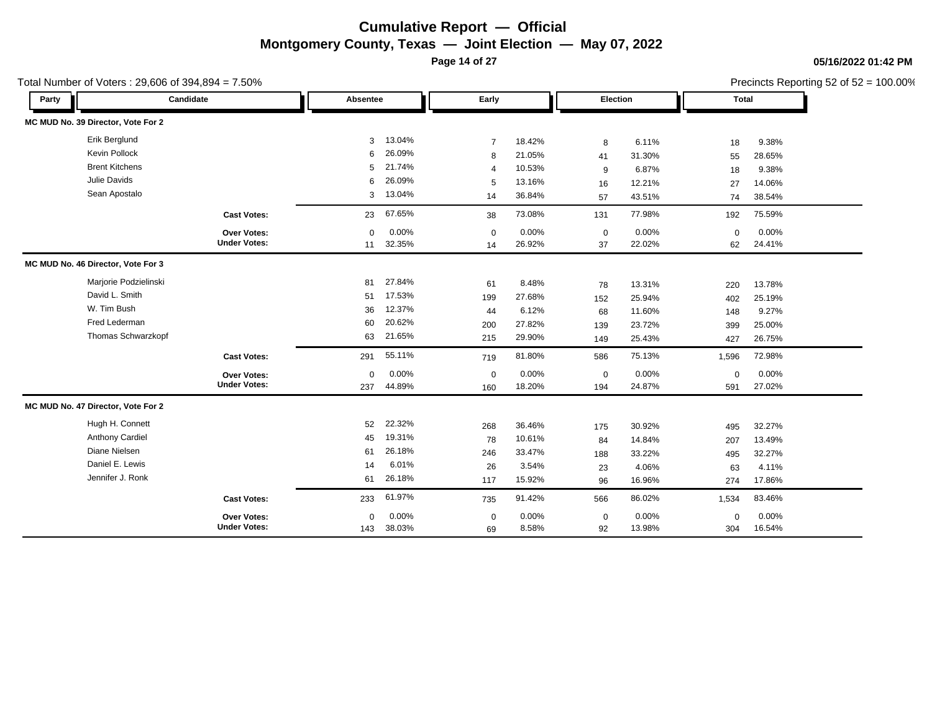**Page 14 of 27**

Total Number of Voters : 29,606 of 394,894 = 7.50%

### **05/16/2022 01:42 PM**

| Party |                                    | Candidate           | Absentee    |        | Early          |        |             | Election |             | <b>Total</b> |  |
|-------|------------------------------------|---------------------|-------------|--------|----------------|--------|-------------|----------|-------------|--------------|--|
|       | MC MUD No. 39 Director, Vote For 2 |                     |             |        |                |        |             |          |             |              |  |
|       | Erik Berglund                      |                     | 3           | 13.04% | $\overline{7}$ | 18.42% | 8           | 6.11%    | 18          | 9.38%        |  |
|       | <b>Kevin Pollock</b>               |                     | 6           | 26.09% | 8              | 21.05% | 41          | 31.30%   | 55          | 28.65%       |  |
|       | <b>Brent Kitchens</b>              |                     | 5           | 21.74% | $\overline{4}$ | 10.53% | 9           | 6.87%    | 18          | 9.38%        |  |
|       | Julie Davids                       |                     | 6           | 26.09% | 5              | 13.16% | 16          | 12.21%   | 27          | 14.06%       |  |
|       | Sean Apostalo                      |                     | 3           | 13.04% | 14             | 36.84% | 57          | 43.51%   | 74          | 38.54%       |  |
|       |                                    | <b>Cast Votes:</b>  | 23          | 67.65% | 38             | 73.08% | 131         | 77.98%   | 192         | 75.59%       |  |
|       |                                    | Over Votes:         | $\Omega$    | 0.00%  | $\mathbf 0$    | 0.00%  | $\mathbf 0$ | 0.00%    | $\mathbf 0$ | 0.00%        |  |
|       |                                    | <b>Under Votes:</b> | 11          | 32.35% | 14             | 26.92% | 37          | 22.02%   | 62          | 24.41%       |  |
|       | MC MUD No. 46 Director, Vote For 3 |                     |             |        |                |        |             |          |             |              |  |
|       | Marjorie Podzielinski              |                     | 81          | 27.84% | 61             | 8.48%  | 78          | 13.31%   | 220         | 13.78%       |  |
|       | David L. Smith                     |                     | 51          | 17.53% | 199            | 27.68% | 152         | 25.94%   | 402         | 25.19%       |  |
|       | W. Tim Bush                        |                     | 36          | 12.37% | 44             | 6.12%  | 68          | 11.60%   | 148         | 9.27%        |  |
|       | Fred Lederman                      |                     | 60          | 20.62% | 200            | 27.82% | 139         | 23.72%   | 399         | 25.00%       |  |
|       | Thomas Schwarzkopf                 |                     | 63          | 21.65% | 215            | 29.90% | 149         | 25.43%   | 427         | 26.75%       |  |
|       |                                    | <b>Cast Votes:</b>  | 291         | 55.11% | 719            | 81.80% | 586         | 75.13%   | 1,596       | 72.98%       |  |
|       |                                    | Over Votes:         | $\mathbf 0$ | 0.00%  | $\mathbf 0$    | 0.00%  | $\mathbf 0$ | 0.00%    | $\mathbf 0$ | 0.00%        |  |
|       |                                    | <b>Under Votes:</b> | 237         | 44.89% | 160            | 18.20% | 194         | 24.87%   | 591         | 27.02%       |  |
|       | MC MUD No. 47 Director, Vote For 2 |                     |             |        |                |        |             |          |             |              |  |
|       | Hugh H. Connett                    |                     | 52          | 22.32% | 268            | 36.46% | 175         | 30.92%   | 495         | 32.27%       |  |
|       | <b>Anthony Cardiel</b>             |                     | 45          | 19.31% | 78             | 10.61% | 84          | 14.84%   | 207         | 13.49%       |  |
|       | Diane Nielsen                      |                     | 61          | 26.18% | 246            | 33.47% | 188         | 33.22%   | 495         | 32.27%       |  |
|       | Daniel E. Lewis                    |                     | 14          | 6.01%  | 26             | 3.54%  | 23          | 4.06%    | 63          | 4.11%        |  |
|       | Jennifer J. Ronk                   |                     | 61          | 26.18% | 117            | 15.92% | 96          | 16.96%   | 274         | 17.86%       |  |
|       |                                    | <b>Cast Votes:</b>  | 233         | 61.97% | 735            | 91.42% | 566         | 86.02%   | 1,534       | 83.46%       |  |
|       |                                    | Over Votes:         | $\Omega$    | 0.00%  | $\mathbf 0$    | 0.00%  | $\mathbf 0$ | 0.00%    | $\mathbf 0$ | 0.00%        |  |
|       |                                    | <b>Under Votes:</b> | 143         | 38.03% | 69             | 8.58%  | 92          | 13.98%   | 304         | 16.54%       |  |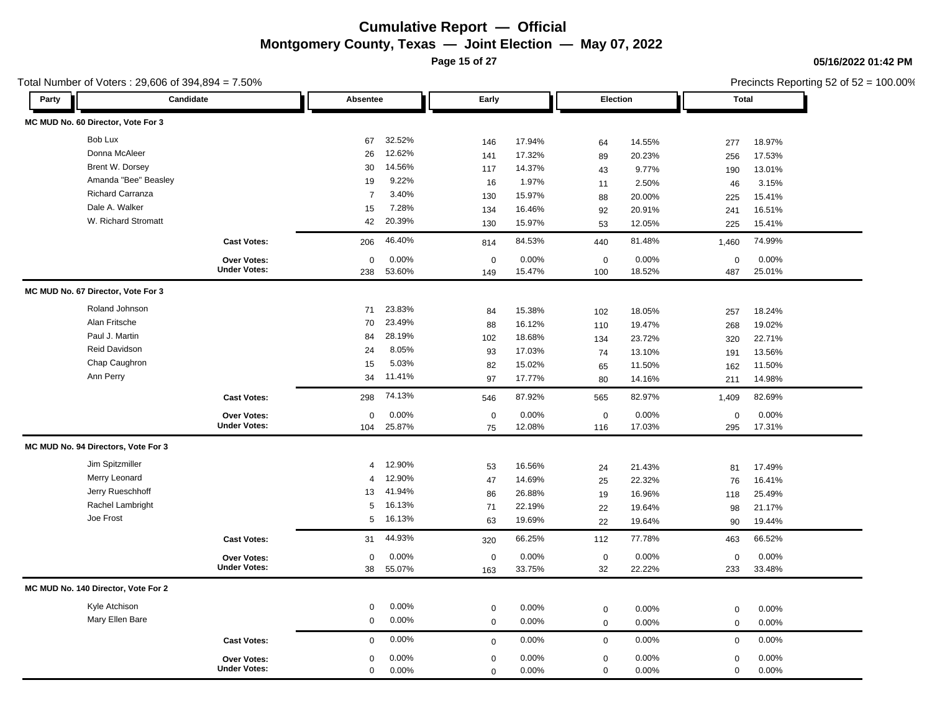**Page 15 of 27**

Total Number of Voters : 29,606 of 394,894 = 7.50%

### **05/16/2022 01:42 PM**

| Party | Candidate                           |                     | Absentee       |        | Early            |        | Election         |        | <b>Total</b> |        |
|-------|-------------------------------------|---------------------|----------------|--------|------------------|--------|------------------|--------|--------------|--------|
|       | MC MUD No. 60 Director, Vote For 3  |                     |                |        |                  |        |                  |        |              |        |
|       | Bob Lux                             |                     | 67             | 32.52% | 146              | 17.94% | 64               | 14.55% | 277          | 18.97% |
|       | Donna McAleer                       |                     | 26             | 12.62% | 141              | 17.32% | 89               | 20.23% | 256          | 17.53% |
|       | Brent W. Dorsey                     |                     | 30             | 14.56% | 117              | 14.37% | 43               | 9.77%  | 190          | 13.01% |
|       | Amanda "Bee" Beasley                |                     | 19             | 9.22%  | 16               | 1.97%  | 11               | 2.50%  | 46           | 3.15%  |
|       | Richard Carranza                    |                     | $\overline{7}$ | 3.40%  | 130              | 15.97% | 88               | 20.00% | 225          | 15.41% |
|       | Dale A. Walker                      |                     | 15             | 7.28%  | 134              | 16.46% | 92               | 20.91% | 241          | 16.51% |
|       | W. Richard Stromatt                 |                     | 42             | 20.39% | 130              | 15.97% | 53               | 12.05% | 225          | 15.41% |
|       |                                     | <b>Cast Votes:</b>  | 206            | 46.40% | 814              | 84.53% | 440              | 81.48% | 1,460        | 74.99% |
|       |                                     | Over Votes:         | $\mathbf 0$    | 0.00%  | $\boldsymbol{0}$ | 0.00%  | $\boldsymbol{0}$ | 0.00%  | $\mathbf 0$  | 0.00%  |
|       |                                     | <b>Under Votes:</b> | 238            | 53.60% | 149              | 15.47% | 100              | 18.52% | 487          | 25.01% |
|       | MC MUD No. 67 Director, Vote For 3  |                     |                |        |                  |        |                  |        |              |        |
|       | Roland Johnson                      |                     | 71             | 23.83% | 84               | 15.38% | 102              | 18.05% | 257          | 18.24% |
|       | Alan Fritsche                       |                     | 70             | 23.49% | 88               | 16.12% | 110              | 19.47% | 268          | 19.02% |
|       | Paul J. Martin                      |                     | 84             | 28.19% | 102              | 18.68% | 134              | 23.72% | 320          | 22.71% |
|       | Reid Davidson                       |                     | 24             | 8.05%  | 93               | 17.03% | 74               | 13.10% | 191          | 13.56% |
|       | Chap Caughron                       |                     | 15             | 5.03%  | 82               | 15.02% | 65               | 11.50% | 162          | 11.50% |
|       | Ann Perry                           |                     | 34             | 11.41% | 97               | 17.77% | 80               | 14.16% | 211          | 14.98% |
|       |                                     | <b>Cast Votes:</b>  | 298            | 74.13% | 546              | 87.92% | 565              | 82.97% | 1,409        | 82.69% |
|       |                                     | <b>Over Votes:</b>  | $\mathbf 0$    | 0.00%  | $\mathbf 0$      | 0.00%  | $\mathbf 0$      | 0.00%  | $\mathbf 0$  | 0.00%  |
|       |                                     | <b>Under Votes:</b> | 104            | 25.87% | 75               | 12.08% | 116              | 17.03% | 295          | 17.31% |
|       | MC MUD No. 94 Directors, Vote For 3 |                     |                |        |                  |        |                  |        |              |        |
|       | Jim Spitzmiller                     |                     | $\overline{4}$ | 12.90% | 53               | 16.56% | 24               | 21.43% | 81           | 17.49% |
|       | Merry Leonard                       |                     | $\overline{4}$ | 12.90% | 47               | 14.69% | 25               | 22.32% | 76           | 16.41% |
|       | Jerry Rueschhoff                    |                     | 13             | 41.94% | 86               | 26.88% | 19               | 16.96% | 118          | 25.49% |
|       | Rachel Lambright                    |                     | 5              | 16.13% | 71               | 22.19% | 22               | 19.64% | 98           | 21.17% |
|       | Joe Frost                           |                     | 5              | 16.13% | 63               | 19.69% | 22               | 19.64% | 90           | 19.44% |
|       |                                     | <b>Cast Votes:</b>  | 31             | 44.93% | 320              | 66.25% | 112              | 77.78% | 463          | 66.52% |
|       |                                     | Over Votes:         | $\mathbf 0$    | 0.00%  | $\mathbf 0$      | 0.00%  | $\boldsymbol{0}$ | 0.00%  | $\mathsf 0$  | 0.00%  |
|       |                                     | <b>Under Votes:</b> | 38             | 55.07% | 163              | 33.75% | 32               | 22.22% | 233          | 33.48% |
|       | MC MUD No. 140 Director, Vote For 2 |                     |                |        |                  |        |                  |        |              |        |
|       | Kyle Atchison                       |                     | $\mathbf 0$    | 0.00%  | $\mathbf 0$      | 0.00%  | $\mathbf 0$      | 0.00%  | $\mathbf 0$  | 0.00%  |
|       | Mary Ellen Bare                     |                     | $\mathbf 0$    | 0.00%  | $\mathbf 0$      | 0.00%  | $\mathbf 0$      | 0.00%  | $\mathbf{0}$ | 0.00%  |
|       |                                     | <b>Cast Votes:</b>  | $\mathbf 0$    | 0.00%  | $\mathbf 0$      | 0.00%  | $\mathbf 0$      | 0.00%  | $\mathbf 0$  | 0.00%  |
|       |                                     | Over Votes:         | $\mathbf 0$    | 0.00%  | $\mathbf 0$      | 0.00%  | $\mathbf 0$      | 0.00%  | $\mathbf 0$  | 0.00%  |
|       |                                     | <b>Under Votes:</b> | $\mathbf 0$    | 0.00%  | $\mathbf 0$      | 0.00%  | $\mathbf 0$      | 0.00%  | $\mathbf 0$  | 0.00%  |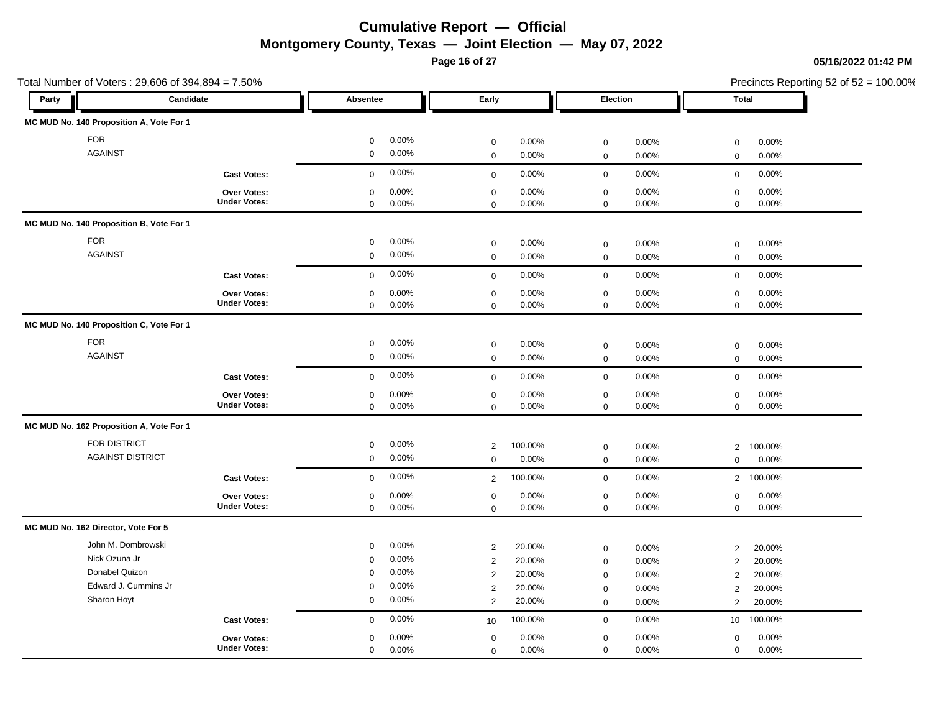**Page 16 of 27**

### **05/16/2022 01:42 PM**

| Total Number of Voters: 29,606 of 394,894 = 7.50% |                     |             |       |                |         |             |       | Precincts Reporting 52 of 52 = 100.00% |         |  |
|---------------------------------------------------|---------------------|-------------|-------|----------------|---------|-------------|-------|----------------------------------------|---------|--|
| Party                                             | Candidate           | Absentee    |       | Early          |         | Election    |       | <b>Total</b>                           |         |  |
| MC MUD No. 140 Proposition A, Vote For 1          |                     |             |       |                |         |             |       |                                        |         |  |
| <b>FOR</b>                                        |                     | $\mathsf 0$ | 0.00% | $\mathbf 0$    | 0.00%   | $\mathbf 0$ | 0.00% | $\mathbf 0$                            | 0.00%   |  |
| <b>AGAINST</b>                                    |                     | $\mathbf 0$ | 0.00% | $\mathbf 0$    | 0.00%   | $\mathsf 0$ | 0.00% | $\mathbf 0$                            | 0.00%   |  |
|                                                   | <b>Cast Votes:</b>  | $\mathbf 0$ | 0.00% | $\mathbf 0$    | 0.00%   | $\mathbf 0$ | 0.00% | $\mathbf 0$                            | 0.00%   |  |
|                                                   | Over Votes:         | $\mathbf 0$ | 0.00% | $\mathbf 0$    | 0.00%   | $\mathbf 0$ | 0.00% | $\mathbf 0$                            | 0.00%   |  |
|                                                   | <b>Under Votes:</b> | $\mathbf 0$ | 0.00% | $\mathbf 0$    | 0.00%   | $\mathbf 0$ | 0.00% | $\mathbf 0$                            | 0.00%   |  |
| MC MUD No. 140 Proposition B, Vote For 1          |                     |             |       |                |         |             |       |                                        |         |  |
| <b>FOR</b>                                        |                     | $\mathbf 0$ | 0.00% | $\mathbf 0$    | 0.00%   | $\mathbf 0$ | 0.00% | $\mathbf 0$                            | 0.00%   |  |
| <b>AGAINST</b>                                    |                     | $\mathbf 0$ | 0.00% | $\mathbf 0$    | 0.00%   | $\mathbf 0$ | 0.00% | $\mathbf 0$                            | 0.00%   |  |
|                                                   | <b>Cast Votes:</b>  | $\mathbf 0$ | 0.00% | $\mathbf 0$    | 0.00%   | $\mathsf 0$ | 0.00% | $\mathbf 0$                            | 0.00%   |  |
|                                                   | Over Votes:         | $\mathbf 0$ | 0.00% | $\mathbf 0$    | 0.00%   | $\mathbf 0$ | 0.00% | $\mathbf 0$                            | 0.00%   |  |
|                                                   | <b>Under Votes:</b> | $\mathbf 0$ | 0.00% | $\mathbf 0$    | 0.00%   | $\mathsf 0$ | 0.00% | $\mathbf 0$                            | 0.00%   |  |
| MC MUD No. 140 Proposition C, Vote For 1          |                     |             |       |                |         |             |       |                                        |         |  |
| <b>FOR</b>                                        |                     | $\mathbf 0$ | 0.00% | $\mathbf 0$    | 0.00%   | $\mathbf 0$ | 0.00% | $\pmb{0}$                              | 0.00%   |  |
| <b>AGAINST</b>                                    |                     | $\mathbf 0$ | 0.00% | $\mathbf 0$    | 0.00%   | $\mathbf 0$ | 0.00% | $\mathbf 0$                            | 0.00%   |  |
|                                                   | <b>Cast Votes:</b>  | $\mathbf 0$ | 0.00% | $\mathbf 0$    | 0.00%   | $\mathbf 0$ | 0.00% | $\mathbf 0$                            | 0.00%   |  |
|                                                   | Over Votes:         | $\mathbf 0$ | 0.00% | $\mathbf 0$    | 0.00%   | $\mathbf 0$ | 0.00% | $\mathbf 0$                            | 0.00%   |  |
|                                                   | <b>Under Votes:</b> | $\mathbf 0$ | 0.00% | $\mathbf 0$    | 0.00%   | $\mathbf 0$ | 0.00% | $\mathbf 0$                            | 0.00%   |  |
| MC MUD No. 162 Proposition A, Vote For 1          |                     |             |       |                |         |             |       |                                        |         |  |
| <b>FOR DISTRICT</b>                               |                     | $\mathbf 0$ | 0.00% | 2              | 100.00% | $\mathbf 0$ | 0.00% | $\overline{2}$                         | 100.00% |  |
| <b>AGAINST DISTRICT</b>                           |                     | $\mathbf 0$ | 0.00% | $\mathbf 0$    | 0.00%   | $\mathbf 0$ | 0.00% | $\mathbf 0$                            | 0.00%   |  |
|                                                   | <b>Cast Votes:</b>  | $\mathbf 0$ | 0.00% | 2              | 100.00% | $\mathsf 0$ | 0.00% | $\overline{2}$                         | 100.00% |  |
|                                                   | Over Votes:         | $\mathbf 0$ | 0.00% | $\mathbf 0$    | 0.00%   | $\mathbf 0$ | 0.00% | $\mathbf 0$                            | 0.00%   |  |
|                                                   | <b>Under Votes:</b> | $\mathbf 0$ | 0.00% | $\mathbf 0$    | 0.00%   | $\mathsf 0$ | 0.00% | $\mathbf 0$                            | 0.00%   |  |
| MC MUD No. 162 Director, Vote For 5               |                     |             |       |                |         |             |       |                                        |         |  |
| John M. Dombrowski                                |                     | $\mathbf 0$ | 0.00% | $\overline{2}$ | 20.00%  | $\mathbf 0$ | 0.00% | $\overline{2}$                         | 20.00%  |  |
| Nick Ozuna Jr                                     |                     | $\mathbf 0$ | 0.00% | $\overline{2}$ | 20.00%  | $\mathbf 0$ | 0.00% | $\overline{2}$                         | 20.00%  |  |
| Donabel Quizon                                    |                     | $\mathbf 0$ | 0.00% | $\overline{2}$ | 20.00%  | $\mathbf 0$ | 0.00% | $\overline{2}$                         | 20.00%  |  |
| Edward J. Cummins Jr                              |                     | $\mathsf 0$ | 0.00% | $\overline{2}$ | 20.00%  | $\mathbf 0$ | 0.00% | $\overline{2}$                         | 20.00%  |  |
| Sharon Hoyt                                       |                     | $\mathbf 0$ | 0.00% | $\overline{2}$ | 20.00%  | $\mathbf 0$ | 0.00% | 2                                      | 20.00%  |  |
|                                                   | <b>Cast Votes:</b>  | $\Omega$    | 0.00% | 10             | 100.00% | $\mathbf 0$ | 0.00% | 10                                     | 100.00% |  |
|                                                   | <b>Over Votes:</b>  | $\mathbf 0$ | 0.00% | $\mathbf 0$    | 0.00%   | $\mathbf 0$ | 0.00% | $\mathbf 0$                            | 0.00%   |  |
|                                                   | <b>Under Votes:</b> | $\mathbf 0$ | 0.00% | $\mathbf 0$    | 0.00%   | $\mathbf 0$ | 0.00% | $\mathbf 0$                            | 0.00%   |  |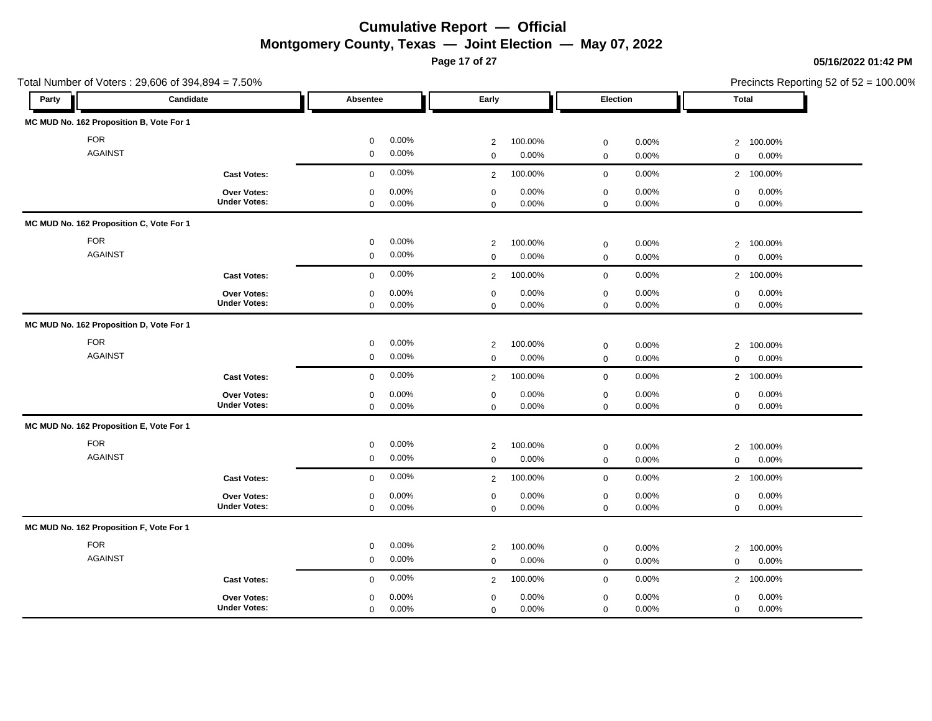**Page 17 of 27**

### **05/16/2022 01:42 PM**

| Total Number of Voters: 29,606 of 394,894 = 7.50% |                     |                      |                           |                         | Precincts Reporting 52 of 52 = 100.00% |  |
|---------------------------------------------------|---------------------|----------------------|---------------------------|-------------------------|----------------------------------------|--|
| Party                                             | Candidate           | Absentee             | Early                     | Election                | Total                                  |  |
| MC MUD No. 162 Proposition B, Vote For 1          |                     |                      |                           |                         |                                        |  |
| <b>FOR</b>                                        |                     | 0.00%<br>$\mathbf 0$ | 100.00%<br>$\overline{c}$ | 0.00%<br>$\mathbf 0$    | 100.00%<br>$\overline{2}$              |  |
| <b>AGAINST</b>                                    |                     | $\mathbf 0$<br>0.00% | 0.00%<br>$\mathbf 0$      | 0.00%<br>$\mathbf 0$    | 0.00%<br>$\mathbf 0$                   |  |
|                                                   | <b>Cast Votes:</b>  | 0.00%<br>$\mathbf 0$ | 100.00%<br>2              | 0.00%<br>$\mathbf 0$    | 2 100.00%                              |  |
|                                                   | Over Votes:         | 0.00%<br>$\mathbf 0$ | 0.00%<br>$\mathbf 0$      | 0.00%<br>$\mathbf 0$    | 0.00%<br>$\mathsf 0$                   |  |
|                                                   | <b>Under Votes:</b> | 0.00%<br>$\mathbf 0$ | 0.00%<br>$\mathbf 0$      | $\mathsf 0$<br>0.00%    | 0.00%<br>$\mathbf 0$                   |  |
| MC MUD No. 162 Proposition C, Vote For 1          |                     |                      |                           |                         |                                        |  |
| <b>FOR</b>                                        |                     | 0.00%<br>$\mathbf 0$ | $\overline{2}$<br>100.00% | 0.00%<br>$\mathbf 0$    | 100.00%<br>$\overline{2}$              |  |
| <b>AGAINST</b>                                    |                     | 0.00%<br>$\mathbf 0$ | 0.00%<br>$\Omega$         | 0.00%<br>$\mathbf 0$    | 0.00%<br>$\mathbf 0$                   |  |
|                                                   | <b>Cast Votes:</b>  | 0.00%<br>$\mathbf 0$ | 100.00%<br>$\overline{2}$ | 0.00%<br>$\mathbf 0$    | 2 100.00%                              |  |
|                                                   | <b>Over Votes:</b>  | $\mathbf 0$<br>0.00% | $\mathbf 0$<br>0.00%      | $\mathbf 0$<br>$0.00\%$ | $\mathbf 0$<br>0.00%                   |  |
|                                                   | <b>Under Votes:</b> | $\mathbf 0$<br>0.00% | 0.00%<br>$\mathbf 0$      | $\mathsf 0$<br>0.00%    | $\mathbf 0$<br>0.00%                   |  |
| MC MUD No. 162 Proposition D, Vote For 1          |                     |                      |                           |                         |                                        |  |
| <b>FOR</b>                                        |                     | 0.00%<br>$\mathbf 0$ | 100.00%<br>$\overline{2}$ | 0.00%<br>$\mathbf 0$    | 100.00%<br>$\overline{2}$              |  |
| <b>AGAINST</b>                                    |                     | 0.00%<br>$\mathbf 0$ | 0.00%<br>$\Omega$         | 0.00%<br>$\mathbf 0$    | 0.00%<br>$\mathbf 0$                   |  |
|                                                   | <b>Cast Votes:</b>  | 0.00%<br>$\mathbf 0$ | 100.00%<br>$\overline{2}$ | 0.00%<br>$\mathbf 0$    | 100.00%<br>$\overline{2}$              |  |
|                                                   | <b>Over Votes:</b>  | 0.00%<br>$\mathbf 0$ | 0.00%<br>$\mathbf 0$      | 0.00%<br>$\mathbf 0$    | 0.00%<br>$\mathbf 0$                   |  |
|                                                   | <b>Under Votes:</b> | 0.00%<br>$\mathbf 0$ | 0.00%<br>$\mathbf 0$      | 0.00%<br>$\mathbf 0$    | 0.00%<br>$\mathbf{0}$                  |  |
| MC MUD No. 162 Proposition E, Vote For 1          |                     |                      |                           |                         |                                        |  |
| <b>FOR</b>                                        |                     | 0.00%<br>$\mathbf 0$ | 100.00%<br>$\overline{2}$ | 0.00%<br>$\mathbf 0$    | 100.00%<br>2                           |  |
| <b>AGAINST</b>                                    |                     | 0.00%<br>$\mathbf 0$ | $\mathbf 0$<br>0.00%      | 0.00%<br>$\mathbf 0$    | 0.00%<br>$\mathbf 0$                   |  |
|                                                   | <b>Cast Votes:</b>  | 0.00%<br>$\mathbf 0$ | 100.00%<br>2              | 0.00%<br>$\mathbf 0$    | 100.00%<br>$\overline{2}$              |  |
|                                                   | Over Votes:         | 0.00%<br>$\mathbf 0$ | $\mathsf 0$<br>0.00%      | 0.00%<br>$\mathbf 0$    | 0.00%<br>$\mathbf 0$                   |  |
|                                                   | <b>Under Votes:</b> | $\mathbf 0$<br>0.00% | 0.00%<br>$\mathbf 0$      | $\mathbf 0$<br>0.00%    | $\mathsf 0$<br>0.00%                   |  |
| MC MUD No. 162 Proposition F, Vote For 1          |                     |                      |                           |                         |                                        |  |
| <b>FOR</b>                                        |                     | 0.00%<br>$\mathbf 0$ | 100.00%<br>$\overline{2}$ | 0.00%<br>$\mathbf 0$    | 100.00%<br>$\overline{2}$              |  |
| <b>AGAINST</b>                                    |                     | 0.00%<br>$\mathbf 0$ | 0.00%<br>$\mathbf 0$      | $\mathsf 0$<br>0.00%    | 0.00%<br>$\mathbf 0$                   |  |
|                                                   | <b>Cast Votes:</b>  | 0.00%<br>$\mathbf 0$ | 100.00%<br>$\overline{2}$ | 0.00%<br>$\mathbf 0$    | 100.00%<br>2                           |  |
|                                                   | <b>Over Votes:</b>  | 0.00%<br>$\mathbf 0$ | 0.00%<br>$\mathbf 0$      | $0.00\%$<br>$\mathbf 0$ | 0.00%<br>$\mathbf 0$                   |  |
|                                                   | <b>Under Votes:</b> | 0.00%<br>$\mathbf 0$ | 0.00%<br>$\mathbf 0$      | $\mathbf 0$<br>0.00%    | 0.00%<br>$\mathbf 0$                   |  |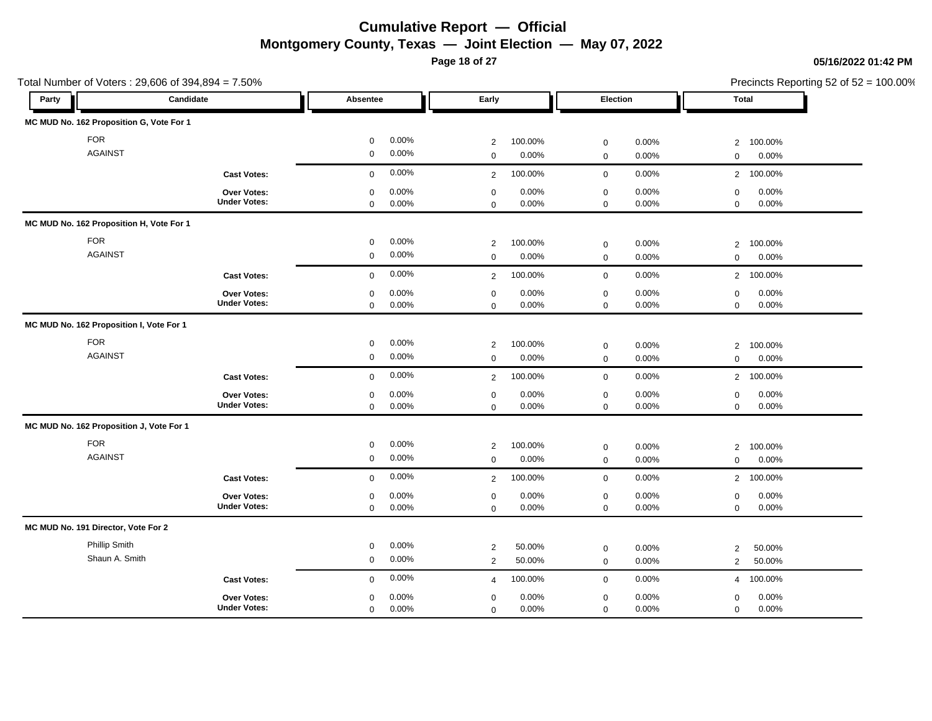**Page 18 of 27**

### **05/16/2022 01:42 PM**

|                                          | Total Number of Voters: 29,606 of 394,894 = 7.50% |                                              |                                              |                                                 | Precincts Reporting 52 of 52 = 100.00%       |  |
|------------------------------------------|---------------------------------------------------|----------------------------------------------|----------------------------------------------|-------------------------------------------------|----------------------------------------------|--|
| Party                                    | Candidate                                         | Absentee                                     | Early                                        | Election                                        | Total                                        |  |
| MC MUD No. 162 Proposition G, Vote For 1 |                                                   |                                              |                                              |                                                 |                                              |  |
| <b>FOR</b>                               |                                                   | 0.00%<br>$\mathsf 0$                         | 100.00%<br>$\overline{2}$                    | 0.00%<br>$\mathbf 0$                            | 100.00%<br>$\overline{2}$                    |  |
| <b>AGAINST</b>                           |                                                   | 0.00%<br>$\mathbf 0$                         | 0.00%<br>$\mathsf 0$                         | 0.00%<br>$\mathbf 0$                            | 0.00%<br>$\mathbf 0$                         |  |
|                                          | <b>Cast Votes:</b>                                | 0.00%<br>$\mathbf 0$                         | 100.00%<br>$\overline{2}$                    | $\mathsf 0$<br>0.00%                            | $2^{\circ}$<br>100.00%                       |  |
|                                          | <b>Over Votes:</b><br><b>Under Votes:</b>         | 0.00%<br>0<br>0.00%<br>$\mathbf 0$           | 0.00%<br>$\mathbf 0$<br>0.00%<br>$\mathbf 0$ | 0.00%<br>$\mathbf 0$<br>$\mathbf 0$<br>0.00%    | 0.00%<br>$\mathbf 0$<br>0.00%<br>$\mathbf 0$ |  |
| MC MUD No. 162 Proposition H, Vote For 1 |                                                   |                                              |                                              |                                                 |                                              |  |
| <b>FOR</b>                               |                                                   | 0.00%<br>$\mathbf 0$                         | 100.00%<br>$\overline{2}$                    | $\mathbf 0$<br>0.00%                            | $\overline{2}$<br>100.00%                    |  |
| <b>AGAINST</b>                           |                                                   | 0.00%<br>$\mathbf 0$                         | 0.00%<br>$\mathbf 0$                         | 0.00%<br>$\mathbf 0$                            | 0.00%<br>$\mathbf 0$                         |  |
|                                          | <b>Cast Votes:</b>                                | 0.00%<br>$\mathbf 0$                         | 100.00%<br>2                                 | 0.00%<br>$\mathbf 0$                            | 2 100.00%                                    |  |
|                                          | <b>Over Votes:</b><br><b>Under Votes:</b>         | 0.00%<br>$\mathbf 0$<br>$\mathbf 0$<br>0.00% | 0.00%<br>$\mathbf 0$<br>0.00%<br>$\Omega$    | 0.00%<br>$\mathbf 0$<br>$\mathbf 0$<br>0.00%    | 0.00%<br>$\mathbf 0$<br>$\mathbf 0$<br>0.00% |  |
| MC MUD No. 162 Proposition I, Vote For 1 |                                                   |                                              |                                              |                                                 |                                              |  |
| <b>FOR</b>                               |                                                   | 0.00%<br>$\mathsf 0$                         | 100.00%<br>$\overline{2}$                    | 0.00%<br>$\mathbf 0$                            | $\overline{2}$<br>100.00%                    |  |
| <b>AGAINST</b>                           |                                                   | $\mathbf 0$<br>0.00%                         | 0.00%<br>$\mathbf 0$                         | 0.00%<br>$\mathbf 0$                            | 0.00%<br>$\mathbf 0$                         |  |
|                                          | <b>Cast Votes:</b>                                | 0.00%<br>$\mathbf 0$                         | 100.00%<br>$\overline{2}$                    | 0.00%<br>$\mathbf 0$                            | 100.00%<br>$\overline{2}$                    |  |
|                                          | Over Votes:<br><b>Under Votes:</b>                | 0.00%<br>$\mathsf 0$<br>0.00%<br>$\mathbf 0$ | 0.00%<br>$\mathsf 0$<br>0.00%<br>$\Omega$    | 0.00%<br>$\mathbf 0$<br>0.00%<br>$\mathbf 0$    | 0.00%<br>$\mathbf 0$<br>0.00%<br>$\mathbf 0$ |  |
| MC MUD No. 162 Proposition J, Vote For 1 |                                                   |                                              |                                              |                                                 |                                              |  |
| <b>FOR</b>                               |                                                   | 0.00%<br>$\mathsf 0$                         | 100.00%<br>$\overline{2}$                    | 0.00%<br>$\mathbf 0$                            | 100.00%<br>2                                 |  |
| <b>AGAINST</b>                           |                                                   | 0.00%<br>$\mathbf 0$                         | 0.00%<br>$\mathbf 0$                         | 0.00%<br>$\mathbf 0$                            | 0.00%<br>$\mathbf 0$                         |  |
|                                          | <b>Cast Votes:</b>                                | 0.00%<br>$\mathbf 0$                         | 100.00%<br>$\overline{2}$                    | 0.00%<br>$\mathbf 0$                            | 2 100.00%                                    |  |
|                                          | Over Votes:<br><b>Under Votes:</b>                | 0.00%<br>$\mathbf 0$<br>$\mathbf 0$<br>0.00% | $\mathbf 0$<br>0.00%<br>0.00%<br>$\mathbf 0$ | $\mathbf 0$<br>$0.00\%$<br>$\mathsf 0$<br>0.00% | $\mathbf 0$<br>0.00%<br>$\mathsf 0$<br>0.00% |  |
| MC MUD No. 191 Director, Vote For 2      |                                                   |                                              |                                              |                                                 |                                              |  |
| Phillip Smith                            |                                                   | 0.00%<br>$\mathbf 0$                         | $\overline{2}$<br>50.00%                     | 0.00%<br>$\mathbf 0$                            | 50.00%<br>$\overline{2}$                     |  |
| Shaun A. Smith                           |                                                   | 0.00%<br>$\mathbf 0$                         | 50.00%<br>2                                  | 0.00%<br>$\mathbf 0$                            | 50.00%<br>$\overline{2}$                     |  |
|                                          | <b>Cast Votes:</b>                                | 0.00%<br>$\mathbf 0$                         | 100.00%<br>$\overline{4}$                    | 0.00%<br>$\mathbf 0$                            | 100.00%<br>$\overline{4}$                    |  |
|                                          | <b>Over Votes:</b>                                | 0.00%<br>$\mathbf 0$                         | 0.00%<br>$\mathbf 0$                         | 0.00%<br>$\mathbf 0$                            | 0.00%<br>$\mathbf 0$                         |  |
|                                          | <b>Under Votes:</b>                               | 0.00%<br>$\mathbf 0$                         | 0.00%<br>$\mathbf 0$                         | $\mathbf 0$<br>0.00%                            | 0.00%<br>$\mathbf 0$                         |  |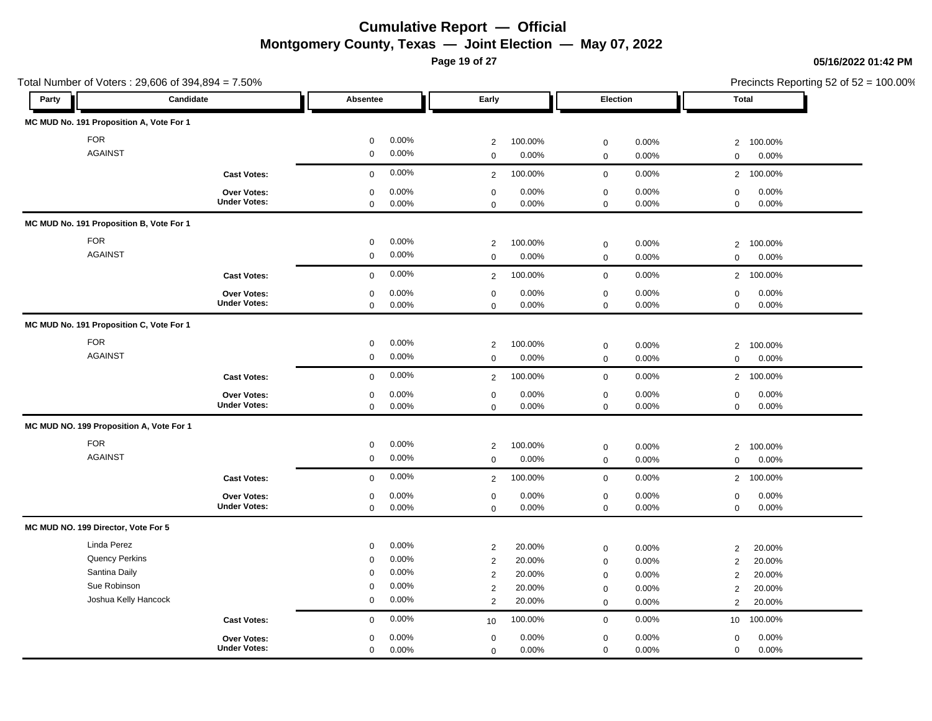**Page 19 of 27**

|                                          | Total Number of Voters: 29,606 of 394,894 = 7.50% |                      |                           |                              | Precincts Reporting 52 of 52 = 100.00% |
|------------------------------------------|---------------------------------------------------|----------------------|---------------------------|------------------------------|----------------------------------------|
| Party                                    | Candidate                                         | Absentee             | Early                     | Election                     | Total                                  |
| MC MUD No. 191 Proposition A, Vote For 1 |                                                   |                      |                           |                              |                                        |
| <b>FOR</b>                               |                                                   | 0.00%<br>$\mathbf 0$ | 100.00%<br>2              | 0.00%<br>$\mathbf 0$         | 100.00%<br>$\overline{2}$              |
| <b>AGAINST</b>                           |                                                   | $\mathbf 0$<br>0.00% | 0.00%<br>$\mathbf 0$      | $\mathbf 0$<br>0.00%         | $\mathbf 0$<br>0.00%                   |
|                                          | <b>Cast Votes:</b>                                | 0.00%<br>$\mathbf 0$ | 100.00%<br>$\overline{2}$ | $\mathbf 0$<br>0.00%         | 100.00%<br>$2^{\circ}$                 |
|                                          | Over Votes:                                       | 0.00%<br>$\mathbf 0$ | 0.00%<br>$\mathbf 0$      | 0.00%<br>$\boldsymbol{0}$    | 0.00%<br>$\mathsf 0$                   |
|                                          | <b>Under Votes:</b>                               | 0.00%<br>$\mathbf 0$ | 0.00%<br>$\Omega$         | $\mathbf 0$<br>0.00%         | 0.00%<br>$\mathbf 0$                   |
| MC MUD No. 191 Proposition B, Vote For 1 |                                                   |                      |                           |                              |                                        |
| <b>FOR</b>                               |                                                   | 0.00%<br>$\mathbf 0$ | 100.00%<br>$\overline{2}$ | 0.00%<br>$\boldsymbol{0}$    | $\overline{2}$<br>100.00%              |
| <b>AGAINST</b>                           |                                                   | 0.00%<br>$\mathbf 0$ | 0.00%<br>$\mathbf 0$      | $\mathbf 0$<br>0.00%         | 0.00%<br>$\Omega$                      |
|                                          | <b>Cast Votes:</b>                                | 0.00%<br>$\mathbf 0$ | 100.00%<br>2              | $\mathbf 0$<br>0.00%         | $\overline{2}$<br>100.00%              |
|                                          | Over Votes:                                       | 0.00%<br>0           | 0.00%<br>$\mathbf 0$      | $\mathsf{O}\xspace$<br>0.00% | 0.00%<br>$\mathbf 0$                   |
|                                          | <b>Under Votes:</b>                               | 0.00%<br>0           | 0.00%<br>$\mathbf 0$      | 0.00%<br>$\boldsymbol{0}$    | 0.00%<br>$\mathbf 0$                   |
| MC MUD No. 191 Proposition C, Vote For 1 |                                                   |                      |                           |                              |                                        |
| <b>FOR</b>                               |                                                   | 0.00%<br>$\mathbf 0$ | 100.00%<br>2              | $\mathsf{O}\xspace$<br>0.00% | 100.00%<br>$\overline{2}$              |
| <b>AGAINST</b>                           |                                                   | 0.00%<br>$\mathbf 0$ | 0.00%<br>$\mathbf 0$      | 0.00%<br>$\mathbf 0$         | 0.00%<br>$\mathbf 0$                   |
|                                          | <b>Cast Votes:</b>                                | 0.00%<br>$\Omega$    | 100.00%<br>$\overline{2}$ | 0.00%<br>$\mathsf{O}\xspace$ | 100.00%<br>$\overline{2}$              |
|                                          | Over Votes:                                       | 0.00%<br>$\mathbf 0$ | 0.00%<br>$\mathbf 0$      | 0.00%<br>$\mathbf 0$         | 0.00%<br>$\mathsf 0$                   |
|                                          | <b>Under Votes:</b>                               | 0.00%<br>$\mathbf 0$ | 0.00%<br>$\mathbf 0$      | 0.00%<br>$\mathbf 0$         | 0.00%<br>$\mathbf 0$                   |
| MC MUD NO. 199 Proposition A, Vote For 1 |                                                   |                      |                           |                              |                                        |
| <b>FOR</b>                               |                                                   | 0.00%<br>$\mathbf 0$ | 2<br>100.00%              | 0.00%<br>$\mathbf 0$         | 100.00%<br>2                           |
| <b>AGAINST</b>                           |                                                   | 0.00%<br>$\mathbf 0$ | $\mathbf 0$<br>0.00%      | $\mathbf 0$<br>0.00%         | 0.00%<br>$\mathbf 0$                   |
|                                          | <b>Cast Votes:</b>                                | 0.00%<br>$\mathbf 0$ | 100.00%<br>2              | $\mathsf{O}\xspace$<br>0.00% | 100.00%<br>$\overline{2}$              |
|                                          | Over Votes:                                       | 0.00%<br>$\mathbf 0$ | $\mathbf 0$<br>0.00%      | $\boldsymbol{0}$<br>0.00%    | $\mathbf 0$<br>0.00%                   |
|                                          | <b>Under Votes:</b>                               | 0.00%<br>$\mathbf 0$ | 0.00%<br>$\Omega$         | $\mathbf 0$<br>0.00%         | 0.00%<br>$\mathbf 0$                   |
| MC MUD NO. 199 Director, Vote For 5      |                                                   |                      |                           |                              |                                        |
| Linda Perez                              |                                                   | 0.00%<br>$\mathbf 0$ | 20.00%<br>$\overline{2}$  | 0.00%<br>$\boldsymbol{0}$    | 20.00%<br>$\overline{2}$               |
| <b>Quency Perkins</b>                    |                                                   | 0.00%<br>$\Omega$    | 20.00%<br>2               | $\mathsf{O}\xspace$<br>0.00% | 20.00%<br>$\overline{2}$               |
| Santina Daily                            |                                                   | 0.00%<br>$\mathbf 0$ | 2<br>20.00%               | $\mathsf{O}\xspace$<br>0.00% | $\overline{2}$<br>20.00%               |
| Sue Robinson                             |                                                   | 0.00%<br>$\mathbf 0$ | 2<br>20.00%               | $\mathbf 0$<br>0.00%         | $\overline{2}$<br>20.00%               |
| Joshua Kelly Hancock                     |                                                   | 0.00%<br>$\mathbf 0$ | 20.00%<br>$\overline{2}$  | 0.00%<br>$\mathbf 0$         | 20.00%<br>$\overline{2}$               |
|                                          | <b>Cast Votes:</b>                                | 0.00%<br>$\mathbf 0$ | 100.00%<br>10             | 0.00%<br>$\boldsymbol{0}$    | 100.00%<br>10 <sup>1</sup>             |
|                                          | Over Votes:                                       | 0.00%<br>$\mathbf 0$ | 0.00%<br>$\mathbf 0$      | 0.00%<br>$\boldsymbol{0}$    | 0.00%<br>$\mathbf 0$                   |
|                                          | <b>Under Votes:</b>                               | 0.00%<br>$\mathbf 0$ | 0.00%<br>$\mathbf 0$      | $\mathbf 0$<br>0.00%         | 0.00%<br>$\mathbf{0}$                  |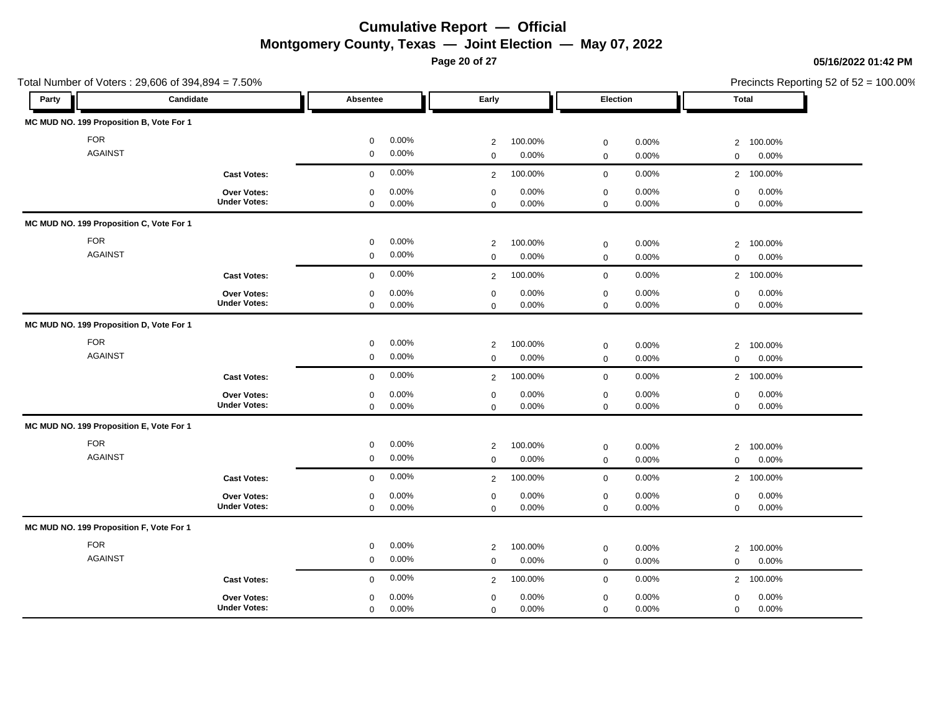**Page 20 of 27**

Total Number of Voters : 29,606 of 394,894 = 7.50%

### **05/16/2022 01:42 PM**

| Party | Candidate                                |                     | Absentee    |       | Early          |         | Election         |       |                | <b>Total</b> |
|-------|------------------------------------------|---------------------|-------------|-------|----------------|---------|------------------|-------|----------------|--------------|
|       | MC MUD NO. 199 Proposition B, Vote For 1 |                     |             |       |                |         |                  |       |                |              |
|       | <b>FOR</b>                               |                     | 0           | 0.00% | 2              | 100.00% | $\mathbf 0$      | 0.00% | $\overline{2}$ | 100.00%      |
|       | <b>AGAINST</b>                           |                     | 0           | 0.00% | $\mathbf 0$    | 0.00%   | $\mathbf 0$      | 0.00% | $\mathbf 0$    | 0.00%        |
|       |                                          | <b>Cast Votes:</b>  | 0           | 0.00% | 2              | 100.00% | $\mathbf 0$      | 0.00% | $\overline{2}$ | 100.00%      |
|       |                                          | Over Votes:         | 0           | 0.00% | $\mathbf 0$    | 0.00%   | $\mathbf 0$      | 0.00% | 0              | 0.00%        |
|       |                                          | <b>Under Votes:</b> | $\mathbf 0$ | 0.00% | $\mathbf 0$    | 0.00%   | $\mathsf 0$      | 0.00% | $\mathbf 0$    | 0.00%        |
|       | MC MUD NO. 199 Proposition C, Vote For 1 |                     |             |       |                |         |                  |       |                |              |
|       | <b>FOR</b>                               |                     | 0           | 0.00% | 2              | 100.00% | $\mathbf 0$      | 0.00% | $\overline{2}$ | 100.00%      |
|       | <b>AGAINST</b>                           |                     | 0           | 0.00% | $\mathbf 0$    | 0.00%   | $\mathbf 0$      | 0.00% | $\mathbf 0$    | 0.00%        |
|       |                                          | <b>Cast Votes:</b>  | $\mathbf 0$ | 0.00% | 2              | 100.00% | $\mathbf 0$      | 0.00% | $\overline{2}$ | 100.00%      |
|       |                                          | Over Votes:         | 0           | 0.00% | $\mathbf 0$    | 0.00%   | $\mathbf 0$      | 0.00% | 0              | 0.00%        |
|       |                                          | <b>Under Votes:</b> | 0           | 0.00% | $\mathbf 0$    | 0.00%   | $\mathbf 0$      | 0.00% | $\mathbf 0$    | 0.00%        |
|       | MC MUD NO. 199 Proposition D, Vote For 1 |                     |             |       |                |         |                  |       |                |              |
|       | <b>FOR</b>                               |                     | $\mathbf 0$ | 0.00% | 2              | 100.00% | $\mathbf 0$      | 0.00% | $\overline{2}$ | 100.00%      |
|       | <b>AGAINST</b>                           |                     | 0           | 0.00% | $\mathbf 0$    | 0.00%   | $\mathbf 0$      | 0.00% | 0              | 0.00%        |
|       |                                          | <b>Cast Votes:</b>  | 0           | 0.00% | $\overline{2}$ | 100.00% | $\mathbf 0$      | 0.00% | $\overline{2}$ | 100.00%      |
|       |                                          | Over Votes:         | 0           | 0.00% | $\mathbf 0$    | 0.00%   | $\mathbf 0$      | 0.00% | 0              | 0.00%        |
|       |                                          | <b>Under Votes:</b> | $\Omega$    | 0.00% | $\Omega$       | 0.00%   | $\mathbf 0$      | 0.00% | $\Omega$       | 0.00%        |
|       | MC MUD NO. 199 Proposition E, Vote For 1 |                     |             |       |                |         |                  |       |                |              |
|       | <b>FOR</b>                               |                     | 0           | 0.00% | $\overline{2}$ | 100.00% | $\mathbf 0$      | 0.00% | $\overline{2}$ | 100.00%      |
|       | <b>AGAINST</b>                           |                     | 0           | 0.00% | $\mathbf 0$    | 0.00%   | $\boldsymbol{0}$ | 0.00% | $\mathbf 0$    | 0.00%        |
|       |                                          | <b>Cast Votes:</b>  | $\mathbf 0$ | 0.00% | 2              | 100.00% | $\mathbf 0$      | 0.00% | $\overline{2}$ | 100.00%      |
|       |                                          | Over Votes:         | 0           | 0.00% | 0              | 0.00%   | $\mathbf 0$      | 0.00% | 0              | 0.00%        |
|       |                                          | <b>Under Votes:</b> | 0           | 0.00% | $\mathbf 0$    | 0.00%   | $\mathbf 0$      | 0.00% | $\mathbf 0$    | 0.00%        |
|       | MC MUD NO. 199 Proposition F, Vote For 1 |                     |             |       |                |         |                  |       |                |              |
|       | <b>FOR</b>                               |                     | $\mathbf 0$ | 0.00% | 2              | 100.00% | $\mathbf 0$      | 0.00% | $\overline{2}$ | 100.00%      |
|       | <b>AGAINST</b>                           |                     | 0           | 0.00% | $\mathbf 0$    | 0.00%   | $\boldsymbol{0}$ | 0.00% | $\mathbf 0$    | 0.00%        |
|       |                                          | <b>Cast Votes:</b>  | $\mathbf 0$ | 0.00% | 2              | 100.00% | $\mathbf 0$      | 0.00% | $\overline{2}$ | 100.00%      |
|       |                                          | Over Votes:         | 0           | 0.00% | $\mathbf 0$    | 0.00%   | $\mathsf 0$      | 0.00% | $\mathbf 0$    | 0.00%        |
|       |                                          | <b>Under Votes:</b> | $\mathbf 0$ | 0.00% | $\Omega$       | 0.00%   | $\mathbf 0$      | 0.00% | $\mathbf 0$    | 0.00%        |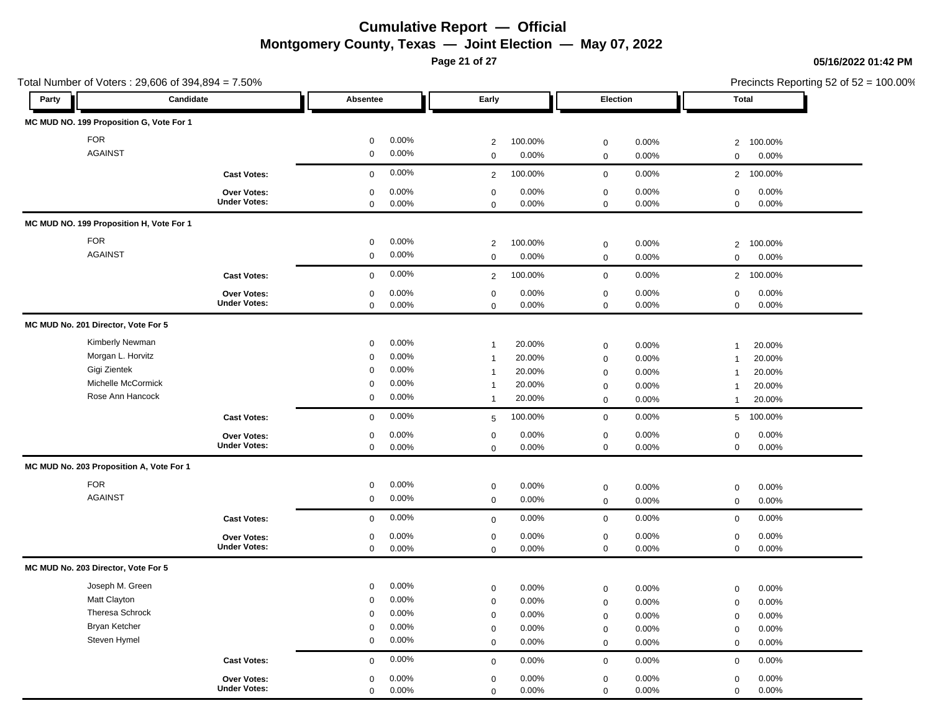**Page 21 of 27**

Total Number of Voters : 29,606 of 394,894 = 7.50%

#### **05/16/2022 01:42 PM**

| Party | Candidate                                |                     | Absentee    |       | Early            |         | Election            |       | <b>Total</b>   |         |
|-------|------------------------------------------|---------------------|-------------|-------|------------------|---------|---------------------|-------|----------------|---------|
|       | MC MUD NO. 199 Proposition G, Vote For 1 |                     |             |       |                  |         |                     |       |                |         |
|       | <b>FOR</b>                               |                     | $\mathbf 0$ | 0.00% | $\overline{2}$   | 100.00% | $\mathbf 0$         | 0.00% | $\overline{2}$ | 100.00% |
|       | <b>AGAINST</b>                           |                     | $\mathbf 0$ | 0.00% | $\mathbf 0$      | 0.00%   | $\mathbf 0$         | 0.00% | $\mathbf 0$    | 0.00%   |
|       |                                          | <b>Cast Votes:</b>  | $\mathbf 0$ | 0.00% | $\overline{2}$   | 100.00% | $\mathbf 0$         | 0.00% | $\overline{2}$ | 100.00% |
|       |                                          | Over Votes:         | $\mathbf 0$ | 0.00% | $\mathbf 0$      | 0.00%   | $\mathbf 0$         | 0.00% | $\mathbf 0$    | 0.00%   |
|       |                                          | <b>Under Votes:</b> | $\mathbf 0$ | 0.00% | $\mathbf 0$      | 0.00%   | $\mathbf 0$         | 0.00% | $\mathbf 0$    | 0.00%   |
|       | MC MUD NO. 199 Proposition H, Vote For 1 |                     |             |       |                  |         |                     |       |                |         |
|       | <b>FOR</b>                               |                     | 0           | 0.00% | 2                | 100.00% | $\mathbf 0$         | 0.00% | $\overline{2}$ | 100.00% |
|       | <b>AGAINST</b>                           |                     | $\mathbf 0$ | 0.00% | $\mathbf 0$      | 0.00%   | $\mathbf 0$         | 0.00% | $\mathbf 0$    | 0.00%   |
|       |                                          | <b>Cast Votes:</b>  | $\mathbf 0$ | 0.00% | 2                | 100.00% | $\mathbf 0$         | 0.00% | $\overline{2}$ | 100.00% |
|       |                                          | Over Votes:         | $\mathbf 0$ | 0.00% | $\mathbf 0$      | 0.00%   | $\mathbf 0$         | 0.00% | $\mathsf 0$    | 0.00%   |
|       |                                          | <b>Under Votes:</b> | $\mathsf 0$ | 0.00% | $\mathbf 0$      | 0.00%   | $\mathbf 0$         | 0.00% | $\mathbf 0$    | 0.00%   |
|       | MC MUD No. 201 Director, Vote For 5      |                     |             |       |                  |         |                     |       |                |         |
|       | Kimberly Newman                          |                     | $\mathbf 0$ | 0.00% | $\overline{1}$   | 20.00%  | $\boldsymbol{0}$    | 0.00% | $\mathbf{1}$   | 20.00%  |
|       | Morgan L. Horvitz                        |                     | 0           | 0.00% | $\overline{1}$   | 20.00%  | $\mathsf{O}\xspace$ | 0.00% | $\overline{1}$ | 20.00%  |
|       | Gigi Zientek                             |                     | 0           | 0.00% | $\overline{1}$   | 20.00%  | $\boldsymbol{0}$    | 0.00% | $\mathbf{1}$   | 20.00%  |
|       | Michelle McCormick                       |                     | 0           | 0.00% | $\overline{1}$   | 20.00%  | $\pmb{0}$           | 0.00% | $\mathbf{1}$   | 20.00%  |
|       | Rose Ann Hancock                         |                     | $\mathbf 0$ | 0.00% | $\mathbf{1}$     | 20.00%  | $\mathsf 0$         | 0.00% | $\mathbf{1}$   | 20.00%  |
|       |                                          | <b>Cast Votes:</b>  | $\mathsf 0$ | 0.00% | 5                | 100.00% | $\mathsf 0$         | 0.00% | 5              | 100.00% |
|       |                                          | Over Votes:         | $\mathbf 0$ | 0.00% | $\mathbf 0$      | 0.00%   | $\mathbf 0$         | 0.00% | $\mathsf 0$    | 0.00%   |
|       |                                          | <b>Under Votes:</b> | $\mathbf 0$ | 0.00% | $\mathsf 0$      | 0.00%   | $\mathsf{O}\xspace$ | 0.00% | $\mathbf 0$    | 0.00%   |
|       | MC MUD No. 203 Proposition A, Vote For 1 |                     |             |       |                  |         |                     |       |                |         |
|       | <b>FOR</b>                               |                     | $\mathbf 0$ | 0.00% | $\boldsymbol{0}$ | 0.00%   | $\pmb{0}$           | 0.00% | $\mathsf 0$    | 0.00%   |
|       | <b>AGAINST</b>                           |                     | $\mathsf 0$ | 0.00% | $\mathbf 0$      | 0.00%   | $\mathbf 0$         | 0.00% | $\mathbf 0$    | 0.00%   |
|       |                                          | <b>Cast Votes:</b>  | $\mathbf 0$ | 0.00% | $\mathsf 0$      | 0.00%   | $\mathbf 0$         | 0.00% | $\mathbf 0$    | 0.00%   |
|       |                                          | Over Votes:         | $\mathbf 0$ | 0.00% | $\pmb{0}$        | 0.00%   | $\mathbf 0$         | 0.00% | $\mathbf 0$    | 0.00%   |
|       |                                          | <b>Under Votes:</b> | $\mathbf 0$ | 0.00% | $\mathbf 0$      | 0.00%   | $\mathbf 0$         | 0.00% | $\mathbf 0$    | 0.00%   |
|       | MC MUD No. 203 Director, Vote For 5      |                     |             |       |                  |         |                     |       |                |         |
|       | Joseph M. Green                          |                     | $\mathbf 0$ | 0.00% | $\boldsymbol{0}$ | 0.00%   | $\boldsymbol{0}$    | 0.00% | $\mathbf 0$    | 0.00%   |
|       | Matt Clayton                             |                     | $\mathbf 0$ | 0.00% | $\mathbf 0$      | 0.00%   | $\boldsymbol{0}$    | 0.00% | $\mathsf 0$    | 0.00%   |
|       | Theresa Schrock                          |                     | $\mathbf 0$ | 0.00% | $\mathbf 0$      | 0.00%   | $\boldsymbol{0}$    | 0.00% | $\mathsf 0$    | 0.00%   |
|       | <b>Bryan Ketcher</b>                     |                     | $\mathbf 0$ | 0.00% | $\mathbf 0$      | 0.00%   | $\mathsf{O}\xspace$ | 0.00% | $\mathbf 0$    | 0.00%   |
|       | Steven Hymel                             |                     | $\mathbf 0$ | 0.00% | $\mathsf 0$      | 0.00%   | $\mathbf 0$         | 0.00% | $\mathbf 0$    | 0.00%   |
|       |                                          | <b>Cast Votes:</b>  | $\mathbf 0$ | 0.00% | $\mathbf 0$      | 0.00%   | $\mathbf 0$         | 0.00% | $\mathbf 0$    | 0.00%   |
|       |                                          | Over Votes:         | $\mathbf 0$ | 0.00% | $\pmb{0}$        | 0.00%   | $\mathsf{O}\xspace$ | 0.00% | $\mathbf 0$    | 0.00%   |
|       |                                          | <b>Under Votes:</b> | $\Omega$    | 0.00% | $\mathbf 0$      | 0.00%   | $\mathbf 0$         | 0.00% | $\mathbf 0$    | 0.00%   |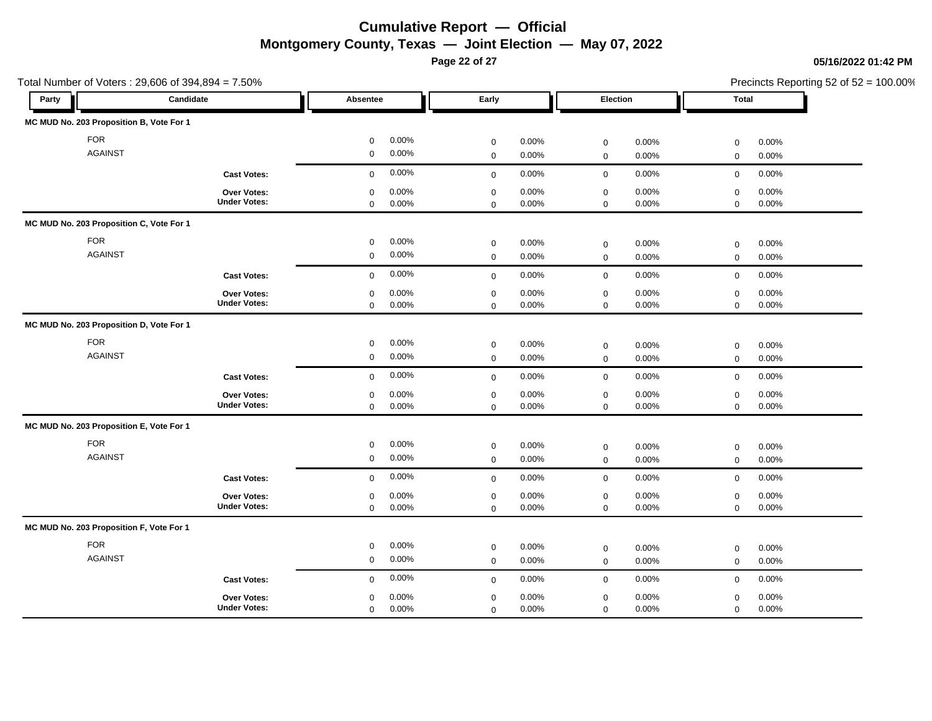**Page 22 of 27**

|                                          | Total Number of Voters: 29,606 of 394,894 = 7.50% |                                              |                                              |                                                   |                                              | Precincts Reporting 52 of 52 = 100.00% |
|------------------------------------------|---------------------------------------------------|----------------------------------------------|----------------------------------------------|---------------------------------------------------|----------------------------------------------|----------------------------------------|
| Party                                    | Candidate                                         | Absentee                                     | Early                                        | Election                                          | Total                                        |                                        |
| MC MUD No. 203 Proposition B, Vote For 1 |                                                   |                                              |                                              |                                                   |                                              |                                        |
| <b>FOR</b>                               |                                                   | 0.00%<br>$\mathbf 0$                         | 0.00%<br>$\mathbf 0$                         | 0.00%<br>$\mathbf 0$                              | 0.00%<br>$\mathsf 0$                         |                                        |
| <b>AGAINST</b>                           |                                                   | 0.00%<br>$\mathbf 0$                         | 0.00%<br>$\mathbf 0$                         | $\mathbf 0$<br>0.00%                              | $\mathbf 0$<br>0.00%                         |                                        |
|                                          | <b>Cast Votes:</b>                                | 0.00%<br>$\mathbf 0$                         | 0.00%<br>$\mathbf 0$                         | $\mathbf 0$<br>0.00%                              | $\mathbf 0$<br>0.00%                         |                                        |
|                                          | Over Votes:<br><b>Under Votes:</b>                | 0.00%<br>$\mathbf 0$                         | 0.00%<br>$\mathbf 0$                         | 0.00%<br>$\mathbf 0$                              | 0.00%<br>$\mathbf 0$                         |                                        |
| MC MUD No. 203 Proposition C, Vote For 1 |                                                   | 0.00%<br>$\mathbf 0$                         | 0.00%<br>$\mathbf 0$                         | 0.00%<br>$\mathbf 0$                              | 0.00%<br>$\mathbf 0$                         |                                        |
|                                          |                                                   |                                              |                                              |                                                   |                                              |                                        |
| <b>FOR</b><br><b>AGAINST</b>             |                                                   | 0.00%<br>0<br>0.00%<br>$\mathbf 0$           | $\mathbf 0$<br>0.00%<br>0.00%<br>$\mathbf 0$ | $\mathbf 0$<br>0.00%<br>$\mathbf 0$<br>0.00%      | 0.00%<br>$\mathbf 0$<br>$\mathbf 0$<br>0.00% |                                        |
|                                          |                                                   |                                              |                                              |                                                   |                                              |                                        |
|                                          | <b>Cast Votes:</b>                                | 0.00%<br>$\mathbf 0$                         | 0.00%<br>$\mathbf 0$                         | $\mathbf 0$<br>0.00%                              | 0.00%<br>$\mathbf 0$                         |                                        |
|                                          | Over Votes:<br><b>Under Votes:</b>                | 0.00%<br>$\mathbf 0$<br>0.00%<br>$\mathbf 0$ | 0.00%<br>$\mathbf 0$<br>0.00%<br>$\mathbf 0$ | 0.00%<br>$\boldsymbol{0}$<br>$\mathbf 0$<br>0.00% | 0.00%<br>$\mathbf 0$<br>0.00%<br>$\mathsf 0$ |                                        |
| MC MUD No. 203 Proposition D, Vote For 1 |                                                   |                                              |                                              |                                                   |                                              |                                        |
| <b>FOR</b>                               |                                                   | 0.00%<br>$\mathbf 0$                         | 0.00%<br>$\mathbf 0$                         | 0.00%<br>$\boldsymbol{0}$                         | $\mathsf 0$<br>0.00%                         |                                        |
| <b>AGAINST</b>                           |                                                   | 0.00%<br>$\mathbf 0$                         | 0.00%<br>$\mathbf 0$                         | 0.00%<br>$\mathsf{O}\xspace$                      | 0.00%<br>$\mathbf 0$                         |                                        |
|                                          | <b>Cast Votes:</b>                                | 0.00%<br>$\mathbf 0$                         | 0.00%<br>$\mathsf 0$                         | $\mathbf 0$<br>0.00%                              | 0.00%<br>$\mathbf 0$                         |                                        |
|                                          | Over Votes:                                       | 0.00%<br>$\mathbf 0$                         | 0.00%<br>$\mathbf 0$                         | 0.00%<br>$\mathbf 0$                              | 0.00%<br>$\mathsf 0$                         |                                        |
|                                          | <b>Under Votes:</b>                               | 0.00%<br>$\mathbf 0$                         | 0.00%<br>$\mathbf 0$                         | 0.00%<br>$\mathbf 0$                              | 0.00%<br>$\mathbf 0$                         |                                        |
| MC MUD No. 203 Proposition E, Vote For 1 |                                                   |                                              |                                              |                                                   |                                              |                                        |
| <b>FOR</b>                               |                                                   | 0.00%<br>0                                   | $\mathbf 0$<br>0.00%                         | 0.00%<br>$\mathbf 0$                              | 0.00%<br>$\mathbf 0$                         |                                        |
| <b>AGAINST</b>                           |                                                   | 0.00%<br>$\mathbf 0$                         | 0.00%<br>$\mathbf 0$                         | $\mathbf 0$<br>0.00%                              | $\mathbf 0$<br>0.00%                         |                                        |
|                                          | <b>Cast Votes:</b>                                | 0.00%<br>$\mathbf 0$                         | 0.00%<br>$\mathbf 0$                         | $\mathbf 0$<br>0.00%                              | $\mathbf 0$<br>0.00%                         |                                        |
|                                          | Over Votes:                                       | 0.00%<br>$\mathbf 0$                         | 0.00%<br>$\mathbf 0$                         | $\mathbf 0$<br>0.00%                              | 0.00%<br>$\mathbf 0$                         |                                        |
|                                          | <b>Under Votes:</b>                               | 0.00%<br>$\mathbf 0$                         | 0.00%<br>$\mathbf 0$                         | 0.00%<br>$\mathbf 0$                              | 0.00%<br>$\mathbf 0$                         |                                        |
| MC MUD No. 203 Proposition F, Vote For 1 |                                                   |                                              |                                              |                                                   |                                              |                                        |
| <b>FOR</b>                               |                                                   | 0.00%<br>$\mathbf 0$                         | 0.00%<br>$\mathbf 0$                         | 0.00%<br>$\mathbf 0$                              | 0.00%<br>$\mathbf 0$                         |                                        |
| <b>AGAINST</b>                           |                                                   | 0.00%<br>$\mathbf 0$                         | 0.00%<br>$\mathbf 0$                         | 0.00%<br>$\mathsf{O}\xspace$                      | 0.00%<br>$\mathbf 0$                         |                                        |
|                                          | <b>Cast Votes:</b>                                | 0.00%<br>$\mathbf 0$                         | 0.00%<br>$\mathbf 0$                         | $\mathbf 0$<br>0.00%                              | 0.00%<br>$\mathbf 0$                         |                                        |
|                                          | Over Votes:                                       | 0.00%<br>$\mathbf 0$                         | 0.00%<br>$\mathbf 0$                         | 0.00%<br>$\boldsymbol{0}$                         | 0.00%<br>$\mathsf 0$                         |                                        |
|                                          | <b>Under Votes:</b>                               | 0.00%<br>$\mathbf 0$                         | 0.00%<br>$\mathbf 0$                         | 0.00%<br>$\mathbf 0$                              | 0.00%<br>$\mathbf 0$                         |                                        |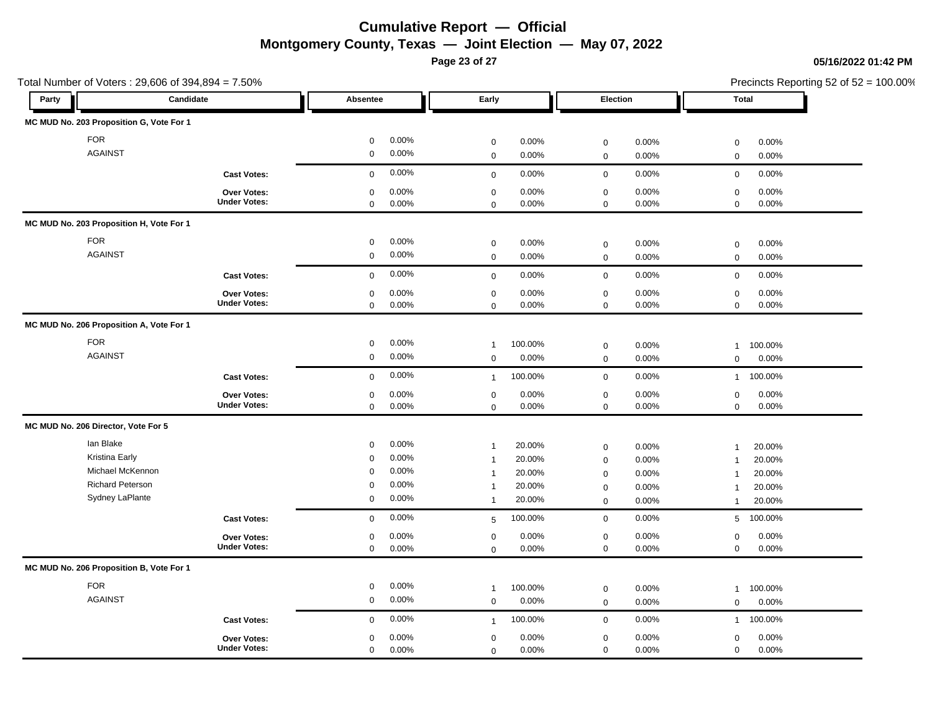**Page 23 of 27**

Total Number of Voters : 29,606 of 394,894 = 7.50%

### **05/16/2022 01:42 PM**

| Party                                     | Candidate           | Absentee                |                | Early          |         | Election            |       | Total          |         |
|-------------------------------------------|---------------------|-------------------------|----------------|----------------|---------|---------------------|-------|----------------|---------|
| MC MUD No. 203 Proposition G, Vote For 1  |                     |                         |                |                |         |                     |       |                |         |
| <b>FOR</b>                                |                     | $\mathsf{O}\xspace$     | 0.00%          | $\mathbf 0$    | 0.00%   | $\mathsf 0$         | 0.00% | 0              | 0.00%   |
| <b>AGAINST</b>                            |                     | $\mathbf 0$             | 0.00%          | $\mathsf 0$    | 0.00%   | $\mathbf 0$         | 0.00% | $\mathbf 0$    | 0.00%   |
|                                           | <b>Cast Votes:</b>  | $\mathbf 0$             | 0.00%          | $\mathbf 0$    | 0.00%   | $\mathbf 0$         | 0.00% | $\mathbf 0$    | 0.00%   |
|                                           | Over Votes:         | $\mathbf 0$             | 0.00%          | $\mathbf 0$    | 0.00%   | $\mathbf 0$         | 0.00% | 0              | 0.00%   |
|                                           | <b>Under Votes:</b> | $\mathbf 0$             | 0.00%          | $\mathbf 0$    | 0.00%   | $\mathbf 0$         | 0.00% | 0              | 0.00%   |
| MC MUD No. 203 Proposition H, Vote For 1  |                     |                         |                |                |         |                     |       |                |         |
| <b>FOR</b>                                |                     | $\mathbf 0$             | 0.00%          | $\mathbf 0$    | 0.00%   | $\mathbf 0$         | 0.00% | $\mathbf 0$    | 0.00%   |
| <b>AGAINST</b>                            |                     | $\mathbf 0$             | 0.00%          | $\mathbf 0$    | 0.00%   | $\mathbf 0$         | 0.00% | $\mathbf 0$    | 0.00%   |
|                                           |                     |                         |                |                |         |                     |       |                |         |
|                                           | <b>Cast Votes:</b>  | $\mathbf 0$             | 0.00%          | $\mathbf 0$    | 0.00%   | $\mathbf 0$         | 0.00% | $\mathbf 0$    | 0.00%   |
|                                           | Over Votes:         | $\mathbf 0$             | 0.00%          | $\mathbf 0$    | 0.00%   | $\pmb{0}$           | 0.00% | 0              | 0.00%   |
|                                           | <b>Under Votes:</b> | $\mathbf 0$             | 0.00%          | $\mathbf 0$    | 0.00%   | $\mathbf 0$         | 0.00% | $\mathbf 0$    | 0.00%   |
| MC MUD No. 206 Proposition A, Vote For 1  |                     |                         |                |                |         |                     |       |                |         |
| <b>FOR</b>                                |                     | $\mathbf 0$             | 0.00%          | $\mathbf{1}$   | 100.00% | $\mathsf 0$         | 0.00% | $\mathbf{1}$   | 100.00% |
| <b>AGAINST</b>                            |                     | $\mathbf 0$             | 0.00%          | $\mathbf 0$    | 0.00%   | $\mathsf{O}\xspace$ | 0.00% | $\mathbf 0$    | 0.00%   |
|                                           | <b>Cast Votes:</b>  | $\mathbf 0$             | 0.00%          | $\mathbf{1}$   | 100.00% | $\mathbf 0$         | 0.00% | $\mathbf{1}$   | 100.00% |
|                                           | Over Votes:         | $\mathsf 0$             | 0.00%          | $\mathsf 0$    | 0.00%   | $\mathbf 0$         | 0.00% | $\mathbf 0$    | 0.00%   |
|                                           | <b>Under Votes:</b> | $\mathbf 0$             | 0.00%          | $\mathbf 0$    | 0.00%   | $\mathbf 0$         | 0.00% | $\mathbf 0$    | 0.00%   |
| MC MUD No. 206 Director, Vote For 5       |                     |                         |                |                |         |                     |       |                |         |
|                                           |                     |                         |                |                |         |                     |       |                |         |
| lan Blake                                 |                     | $\mathbf 0$             | 0.00%          | $\mathbf{1}$   | 20.00%  | $\mathbf 0$         | 0.00% | $\mathbf{1}$   | 20.00%  |
| <b>Kristina Early</b><br>Michael McKennon |                     | $\mathbf 0$             | 0.00%<br>0.00% | $\overline{1}$ | 20.00%  | $\mathbf 0$         | 0.00% | $\mathbf{1}$   | 20.00%  |
| <b>Richard Peterson</b>                   |                     | $\Omega$<br>$\mathbf 0$ | 0.00%          | $\overline{1}$ | 20.00%  | $\mathbf 0$         | 0.00% | $\overline{1}$ | 20.00%  |
| Sydney LaPlante                           |                     | $\boldsymbol{0}$        | 0.00%          | $\mathbf{1}$   | 20.00%  | $\mathbf 0$         | 0.00% | $\overline{1}$ | 20.00%  |
|                                           |                     |                         |                | $\overline{1}$ | 20.00%  | $\mathbf 0$         | 0.00% | $\mathbf{1}$   | 20.00%  |
|                                           | <b>Cast Votes:</b>  | $\mathbf 0$             | 0.00%          | 5              | 100.00% | $\mathsf 0$         | 0.00% | 5              | 100.00% |
|                                           | Over Votes:         | $\mathbf 0$             | 0.00%          | $\mathbf 0$    | 0.00%   | $\mathbf 0$         | 0.00% | 0              | 0.00%   |
|                                           | <b>Under Votes:</b> | $\mathbf 0$             | 0.00%          | $\mathbf 0$    | 0.00%   | $\mathbf 0$         | 0.00% | $\mathbf 0$    | 0.00%   |
| MC MUD No. 206 Proposition B, Vote For 1  |                     |                         |                |                |         |                     |       |                |         |
| <b>FOR</b>                                |                     | $\mathbf 0$             | 0.00%          | $\mathbf{1}$   | 100.00% | $\mathbf 0$         | 0.00% | $\mathbf{1}$   | 100.00% |
| <b>AGAINST</b>                            |                     | $\mathbf 0$             | 0.00%          | $\mathbf 0$    | 0.00%   | $\mathbf 0$         | 0.00% | $\mathbf 0$    | 0.00%   |
|                                           | <b>Cast Votes:</b>  | $\mathbf 0$             | 0.00%          | $\mathbf{1}$   | 100.00% | $\mathbf 0$         | 0.00% | $\mathbf{1}$   | 100.00% |
|                                           | <b>Over Votes:</b>  | $\Omega$                | 0.00%          | $\mathsf 0$    | 0.00%   | $\mathbf 0$         | 0.00% | 0              | 0.00%   |
|                                           | <b>Under Votes:</b> | $\mathbf 0$             | 0.00%          | $\mathsf 0$    | 0.00%   | $\mathbf 0$         | 0.00% | 0              | 0.00%   |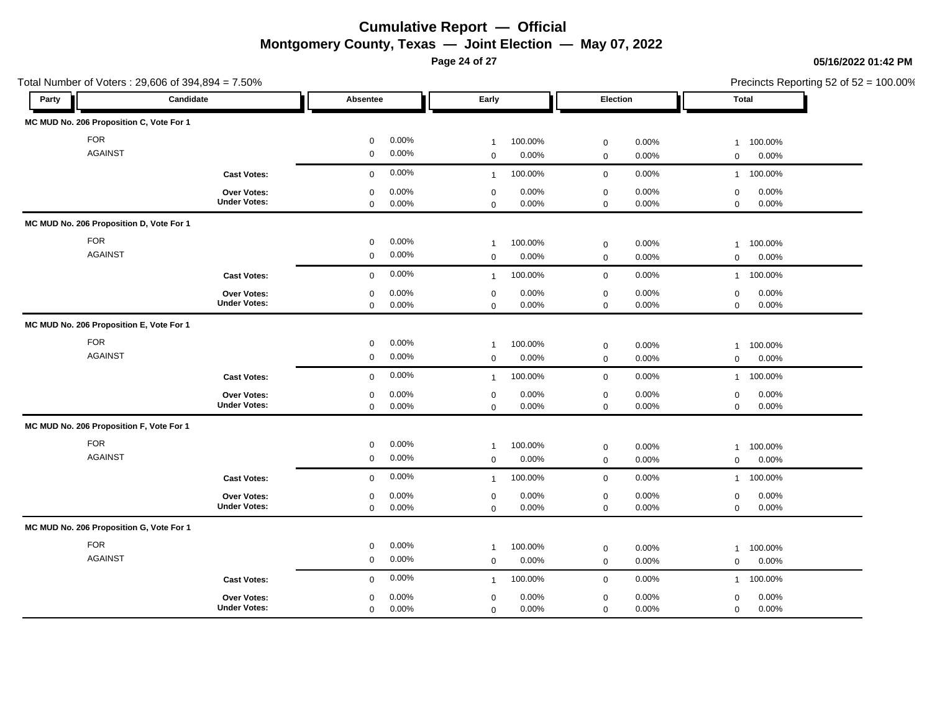**Page 24 of 27**

|                                          | Total Number of Voters: 29,606 of 394,894 = 7.50% |                                    |                                              |                                              | Precincts Reporting 52 of 52 = 100.00%       |
|------------------------------------------|---------------------------------------------------|------------------------------------|----------------------------------------------|----------------------------------------------|----------------------------------------------|
| Party                                    | Candidate                                         | Absentee                           | Early                                        | Election                                     | Total                                        |
| MC MUD No. 206 Proposition C, Vote For 1 |                                                   |                                    |                                              |                                              |                                              |
| <b>FOR</b>                               |                                                   | 0.00%<br>0                         | 100.00%<br>$\mathbf{1}$                      | 0.00%<br>$\mathbf 0$                         | 100.00%<br>$\mathbf{1}$                      |
| <b>AGAINST</b>                           |                                                   | 0.00%<br>0                         | 0.00%<br>$\mathbf 0$                         | $\mathbf 0$<br>0.00%                         | 0.00%<br>$\mathbf 0$                         |
|                                          | <b>Cast Votes:</b>                                | 0.00%<br>$\mathbf{0}$              | 100.00%<br>$\mathbf{1}$                      | $\mathbf 0$<br>0.00%                         | 100.00%<br>$\mathbf{1}$                      |
|                                          | Over Votes:<br><b>Under Votes:</b>                | 0.00%<br>0<br>0.00%<br>$\mathbf 0$ | 0.00%<br>$\mathbf 0$<br>0.00%<br>$\mathbf 0$ | 0.00%<br>$\mathbf 0$<br>$\mathbf 0$<br>0.00% | 0.00%<br>$\mathbf 0$<br>0.00%<br>$\mathbf 0$ |
| MC MUD No. 206 Proposition D, Vote For 1 |                                                   |                                    |                                              |                                              |                                              |
| <b>FOR</b>                               |                                                   | 0.00%<br>$\mathbf 0$               | 100.00%<br>$\mathbf{1}$                      | 0.00%<br>$\mathbf 0$                         | 100.00%<br>$\mathbf{1}$                      |
| <b>AGAINST</b>                           |                                                   | 0.00%<br>$\mathbf 0$               | 0.00%<br>$\mathbf 0$                         | $\mathsf{O}\xspace$<br>0.00%                 | 0.00%<br>$\mathbf 0$                         |
|                                          | <b>Cast Votes:</b>                                | 0.00%<br>$\mathbf 0$               | 100.00%<br>$\mathbf{1}$                      | $\mathbf 0$<br>0.00%                         | 100.00%<br>$\mathbf{1}$                      |
|                                          | Over Votes:                                       | 0.00%<br>$\mathbf 0$               | $\mathbf 0$<br>0.00%                         | $\mathbf 0$<br>0.00%                         | $\mathsf 0$<br>0.00%                         |
|                                          | <b>Under Votes:</b>                               | 0.00%<br>$\mathbf 0$               | 0.00%<br>$\mathbf 0$                         | 0.00%<br>$\mathbf 0$                         | 0.00%<br>$\mathbf{0}$                        |
| MC MUD No. 206 Proposition E, Vote For 1 |                                                   |                                    |                                              |                                              |                                              |
| <b>FOR</b>                               |                                                   | 0.00%<br>$\mathbf 0$               | 100.00%<br>$\mathbf{1}$                      | $\mathbf 0$<br>0.00%                         | 100.00%<br>$\mathbf{1}$                      |
| <b>AGAINST</b>                           |                                                   | 0.00%<br>$\mathbf 0$               | 0.00%<br>$\mathbf 0$                         | 0.00%<br>$\mathbf 0$                         | 0.00%<br>$\mathbf 0$                         |
|                                          | <b>Cast Votes:</b>                                | 0.00%<br>$\mathbf 0$               | 100.00%<br>$\overline{1}$                    | 0.00%<br>$\mathbf 0$                         | 100.00%<br>$\mathbf{1}$                      |
|                                          | Over Votes:                                       | 0.00%<br>0                         | 0.00%<br>$\mathbf 0$                         | 0.00%<br>$\mathsf{O}\xspace$                 | 0.00%<br>$\mathbf 0$                         |
|                                          | <b>Under Votes:</b>                               | 0.00%<br>$\mathbf 0$               | 0.00%<br>$\mathbf 0$                         | 0.00%<br>$\mathbf 0$                         | 0.00%<br>$\mathbf 0$                         |
| MC MUD No. 206 Proposition F, Vote For 1 |                                                   |                                    |                                              |                                              |                                              |
| <b>FOR</b>                               |                                                   | 0.00%<br>$\mathbf 0$               | 100.00%<br>$\mathbf{1}$                      | $\mathsf{O}\xspace$<br>0.00%                 | 100.00%<br>$\mathbf{1}$                      |
| <b>AGAINST</b>                           |                                                   | 0.00%<br>$\mathbf 0$               | $\mathbf 0$<br>0.00%                         | $\mathbf 0$<br>0.00%                         | 0.00%<br>$\mathbf 0$                         |
|                                          | <b>Cast Votes:</b>                                | 0.00%<br>$\mathbf 0$               | 100.00%<br>$\overline{1}$                    | $\mathbf 0$<br>0.00%                         | 100.00%<br>$\mathbf{1}$                      |
|                                          | Over Votes:                                       | 0.00%<br>$\mathbf 0$               | 0.00%<br>$\mathbf 0$                         | $\boldsymbol{0}$<br>0.00%                    | 0.00%<br>$\mathbf 0$                         |
|                                          | <b>Under Votes:</b>                               | 0.00%<br>0                         | 0.00%<br>$\mathbf 0$                         | $\mathbf 0$<br>0.00%                         | 0.00%<br>$\mathbf 0$                         |
| MC MUD No. 206 Proposition G, Vote For 1 |                                                   |                                    |                                              |                                              |                                              |
| <b>FOR</b>                               |                                                   | 0.00%<br>0                         | 100.00%<br>$\mathbf{1}$                      | $\boldsymbol{0}$<br>0.00%                    | 100.00%<br>$\mathbf{1}$                      |
| <b>AGAINST</b>                           |                                                   | 0.00%<br>0                         | 0.00%<br>$\mathbf 0$                         | 0.00%<br>$\mathbf 0$                         | 0.00%<br>$\mathbf 0$                         |
|                                          | <b>Cast Votes:</b>                                | 0.00%<br>$\mathbf 0$               | 100.00%<br>$\overline{1}$                    | 0.00%<br>$\mathsf{O}\xspace$                 | 100.00%<br>$\mathbf{1}$                      |
|                                          | Over Votes:                                       | 0.00%<br>0                         | 0.00%<br>$\mathbf 0$                         | $\pmb{0}$<br>0.00%                           | 0.00%<br>$\mathsf 0$                         |
|                                          | <b>Under Votes:</b>                               | 0.00%<br>$\mathbf 0$               | 0.00%<br>$\Omega$                            | 0.00%<br>$\mathbf 0$                         | 0.00%<br>$\mathbf{0}$                        |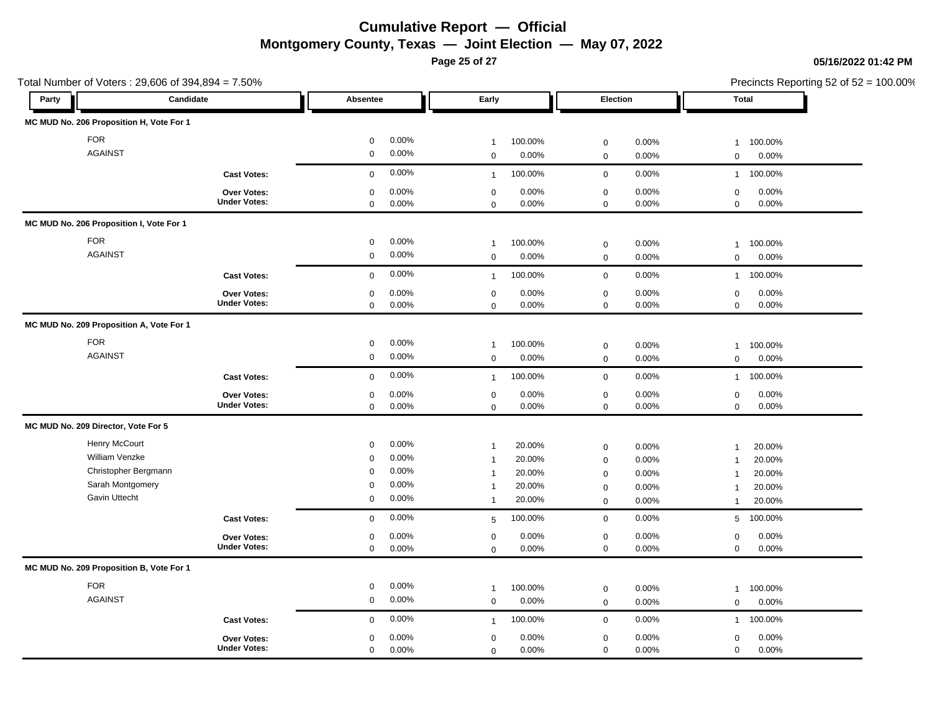**Page 25 of 27**

### **05/16/2022 01:42 PM**

| Total Number of Voters: 29,606 of 394,894 = 7.50% |                     |                      |                           |                      | Precincts Reporting 52 of 52 = 100.00% |  |  |  |
|---------------------------------------------------|---------------------|----------------------|---------------------------|----------------------|----------------------------------------|--|--|--|
| Candidate<br>Party                                |                     | Early<br>Absentee    |                           | Election             | <b>Total</b>                           |  |  |  |
| MC MUD No. 206 Proposition H, Vote For 1          |                     |                      |                           |                      |                                        |  |  |  |
| <b>FOR</b>                                        |                     | $\mathsf 0$<br>0.00% | 100.00%<br>$\overline{1}$ | 0.00%<br>$\mathbf 0$ | 100.00%<br>$\overline{1}$              |  |  |  |
| <b>AGAINST</b>                                    |                     | 0.00%<br>$\mathbf 0$ | 0.00%<br>$\mathbf 0$      | $\mathbf 0$<br>0.00% | $\mathbf 0$<br>0.00%                   |  |  |  |
|                                                   | <b>Cast Votes:</b>  | 0.00%<br>$\mathbf 0$ | 100.00%<br>$\mathbf{1}$   | $\mathsf 0$<br>0.00% | 100.00%<br>$\overline{1}$              |  |  |  |
|                                                   | Over Votes:         | 0.00%<br>$\mathsf 0$ | 0.00%<br>$\mathsf 0$      | 0.00%<br>$\mathbf 0$ | 0.00%<br>$\mathbf 0$                   |  |  |  |
|                                                   | <b>Under Votes:</b> | $\mathbf 0$<br>0.00% | 0.00%<br>$\mathbf 0$      | $\mathbf 0$<br>0.00% | $\mathbf 0$<br>$0.00\%$                |  |  |  |
| MC MUD No. 206 Proposition I, Vote For 1          |                     |                      |                           |                      |                                        |  |  |  |
| <b>FOR</b>                                        |                     | 0.00%<br>$\mathbf 0$ | 100.00%<br>$\overline{1}$ | $\mathbf 0$<br>0.00% | 100.00%<br>$\overline{1}$              |  |  |  |
| <b>AGAINST</b>                                    |                     | 0.00%<br>$\mathbf 0$ | 0.00%<br>$\mathbf 0$      | $\mathbf 0$<br>0.00% | $\mathbf 0$<br>$0.00\%$                |  |  |  |
|                                                   | <b>Cast Votes:</b>  | 0.00%<br>$\mathbf 0$ | 100.00%<br>$\mathbf{1}$   | $\mathbf 0$<br>0.00% | 100.00%<br>$\overline{1}$              |  |  |  |
|                                                   | Over Votes:         | 0.00%<br>$\mathbf 0$ | 0.00%<br>$\mathbf 0$      | 0.00%<br>$\mathbf 0$ | 0.00%<br>$\mathbf 0$                   |  |  |  |
|                                                   | <b>Under Votes:</b> | $\mathbf 0$<br>0.00% | 0.00%<br>$\mathbf 0$      | $\mathbf 0$<br>0.00% | $\mathbf 0$<br>0.00%                   |  |  |  |
| MC MUD No. 209 Proposition A, Vote For 1          |                     |                      |                           |                      |                                        |  |  |  |
| <b>FOR</b>                                        |                     | 0.00%<br>$\mathbf 0$ | 100.00%<br>$\overline{1}$ | $\mathsf 0$<br>0.00% | 100.00%<br>$\overline{1}$              |  |  |  |
| <b>AGAINST</b>                                    |                     | 0.00%<br>$\mathbf 0$ | 0.00%<br>$\mathbf 0$      | $\mathbf 0$<br>0.00% | $0.00\%$<br>$\mathbf 0$                |  |  |  |
|                                                   | <b>Cast Votes:</b>  | 0.00%<br>$\mathbf 0$ | 100.00%<br>$\mathbf{1}$   | 0.00%<br>$\mathbf 0$ | 100.00%<br>$\mathbf{1}$                |  |  |  |
|                                                   | Over Votes:         | 0.00%<br>$\mathbf 0$ | 0.00%<br>$\mathbf 0$      | 0.00%<br>$\mathbf 0$ | 0.00%<br>$\mathbf 0$                   |  |  |  |
|                                                   | <b>Under Votes:</b> | 0.00%<br>$\mathbf 0$ | 0.00%<br>$\mathbf 0$      | $\mathbf 0$<br>0.00% | 0.00%<br>$\mathbf 0$                   |  |  |  |
| MC MUD No. 209 Director, Vote For 5               |                     |                      |                           |                      |                                        |  |  |  |
| Henry McCourt                                     |                     | 0.00%<br>$\mathbf 0$ | 20.00%<br>$\overline{1}$  | 0.00%<br>$\mathbf 0$ | 20.00%<br>$\overline{1}$               |  |  |  |
| William Venzke                                    |                     | 0.00%<br>$\mathbf 0$ | 20.00%<br>$\overline{1}$  | $\mathbf 0$<br>0.00% | 20.00%<br>$\overline{1}$               |  |  |  |
| Christopher Bergmann                              |                     | 0.00%<br>$\mathbf 0$ | 20.00%<br>$\mathbf{1}$    | 0.00%<br>$\mathbf 0$ | 20.00%<br>-1                           |  |  |  |
| Sarah Montgomery                                  |                     | 0.00%<br>$\mathbf 0$ | 20.00%<br>-1              | 0.00%<br>$\mathbf 0$ | 20.00%<br>-1                           |  |  |  |
| Gavin Uttecht                                     |                     | 0.00%<br>$\mathbf 0$ | 20.00%<br>$\overline{1}$  | $\mathbf 0$<br>0.00% | 20.00%<br>-1                           |  |  |  |
|                                                   | <b>Cast Votes:</b>  | 0.00%<br>$\mathbf 0$ | 100.00%<br>5              | 0.00%<br>$\mathbf 0$ | 100.00%<br>$5^{\circ}$                 |  |  |  |
|                                                   | <b>Over Votes:</b>  | 0.00%<br>$\mathbf 0$ | 0.00%<br>$\mathbf 0$      | $\mathbf 0$<br>0.00% | 0.00%<br>$\mathbf 0$                   |  |  |  |
|                                                   | <b>Under Votes:</b> | $\mathbf 0$<br>0.00% | 0.00%<br>$\mathbf 0$      | $\mathbf 0$<br>0.00% | 0.00%<br>$\mathbf 0$                   |  |  |  |
| MC MUD No. 209 Proposition B, Vote For 1          |                     |                      |                           |                      |                                        |  |  |  |
| <b>FOR</b>                                        |                     | 0.00%<br>$\mathbf 0$ | 100.00%<br>$\overline{1}$ | $\mathsf 0$<br>0.00% | 100.00%<br>-1                          |  |  |  |
| <b>AGAINST</b>                                    |                     | 0.00%<br>$\mathbf 0$ | 0.00%<br>$\mathbf 0$      | 0.00%<br>$\mathbf 0$ | 0.00%<br>$\mathbf 0$                   |  |  |  |
|                                                   | <b>Cast Votes:</b>  | 0.00%<br>$\Omega$    | 100.00%<br>$\overline{1}$ | 0.00%<br>$\mathbf 0$ | 100.00%<br>$\overline{1}$              |  |  |  |
|                                                   | <b>Over Votes:</b>  | 0.00%<br>$\mathbf 0$ | 0.00%<br>$\mathbf 0$      | 0.00%<br>$\mathbf 0$ | 0.00%<br>$\mathbf 0$                   |  |  |  |
|                                                   | <b>Under Votes:</b> | 0.00%<br>$\mathbf 0$ | 0.00%<br>$\mathbf 0$      | 0.00%<br>$\mathbf 0$ | 0.00%<br>$\mathbf 0$                   |  |  |  |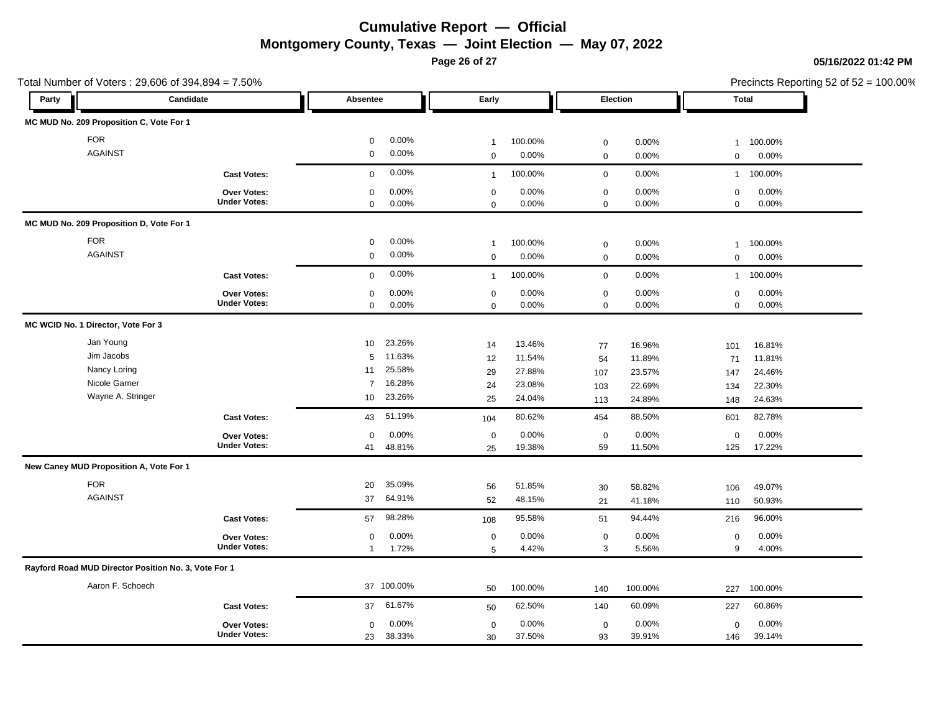**Page 26 of 27**

### **05/16/2022 01:42 PM**

| Total Number of Voters: 29,606 of 394,894 = 7.50%    |                     |                          |                           |                         | Precincts Reporting 52 of 52 = 100.00% |  |  |
|------------------------------------------------------|---------------------|--------------------------|---------------------------|-------------------------|----------------------------------------|--|--|
| Party                                                | Candidate           | Absentee                 | Early                     | Election                | Total                                  |  |  |
| MC MUD No. 209 Proposition C, Vote For 1             |                     |                          |                           |                         |                                        |  |  |
| <b>FOR</b>                                           |                     | 0.00%<br>$\mathbf 0$     | 100.00%<br>$\overline{1}$ | 0.00%<br>$\mathbf 0$    | 100.00%<br>$\overline{1}$              |  |  |
| <b>AGAINST</b>                                       |                     | $\mathbf 0$<br>0.00%     | $\mathbf 0$<br>0.00%      | $\mathbf 0$<br>0.00%    | 0.00%<br>$\mathbf 0$                   |  |  |
|                                                      | <b>Cast Votes:</b>  | 0.00%<br>$\mathbf 0$     | 100.00%<br>$\overline{1}$ | $\mathbf 0$<br>0.00%    | 100.00%<br>$\mathbf{1}$                |  |  |
|                                                      | Over Votes:         | 0.00%<br>$\mathbf 0$     | 0.00%<br>$\mathbf 0$      | $\mathbf 0$<br>0.00%    | 0.00%<br>$\mathbf 0$                   |  |  |
|                                                      | <b>Under Votes:</b> | 0.00%<br>$\mathbf 0$     | 0.00%<br>$\mathbf 0$      | $\mathbf 0$<br>0.00%    | 0.00%<br>$\mathbf 0$                   |  |  |
| MC MUD No. 209 Proposition D, Vote For 1             |                     |                          |                           |                         |                                        |  |  |
| <b>FOR</b>                                           |                     | 0.00%<br>$\mathbf 0$     | 100.00%<br>$\overline{1}$ | $\mathbf 0$<br>0.00%    | 100.00%<br>$\overline{1}$              |  |  |
| <b>AGAINST</b>                                       |                     | 0.00%<br>$\mathbf 0$     | 0.00%<br>$\mathsf 0$      | 0.00%<br>$\mathbf 0$    | 0.00%<br>$\mathbf 0$                   |  |  |
|                                                      | <b>Cast Votes:</b>  | 0.00%<br>$\mathbf 0$     | 100.00%<br>$\overline{1}$ | 0.00%<br>$\mathbf 0$    | 100.00%<br>$\mathbf{1}$                |  |  |
|                                                      | Over Votes:         | 0.00%<br>$\mathbf 0$     | $\mathbf 0$<br>0.00%      | $\mathbf 0$<br>0.00%    | $\mathbf 0$<br>0.00%                   |  |  |
|                                                      | <b>Under Votes:</b> | 0.00%<br>$\mathbf 0$     | $0.00\%$<br>$\mathsf 0$   | $\mathbf 0$<br>0.00%    | 0.00%<br>$\mathbf 0$                   |  |  |
| MC WCID No. 1 Director, Vote For 3                   |                     |                          |                           |                         |                                        |  |  |
| Jan Young                                            |                     | 23.26%<br>10             | 13.46%<br>14              | 77<br>16.96%            | 16.81%<br>101                          |  |  |
| Jim Jacobs                                           |                     | 11.63%<br>5              | 11.54%<br>12              | 11.89%<br>54            | 11.81%<br>71                           |  |  |
| Nancy Loring                                         |                     | 25.58%<br>11             | 29<br>27.88%              | 23.57%<br>107           | 24.46%<br>147                          |  |  |
| Nicole Garner                                        |                     | 16.28%<br>$\overline{7}$ | 23.08%<br>24              | 22.69%<br>103           | 22.30%<br>134                          |  |  |
| Wayne A. Stringer                                    |                     | 23.26%<br>10             | 25<br>24.04%              | 24.89%<br>113           | 24.63%<br>148                          |  |  |
|                                                      | <b>Cast Votes:</b>  | 51.19%<br>43             | 80.62%<br>104             | 88.50%<br>454           | 82.78%<br>601                          |  |  |
|                                                      | Over Votes:         | 0.00%<br>$\mathbf 0$     | 0.00%<br>$\mathsf 0$      | 0.00%<br>$\mathbf 0$    | 0.00%<br>$\mathbf 0$                   |  |  |
|                                                      | <b>Under Votes:</b> | 48.81%<br>41             | 19.38%<br>25              | 11.50%<br>59            | 17.22%<br>125                          |  |  |
| New Caney MUD Proposition A, Vote For 1              |                     |                          |                           |                         |                                        |  |  |
| <b>FOR</b>                                           |                     | 35.09%<br>20             | 56<br>51.85%              | 58.82%<br>30            | 49.07%<br>106                          |  |  |
| <b>AGAINST</b>                                       |                     | 64.91%<br>37             | 52<br>48.15%              | 41.18%<br>21            | 50.93%<br>110                          |  |  |
|                                                      | <b>Cast Votes:</b>  | 98.28%<br>57             | 95.58%<br>108             | 94.44%<br>51            | 96.00%<br>216                          |  |  |
|                                                      | <b>Over Votes:</b>  | 0.00%<br>0               | $\mathbf 0$<br>0.00%      | $\mathbf 0$<br>$0.00\%$ | $\mathbf 0$<br>0.00%                   |  |  |
|                                                      | <b>Under Votes:</b> | 1.72%<br>$\mathbf{1}$    | 4.42%<br>5                | 5.56%<br>3              | 4.00%<br>9                             |  |  |
| Rayford Road MUD Director Position No. 3, Vote For 1 |                     |                          |                           |                         |                                        |  |  |
| Aaron F. Schoech                                     |                     | 37 100.00%               | 100.00%<br>50             | 100.00%<br>140          | 100.00%<br>227                         |  |  |
|                                                      | <b>Cast Votes:</b>  | 61.67%<br>37             | 62.50%<br>50              | 60.09%<br>140           | 60.86%<br>227                          |  |  |
|                                                      | Over Votes:         | 0.00%<br>$\mathbf 0$     | 0.00%<br>$\mathbf 0$      | 0.00%<br>$\mathbf 0$    | 0.00%<br>$\mathbf 0$                   |  |  |
|                                                      | <b>Under Votes:</b> | 38.33%<br>23             | 37.50%<br>30              | 93<br>39.91%            | 39.14%<br>146                          |  |  |